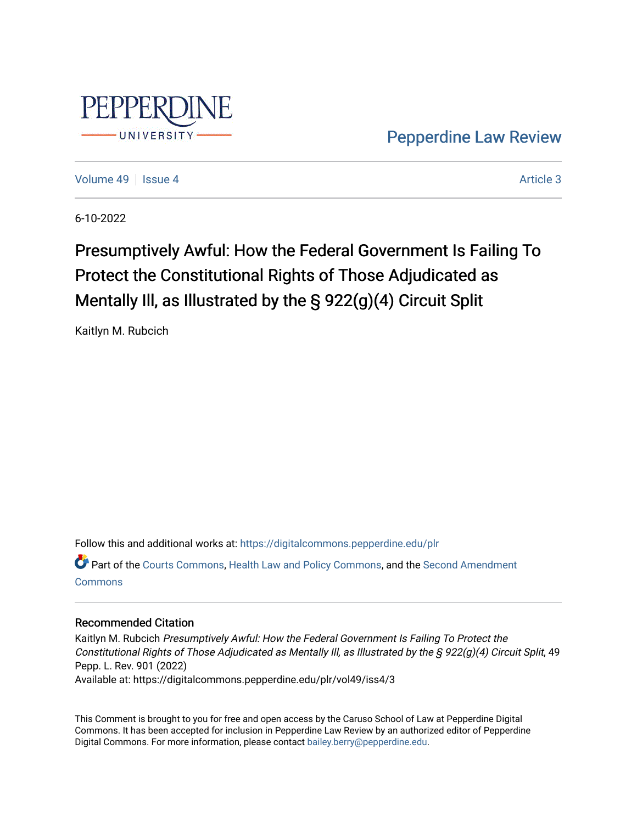

[Pepperdine Law Review](https://digitalcommons.pepperdine.edu/plr) 

[Volume 49](https://digitalcommons.pepperdine.edu/plr/vol49) | [Issue 4](https://digitalcommons.pepperdine.edu/plr/vol49/iss4) Article 3

6-10-2022

# Presumptively Awful: How the Federal Government Is Failing To Protect the Constitutional Rights of Those Adjudicated as Mentally Ill, as Illustrated by the § 922(g)(4) Circuit Split

Kaitlyn M. Rubcich

Follow this and additional works at: [https://digitalcommons.pepperdine.edu/plr](https://digitalcommons.pepperdine.edu/plr?utm_source=digitalcommons.pepperdine.edu%2Fplr%2Fvol49%2Fiss4%2F3&utm_medium=PDF&utm_campaign=PDFCoverPages)

Part of the [Courts Commons,](https://network.bepress.com/hgg/discipline/839?utm_source=digitalcommons.pepperdine.edu%2Fplr%2Fvol49%2Fiss4%2F3&utm_medium=PDF&utm_campaign=PDFCoverPages) [Health Law and Policy Commons,](https://network.bepress.com/hgg/discipline/901?utm_source=digitalcommons.pepperdine.edu%2Fplr%2Fvol49%2Fiss4%2F3&utm_medium=PDF&utm_campaign=PDFCoverPages) and the [Second Amendment](https://network.bepress.com/hgg/discipline/1119?utm_source=digitalcommons.pepperdine.edu%2Fplr%2Fvol49%2Fiss4%2F3&utm_medium=PDF&utm_campaign=PDFCoverPages) [Commons](https://network.bepress.com/hgg/discipline/1119?utm_source=digitalcommons.pepperdine.edu%2Fplr%2Fvol49%2Fiss4%2F3&utm_medium=PDF&utm_campaign=PDFCoverPages)

### Recommended Citation

Kaitlyn M. Rubcich Presumptively Awful: How the Federal Government Is Failing To Protect the Constitutional Rights of Those Adjudicated as Mentally Ill, as Illustrated by the § 922(g)(4) Circuit Split, 49 Pepp. L. Rev. 901 (2022) Available at: https://digitalcommons.pepperdine.edu/plr/vol49/iss4/3

This Comment is brought to you for free and open access by the Caruso School of Law at Pepperdine Digital Commons. It has been accepted for inclusion in Pepperdine Law Review by an authorized editor of Pepperdine Digital Commons. For more information, please contact [bailey.berry@pepperdine.edu.](mailto:bailey.berry@pepperdine.edu)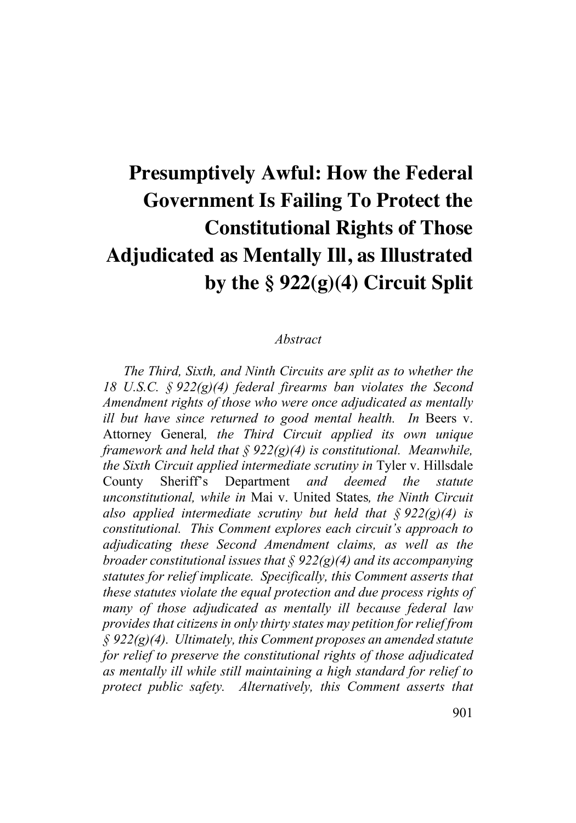# **Presumptively Awful: How the Federal Government Is Failing To Protect the Constitutional Rights of Those Adjudicated as Mentally Ill, as Illustrated by the § 922(g)(4) Circuit Split**

### *Abstract*

*The Third, Sixth, and Ninth Circuits are split as to whether the 18 U.S.C. § 922(g)(4) federal firearms ban violates the Second Amendment rights of those who were once adjudicated as mentally ill but have since returned to good mental health. In* Beers v. Attorney General*, the Third Circuit applied its own unique framework and held that § 922(g)(4) is constitutional. Meanwhile, the Sixth Circuit applied intermediate scrutiny in* Tyler v. Hillsdale County Sheriff's Department *and deemed the statute unconstitutional, while in* Mai v. United States*, the Ninth Circuit also applied intermediate scrutiny but held that § 922(g)(4) is constitutional. This Comment explores each circuit's approach to adjudicating these Second Amendment claims, as well as the broader constitutional issues that § 922(g)(4) and its accompanying statutes for relief implicate. Specifically, this Comment asserts that these statutes violate the equal protection and due process rights of many of those adjudicated as mentally ill because federal law provides that citizens in only thirty states may petition for relief from § 922(g)(4). Ultimately, this Comment proposes an amended statute for relief to preserve the constitutional rights of those adjudicated as mentally ill while still maintaining a high standard for relief to protect public safety. Alternatively, this Comment asserts that*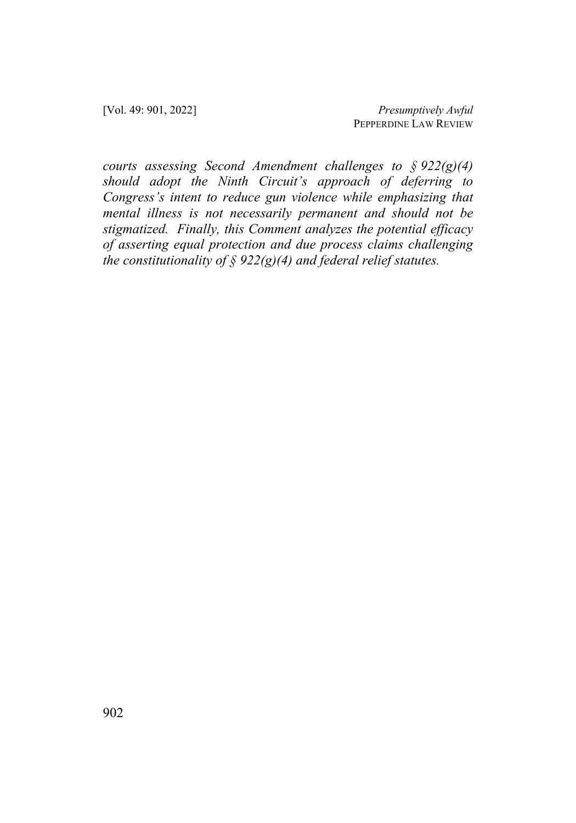[Vol. 49: 901, 2022] *Presumptively Awful* PEPPERDINE LAW REVIEW

*courts assessing Second Amendment challenges to § 922(g)(4) should adopt the Ninth Circuit's approach of deferring to Congress's intent to reduce gun violence while emphasizing that mental illness is not necessarily permanent and should not be stigmatized. Finally, this Comment analyzes the potential efficacy of asserting equal protection and due process claims challenging the constitutionality of § 922(g)(4) and federal relief statutes.*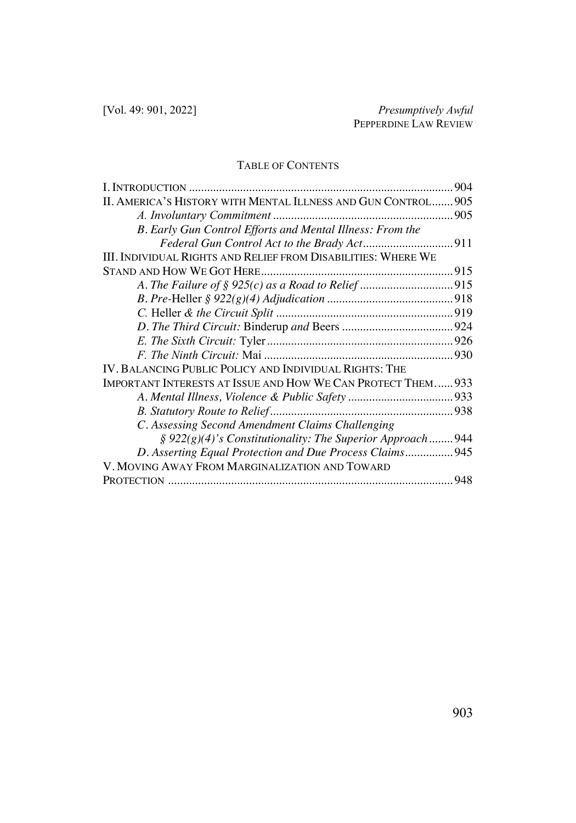## TABLE OF CONTENTS

|                                                                 | 904 |
|-----------------------------------------------------------------|-----|
| II. AMERICA'S HISTORY WITH MENTAL ILLNESS AND GUN CONTROL 905   |     |
|                                                                 |     |
| B. Early Gun Control Efforts and Mental Illness: From the       |     |
|                                                                 |     |
| III. INDIVIDUAL RIGHTS AND RELIEF FROM DISABILITIES: WHERE WE   |     |
|                                                                 |     |
|                                                                 |     |
|                                                                 |     |
|                                                                 |     |
|                                                                 |     |
|                                                                 |     |
|                                                                 |     |
| IV. BALANCING PUBLIC POLICY AND INDIVIDUAL RIGHTS: THE          |     |
| IMPORTANT INTERESTS AT ISSUE AND HOW WE CAN PROTECT THEM 933    |     |
|                                                                 |     |
|                                                                 |     |
| C. Assessing Second Amendment Claims Challenging                |     |
| $\S 922(g)(4)'$ s Constitutionality: The Superior Approach  944 |     |
| D. Asserting Equal Protection and Due Process Claims 945        |     |
| V. MOVING AWAY FROM MARGINALIZATION AND TOWARD                  |     |
|                                                                 | 948 |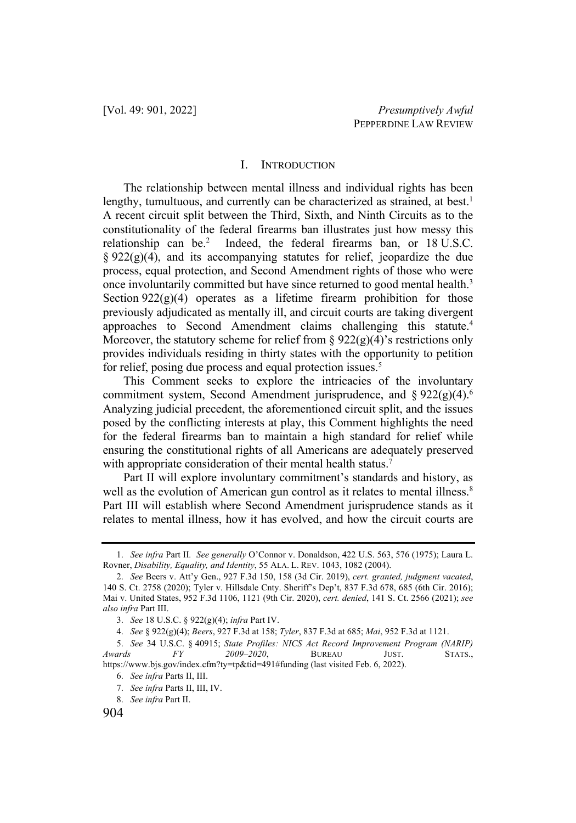#### I. INTRODUCTION

The relationship between mental illness and individual rights has been lengthy, tumultuous, and currently can be characterized as strained, at best.<sup>1</sup> A recent circuit split between the Third, Sixth, and Ninth Circuits as to the constitutionality of the federal firearms ban illustrates just how messy this relationship can be.<sup>2</sup> Indeed, the federal firearms ban, or 18 U.S.C.  $\S 922(g)(4)$ , and its accompanying statutes for relief, jeopardize the due process, equal protection, and Second Amendment rights of those who were once involuntarily committed but have since returned to good mental health.<sup>3</sup> Section  $922(g)(4)$  operates as a lifetime firearm prohibition for those previously adjudicated as mentally ill, and circuit courts are taking divergent approaches to Second Amendment claims challenging this statute.<sup>4</sup> Moreover, the statutory scheme for relief from  $\S 922(g)(4)$ 's restrictions only provides individuals residing in thirty states with the opportunity to petition for relief, posing due process and equal protection issues.<sup>5</sup>

This Comment seeks to explore the intricacies of the involuntary commitment system, Second Amendment jurisprudence, and  $\S 922(g)(4).^6$ Analyzing judicial precedent, the aforementioned circuit split, and the issues posed by the conflicting interests at play, this Comment highlights the need for the federal firearms ban to maintain a high standard for relief while ensuring the constitutional rights of all Americans are adequately preserved with appropriate consideration of their mental health status.<sup>7</sup>

Part II will explore involuntary commitment's standards and history, as well as the evolution of American gun control as it relates to mental illness.<sup>8</sup> Part III will establish where Second Amendment jurisprudence stands as it relates to mental illness, how it has evolved, and how the circuit courts are

<sup>1.</sup> *See infra* Part II*. See generally* O'Connor v. Donaldson, 422 U.S. 563, 576 (1975); Laura L. Rovner, *Disability, Equality, and Identity*, 55 ALA. L. REV. 1043, 1082 (2004).

<sup>2.</sup> *See* Beers v. Att'y Gen., 927 F.3d 150, 158 (3d Cir. 2019), *cert. granted, judgment vacated*, 140 S. Ct. 2758 (2020); Tyler v. Hillsdale Cnty. Sheriff's Dep't, 837 F.3d 678, 685 (6th Cir. 2016); Mai v. United States, 952 F.3d 1106, 1121 (9th Cir. 2020), *cert. denied*, 141 S. Ct. 2566 (2021); *see also infra* Part III.

<sup>3.</sup> *See* 18 U.S.C. § 922(g)(4); *infra* Part IV.

<sup>4.</sup> *See* § 922(g)(4); *Beers*, 927 F.3d at 158; *Tyler*, 837 F.3d at 685; *Mai*, 952 F.3d at 1121.

<sup>5.</sup> *See* 34 U.S.C. § 40915; *State Profiles: NICS Act Record Improvement Program (NARIP) Awards FY 2009–2020*, BUREAU JUST. STATS., https://www.bjs.gov/index.cfm?ty=tp&tid=491#funding (last visited Feb. 6, 2022).

<sup>6.</sup> *See infra* Parts II, III.

<sup>7.</sup> *See infra* Parts II, III, IV.

<sup>8.</sup> *See infra* Part II.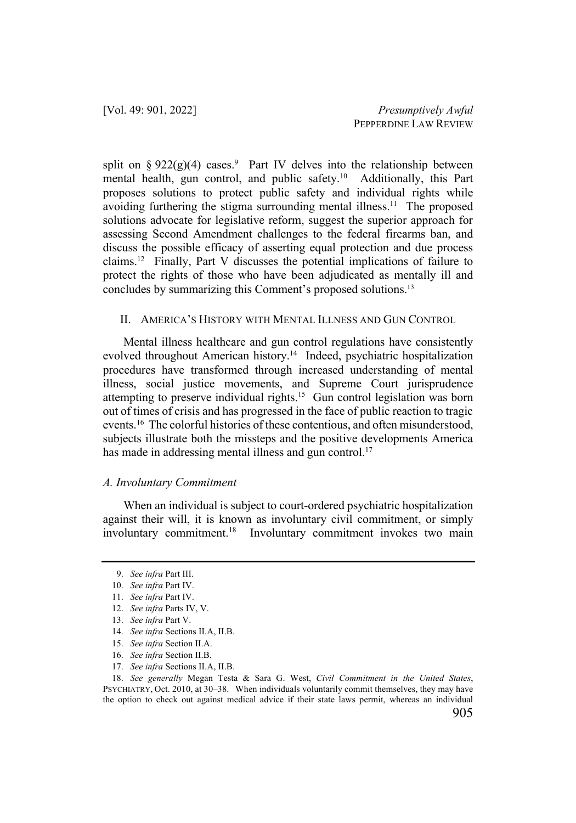split on  $\S 922(g)(4)$  cases.<sup>9</sup> Part IV delves into the relationship between mental health, gun control, and public safety. <sup>10</sup> Additionally, this Part proposes solutions to protect public safety and individual rights while avoiding furthering the stigma surrounding mental illness.<sup>11</sup> The proposed solutions advocate for legislative reform, suggest the superior approach for assessing Second Amendment challenges to the federal firearms ban, and discuss the possible efficacy of asserting equal protection and due process claims.12 Finally, Part V discusses the potential implications of failure to protect the rights of those who have been adjudicated as mentally ill and concludes by summarizing this Comment's proposed solutions.<sup>13</sup>

#### II. AMERICA'S HISTORY WITH MENTAL ILLNESS AND GUN CONTROL

Mental illness healthcare and gun control regulations have consistently evolved throughout American history.<sup>14</sup> Indeed, psychiatric hospitalization procedures have transformed through increased understanding of mental illness, social justice movements, and Supreme Court jurisprudence attempting to preserve individual rights.15 Gun control legislation was born out of times of crisis and has progressed in the face of public reaction to tragic events.<sup>16</sup> The colorful histories of these contentious, and often misunderstood, subjects illustrate both the missteps and the positive developments America has made in addressing mental illness and gun control.<sup>17</sup>

#### *A. Involuntary Commitment*

When an individual is subject to court-ordered psychiatric hospitalization against their will, it is known as involuntary civil commitment, or simply involuntary commitment.<sup>18</sup> Involuntary commitment invokes two main

17. *See infra* Sections II.A, II.B.

<sup>9.</sup> *See infra* Part III.

<sup>10.</sup> *See infra* Part IV.

<sup>11.</sup> *See infra* Part IV.

<sup>12.</sup> *See infra* Parts IV, V.

<sup>13.</sup> *See infra* Part V.

<sup>14.</sup> *See infra* Sections II.A, II.B.

<sup>15.</sup> *See infra* Section II.A.

<sup>16.</sup> *See infra* Section II.B.

<sup>18.</sup> *See generally* Megan Testa & Sara G. West, *Civil Commitment in the United States*, PSYCHIATRY, Oct. 2010, at 30–38. When individuals voluntarily commit themselves, they may have the option to check out against medical advice if their state laws permit, whereas an individual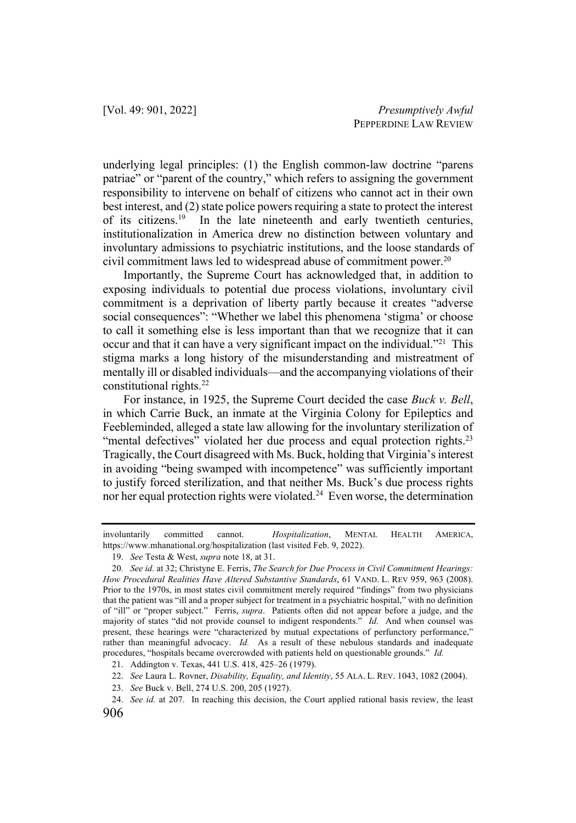underlying legal principles: (1) the English common-law doctrine "parens patriae" or "parent of the country," which refers to assigning the government responsibility to intervene on behalf of citizens who cannot act in their own best interest, and (2) state police powers requiring a state to protect the interest of its citizens.19 In the late nineteenth and early twentieth centuries, institutionalization in America drew no distinction between voluntary and involuntary admissions to psychiatric institutions, and the loose standards of civil commitment laws led to widespread abuse of commitment power.<sup>20</sup>

Importantly, the Supreme Court has acknowledged that, in addition to exposing individuals to potential due process violations, involuntary civil commitment is a deprivation of liberty partly because it creates "adverse social consequences": "Whether we label this phenomena 'stigma' or choose to call it something else is less important than that we recognize that it can occur and that it can have a very significant impact on the individual."21 This stigma marks a long history of the misunderstanding and mistreatment of mentally ill or disabled individuals—and the accompanying violations of their constitutional rights.22

For instance, in 1925, the Supreme Court decided the case *Buck v. Bell*, in which Carrie Buck, an inmate at the Virginia Colony for Epileptics and Feebleminded, alleged a state law allowing for the involuntary sterilization of "mental defectives" violated her due process and equal protection rights.<sup>23</sup> Tragically, the Court disagreed with Ms. Buck, holding that Virginia's interest in avoiding "being swamped with incompetence" was sufficiently important to justify forced sterilization, and that neither Ms. Buck's due process rights nor her equal protection rights were violated.24 Even worse, the determination

involuntarily committed cannot. *Hospitalization*, MENTAL HEALTH AMERICA, https://www.mhanational.org/hospitalization (last visited Feb. 9, 2022).

<sup>19.</sup> *See* Testa & West, *supra* note 18, at 31.

<sup>20</sup>*. See id.* at 32; Christyne E. Ferris, *The Search for Due Process in Civil Commitment Hearings: How Procedural Realities Have Altered Substantive Standards*, 61 VAND. L. REV 959, 963 (2008). Prior to the 1970s, in most states civil commitment merely required "findings" from two physicians that the patient was "ill and a proper subject for treatment in a psychiatric hospital," with no definition of "ill" or "proper subject." Ferris, *supra*. Patients often did not appear before a judge, and the majority of states "did not provide counsel to indigent respondents." *Id.* And when counsel was present, these hearings were "characterized by mutual expectations of perfunctory performance," rather than meaningful advocacy. *Id.* As a result of these nebulous standards and inadequate procedures, "hospitals became overcrowded with patients held on questionable grounds." *Id.* 

<sup>21.</sup> Addington v. Texas, 441 U.S. 418, 425–26 (1979).

<sup>22.</sup> *See* Laura L. Rovner, *Disability, Equality, and Identity*, 55 ALA. L. REV. 1043, 1082 (2004).

<sup>23.</sup> *See* Buck v. Bell, 274 U.S. 200, 205 (1927).

<sup>24.</sup> *See id.* at 207. In reaching this decision, the Court applied rational basis review, the least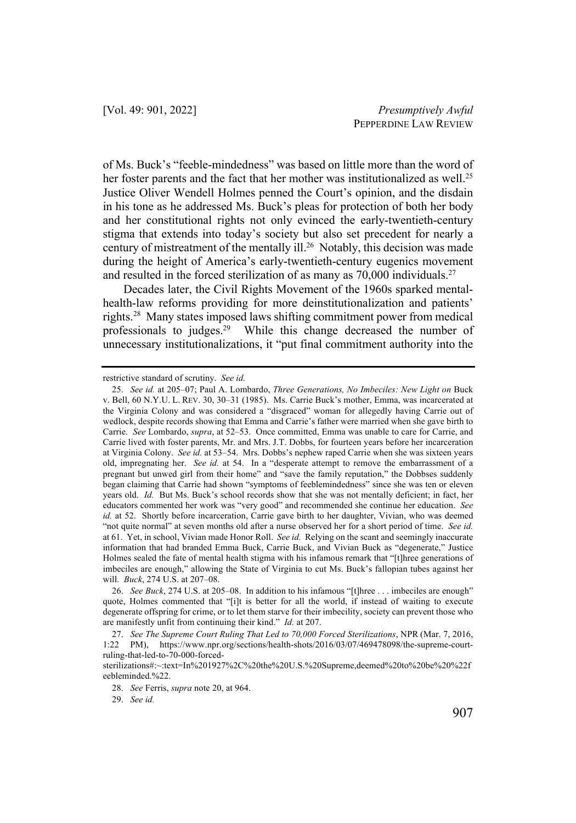of Ms. Buck's "feeble-mindedness" was based on little more than the word of her foster parents and the fact that her mother was institutionalized as well.<sup>25</sup> Justice Oliver Wendell Holmes penned the Court's opinion, and the disdain in his tone as he addressed Ms. Buck's pleas for protection of both her body and her constitutional rights not only evinced the early-twentieth-century stigma that extends into today's society but also set precedent for nearly a century of mistreatment of the mentally ill.<sup>26</sup> Notably, this decision was made during the height of America's early-twentieth-century eugenics movement and resulted in the forced sterilization of as many as  $70,000$  individuals.<sup>27</sup>

Decades later, the Civil Rights Movement of the 1960s sparked mentalhealth-law reforms providing for more deinstitutionalization and patients' rights.28 Many states imposed laws shifting commitment power from medical professionals to judges.<sup>29</sup> While this change decreased the number of unnecessary institutionalizations, it "put final commitment authority into the

29. *See id.*

restrictive standard of scrutiny. *See id.*

<sup>25.</sup> *See id.* at 205–07; Paul A. Lombardo, *Three Generations, No Imbeciles: New Light on* Buck v. Bell, 60 N.Y.U. L. REV. 30, 30–31 (1985). Ms. Carrie Buck's mother, Emma, was incarcerated at the Virginia Colony and was considered a "disgraced" woman for allegedly having Carrie out of wedlock, despite records showing that Emma and Carrie's father were married when she gave birth to Carrie. *See* Lombardo, *supra*, at 52–53. Once committed, Emma was unable to care for Carrie, and Carrie lived with foster parents, Mr. and Mrs. J.T. Dobbs, for fourteen years before her incarceration at Virginia Colony. *See id.* at 53–54. Mrs. Dobbs's nephew raped Carrie when she was sixteen years old, impregnating her. *See id.* at 54. In a "desperate attempt to remove the embarrassment of a pregnant but unwed girl from their home" and "save the family reputation," the Dobbses suddenly began claiming that Carrie had shown "symptoms of feeblemindedness" since she was ten or eleven years old. *Id.* But Ms. Buck's school records show that she was not mentally deficient; in fact, her educators commented her work was "very good" and recommended she continue her education. *See id.* at 52. Shortly before incarceration, Carrie gave birth to her daughter, Vivian, who was deemed "not quite normal" at seven months old after a nurse observed her for a short period of time. *See id.*  at 61. Yet, in school, Vivian made Honor Roll. *See id.* Relying on the scant and seemingly inaccurate information that had branded Emma Buck, Carrie Buck, and Vivian Buck as "degenerate," Justice Holmes sealed the fate of mental health stigma with his infamous remark that "[t]hree generations of imbeciles are enough," allowing the State of Virginia to cut Ms. Buck's fallopian tubes against her will. *Buck*, 274 U.S. at 207–08.

<sup>26.</sup> *See Buck*, 274 U.S. at 205–08. In addition to his infamous "[t]hree . . . imbeciles are enough" quote, Holmes commented that "[i]t is better for all the world, if instead of waiting to execute degenerate offspring for crime, or to let them starve for their imbecility, society can prevent those who are manifestly unfit from continuing their kind." *Id.* at 207.

<sup>27.</sup> *See The Supreme Court Ruling That Led to 70,000 Forced Sterilizations*, NPR (Mar. 7, 2016, 1:22 PM), https://www.npr.org/sections/health-shots/2016/03/07/469478098/the-supreme-courtruling-that-led-to-70-000-forced-

sterilizations#:~:text=In%201927%2C%20the%20U.S.%20Supreme,deemed%20to%20be%20%22f eebleminded.%22.

<sup>28.</sup> *See* Ferris, *supra* note 20, at 964.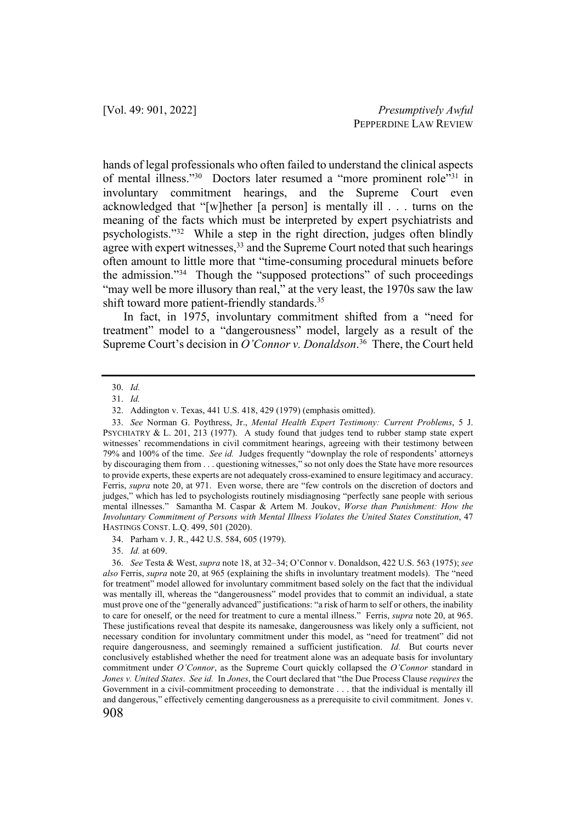hands of legal professionals who often failed to understand the clinical aspects of mental illness."<sup>30</sup> Doctors later resumed a "more prominent role"<sup>31</sup> in involuntary commitment hearings, and the Supreme Court even acknowledged that "[w]hether [a person] is mentally ill . . . turns on the meaning of the facts which must be interpreted by expert psychiatrists and psychologists."32 While a step in the right direction, judges often blindly agree with expert witnesses,<sup>33</sup> and the Supreme Court noted that such hearings often amount to little more that "time-consuming procedural minuets before the admission."34 Though the "supposed protections" of such proceedings "may well be more illusory than real," at the very least, the 1970s saw the law shift toward more patient-friendly standards.<sup>35</sup>

In fact, in 1975, involuntary commitment shifted from a "need for treatment" model to a "dangerousness" model, largely as a result of the Supreme Court's decision in *O'Connor v. Donaldson*. 36 There, the Court held

31. *Id.*

35. *Id.* at 609.

<sup>30.</sup> *Id.*

<sup>32.</sup> Addington v. Texas, 441 U.S. 418, 429 (1979) (emphasis omitted).

<sup>33.</sup> *See* Norman G. Poythress, Jr., *Mental Health Expert Testimony: Current Problems*, 5 J. PSYCHIATRY & L. 201, 213 (1977). A study found that judges tend to rubber stamp state expert witnesses' recommendations in civil commitment hearings, agreeing with their testimony between 79% and 100% of the time. *See id.* Judges frequently "downplay the role of respondents' attorneys by discouraging them from . . . questioning witnesses," so not only does the State have more resources to provide experts, these experts are not adequately cross-examined to ensure legitimacy and accuracy. Ferris, *supra* note 20, at 971. Even worse, there are "few controls on the discretion of doctors and judges," which has led to psychologists routinely misdiagnosing "perfectly sane people with serious mental illnesses." Samantha M. Caspar & Artem M. Joukov, *Worse than Punishment: How the Involuntary Commitment of Persons with Mental Illness Violates the United States Constitution*, 47 HASTINGS CONST. L.Q. 499, 501 (2020).

<sup>34.</sup> Parham v. J. R., 442 U.S. 584, 605 (1979).

<sup>36.</sup> *See* Testa & West, *supra* note 18, at 32–34; O'Connor v. Donaldson, 422 U.S. 563 (1975); *see also* Ferris, *supra* note 20, at 965 (explaining the shifts in involuntary treatment models). The "need for treatment" model allowed for involuntary commitment based solely on the fact that the individual was mentally ill, whereas the "dangerousness" model provides that to commit an individual, a state must prove one of the "generally advanced" justifications: "a risk of harm to self or others, the inability to care for oneself, or the need for treatment to cure a mental illness." Ferris, *supra* note 20, at 965. These justifications reveal that despite its namesake, dangerousness was likely only a sufficient, not necessary condition for involuntary commitment under this model, as "need for treatment" did not require dangerousness, and seemingly remained a sufficient justification. *Id.* But courts never conclusively established whether the need for treatment alone was an adequate basis for involuntary commitment under *O'Connor*, as the Supreme Court quickly collapsed the *O'Connor* standard in *Jones v. United States*. *See id.* In *Jones*, the Court declared that "the Due Process Clause *requires* the Government in a civil-commitment proceeding to demonstrate . . . that the individual is mentally ill and dangerous," effectively cementing dangerousness as a prerequisite to civil commitment. Jones v.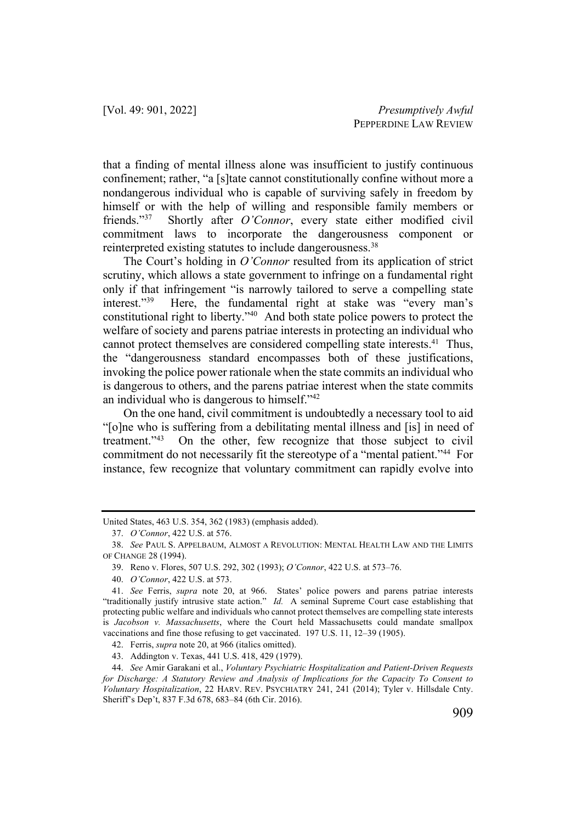that a finding of mental illness alone was insufficient to justify continuous confinement; rather, "a [s]tate cannot constitutionally confine without more a nondangerous individual who is capable of surviving safely in freedom by himself or with the help of willing and responsible family members or friends."37 Shortly after *O'Connor*, every state either modified civil commitment laws to incorporate the dangerousness component or reinterpreted existing statutes to include dangerousness.38

The Court's holding in *O'Connor* resulted from its application of strict scrutiny, which allows a state government to infringe on a fundamental right only if that infringement "is narrowly tailored to serve a compelling state interest."39 Here, the fundamental right at stake was "every man's constitutional right to liberty."40 And both state police powers to protect the welfare of society and parens patriae interests in protecting an individual who cannot protect themselves are considered compelling state interests.<sup>41</sup> Thus, the "dangerousness standard encompasses both of these justifications, invoking the police power rationale when the state commits an individual who is dangerous to others, and the parens patriae interest when the state commits an individual who is dangerous to himself."42

On the one hand, civil commitment is undoubtedly a necessary tool to aid "[o]ne who is suffering from a debilitating mental illness and [is] in need of treatment."43 On the other, few recognize that those subject to civil commitment do not necessarily fit the stereotype of a "mental patient."44 For instance, few recognize that voluntary commitment can rapidly evolve into

United States, 463 U.S. 354, 362 (1983) (emphasis added).

<sup>37.</sup> *O'Connor*, 422 U.S. at 576.

<sup>38.</sup> *See* PAUL S. APPELBAUM, ALMOST A REVOLUTION: MENTAL HEALTH LAW AND THE LIMITS OF CHANGE 28 (1994).

<sup>39.</sup> Reno v. Flores, 507 U.S. 292, 302 (1993); *O'Connor*, 422 U.S. at 573–76.

<sup>40.</sup> *O'Connor*, 422 U.S. at 573.

<sup>41.</sup> *See* Ferris, *supra* note 20, at 966. States' police powers and parens patriae interests "traditionally justify intrusive state action." *Id.* A seminal Supreme Court case establishing that protecting public welfare and individuals who cannot protect themselves are compelling state interests is *Jacobson v. Massachusetts*, where the Court held Massachusetts could mandate smallpox vaccinations and fine those refusing to get vaccinated. 197 U.S. 11, 12–39 (1905).

<sup>42.</sup> Ferris, *supra* note 20, at 966 (italics omitted).

<sup>43.</sup> Addington v. Texas, 441 U.S. 418, 429 (1979).

<sup>44.</sup> *See* Amir Garakani et al., *Voluntary Psychiatric Hospitalization and Patient-Driven Requests for Discharge: A Statutory Review and Analysis of Implications for the Capacity To Consent to Voluntary Hospitalization*, 22 HARV. REV. PSYCHIATRY 241, 241 (2014); Tyler v. Hillsdale Cnty. Sheriff's Dep't, 837 F.3d 678, 683–84 (6th Cir. 2016).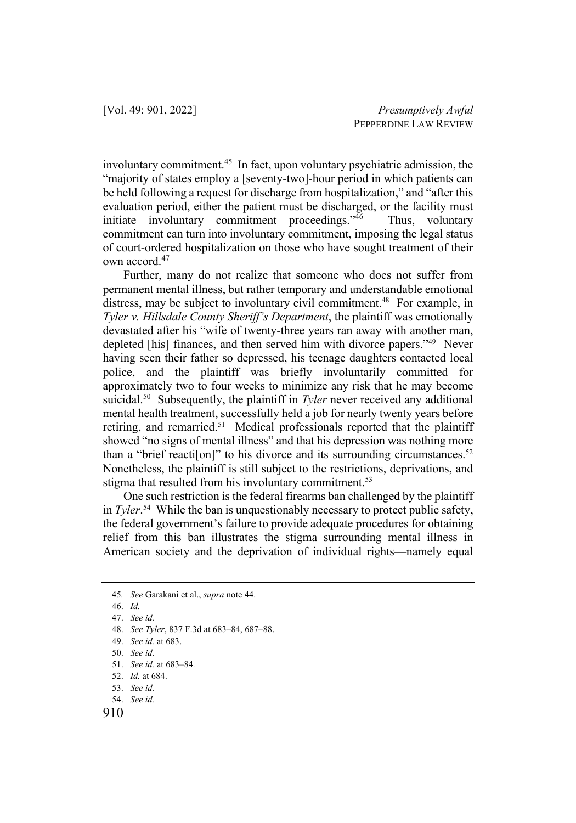involuntary commitment.45 In fact, upon voluntary psychiatric admission, the "majority of states employ a [seventy-two]-hour period in which patients can be held following a request for discharge from hospitalization," and "after this evaluation period, either the patient must be discharged, or the facility must initiate involuntary commitment proceedings."<sup>46</sup> Thus, voluntary commitment can turn into involuntary commitment, imposing the legal status of court-ordered hospitalization on those who have sought treatment of their own accord.<sup>47</sup>

Further, many do not realize that someone who does not suffer from permanent mental illness, but rather temporary and understandable emotional distress, may be subject to involuntary civil commitment.<sup>48</sup> For example, in *Tyler v. Hillsdale County Sheriff's Department*, the plaintiff was emotionally devastated after his "wife of twenty-three years ran away with another man, depleted [his] finances, and then served him with divorce papers."49 Never having seen their father so depressed, his teenage daughters contacted local police, and the plaintiff was briefly involuntarily committed for approximately two to four weeks to minimize any risk that he may become suicidal.50 Subsequently, the plaintiff in *Tyler* never received any additional mental health treatment, successfully held a job for nearly twenty years before retiring, and remarried.<sup>51</sup> Medical professionals reported that the plaintiff showed "no signs of mental illness" and that his depression was nothing more than a "brief reacti[on]" to his divorce and its surrounding circumstances.<sup>52</sup> Nonetheless, the plaintiff is still subject to the restrictions, deprivations, and stigma that resulted from his involuntary commitment.<sup>53</sup>

One such restriction is the federal firearms ban challenged by the plaintiff in *Tyler*. 54 While the ban is unquestionably necessary to protect public safety, the federal government's failure to provide adequate procedures for obtaining relief from this ban illustrates the stigma surrounding mental illness in American society and the deprivation of individual rights—namely equal

910

<sup>45</sup>*. See* Garakani et al., *supra* note 44.

<sup>46.</sup> *Id.*

<sup>47.</sup> *See id.*

<sup>48.</sup> *See Tyler*, 837 F.3d at 683–84, 687–88.

<sup>49.</sup> *See id.* at 683.

<sup>50.</sup> *See id.* 

<sup>51.</sup> *See id.* at 683–84*.*

<sup>52.</sup> *Id.* at 684.

<sup>53.</sup> *See id.*

<sup>54.</sup> *See id.*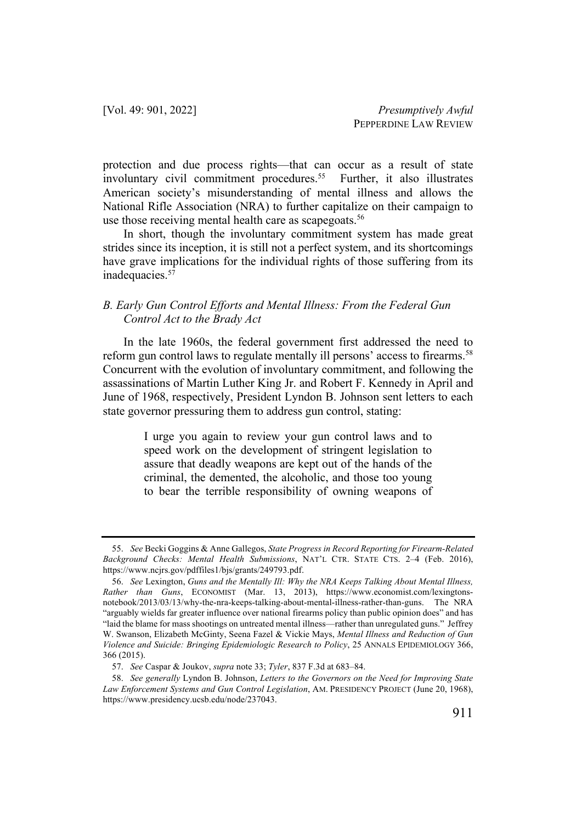protection and due process rights—that can occur as a result of state involuntary civil commitment procedures.<sup>55</sup> Further, it also illustrates American society's misunderstanding of mental illness and allows the National Rifle Association (NRA) to further capitalize on their campaign to use those receiving mental health care as scapegoats.<sup>56</sup>

In short, though the involuntary commitment system has made great strides since its inception, it is still not a perfect system, and its shortcomings have grave implications for the individual rights of those suffering from its inadequacies.<sup>57</sup>

#### *B. Early Gun Control Efforts and Mental Illness: From the Federal Gun Control Act to the Brady Act*

In the late 1960s, the federal government first addressed the need to reform gun control laws to regulate mentally ill persons' access to firearms.<sup>58</sup> Concurrent with the evolution of involuntary commitment, and following the assassinations of Martin Luther King Jr. and Robert F. Kennedy in April and June of 1968, respectively, President Lyndon B. Johnson sent letters to each state governor pressuring them to address gun control, stating:

> I urge you again to review your gun control laws and to speed work on the development of stringent legislation to assure that deadly weapons are kept out of the hands of the criminal, the demented, the alcoholic, and those too young to bear the terrible responsibility of owning weapons of

<sup>55.</sup> *See* Becki Goggins & Anne Gallegos, *State Progress in Record Reporting for Firearm-Related Background Checks: Mental Health Submissions*, NAT'L CTR. STATE CTS. 2–4 (Feb. 2016), https://www.ncjrs.gov/pdffiles1/bjs/grants/249793.pdf.

<sup>56.</sup> *See* Lexington, *Guns and the Mentally Ill: Why the NRA Keeps Talking About Mental Illness, Rather than Guns*, ECONOMIST (Mar. 13, 2013), https://www.economist.com/lexingtonsnotebook/2013/03/13/why-the-nra-keeps-talking-about-mental-illness-rather-than-guns. The NRA "arguably wields far greater influence over national firearms policy than public opinion does" and has "laid the blame for mass shootings on untreated mental illness—rather than unregulated guns." Jeffrey W. Swanson, Elizabeth McGinty, Seena Fazel & Vickie Mays, *Mental Illness and Reduction of Gun Violence and Suicide: Bringing Epidemiologic Research to Policy*, 25 ANNALS EPIDEMIOLOGY 366, 366 (2015).

<sup>57.</sup> *See* Caspar & Joukov, *supra* note 33; *Tyler*, 837 F.3d at 683–84.

<sup>58.</sup> *See generally* Lyndon B. Johnson, *Letters to the Governors on the Need for Improving State Law Enforcement Systems and Gun Control Legislation*, AM. PRESIDENCY PROJECT (June 20, 1968), https://www.presidency.ucsb.edu/node/237043.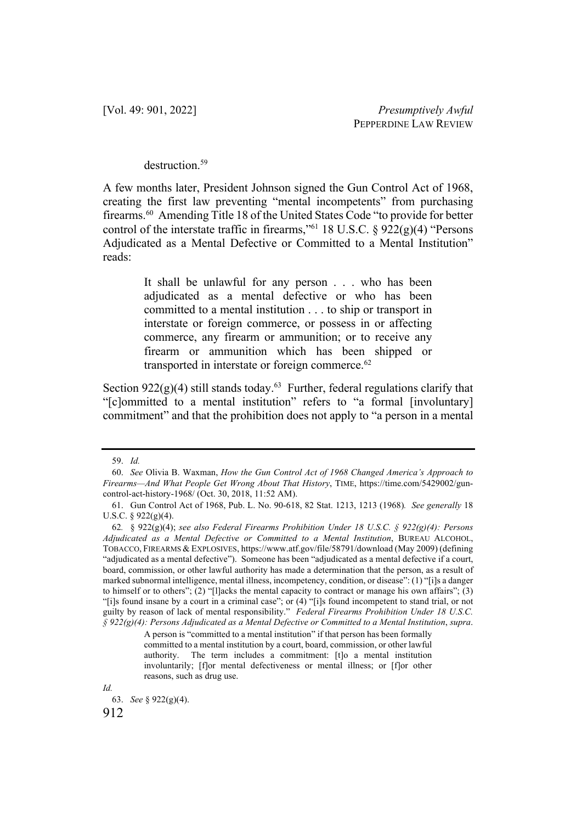#### destruction<sup>59</sup>

A few months later, President Johnson signed the Gun Control Act of 1968, creating the first law preventing "mental incompetents" from purchasing firearms.<sup>60</sup> Amending Title 18 of the United States Code "to provide for better control of the interstate traffic in firearms,"<sup>61</sup> 18 U.S.C. §  $922(g)(4)$  "Persons Adjudicated as a Mental Defective or Committed to a Mental Institution" reads:

> It shall be unlawful for any person . . . who has been adjudicated as a mental defective or who has been committed to a mental institution . . . to ship or transport in interstate or foreign commerce, or possess in or affecting commerce, any firearm or ammunition; or to receive any firearm or ammunition which has been shipped or transported in interstate or foreign commerce.<sup>62</sup>

Section  $922(g)(4)$  still stands today.<sup>63</sup> Further, federal regulations clarify that "[c]ommitted to a mental institution" refers to "a formal [involuntary] commitment" and that the prohibition does not apply to "a person in a mental

*Id.*

<sup>59.</sup> *Id.*

<sup>60.</sup> *See* Olivia B. Waxman, *How the Gun Control Act of 1968 Changed America's Approach to Firearms—And What People Get Wrong About That History*, TIME, https://time.com/5429002/guncontrol-act-history-1968/ (Oct. 30, 2018, 11:52 AM).

<sup>61.</sup> Gun Control Act of 1968, Pub. L. No. 90-618, 82 Stat. 1213, 1213 (1968)*. See generally* 18 U.S.C. § 922(g)(4).

<sup>62</sup>*.* § 922(g)(4); *see also Federal Firearms Prohibition Under 18 U.S.C. § 922(g)(4): Persons Adjudicated as a Mental Defective or Committed to a Mental Institution*, BUREAU ALCOHOL, TOBACCO, FIREARMS & EXPLOSIVES, https://www.atf.gov/file/58791/download (May 2009) (defining "adjudicated as a mental defective"). Someone has been "adjudicated as a mental defective if a court, board, commission, or other lawful authority has made a determination that the person, as a result of marked subnormal intelligence, mental illness, incompetency, condition, or disease": (1) "[i]s a danger to himself or to others"; (2) "[l]acks the mental capacity to contract or manage his own affairs"; (3) "[i]s found insane by a court in a criminal case"; or (4) "[i]s found incompetent to stand trial, or not guilty by reason of lack of mental responsibility." *Federal Firearms Prohibition Under 18 U.S.C. § 922(g)(4): Persons Adjudicated as a Mental Defective or Committed to a Mental Institution*, *supra*.

A person is "committed to a mental institution" if that person has been formally committed to a mental institution by a court, board, commission, or other lawful authority. The term includes a commitment: [t]o a mental institution involuntarily; [f]or mental defectiveness or mental illness; or [f]or other reasons, such as drug use.

<sup>63.</sup> *See* § 922(g)(4).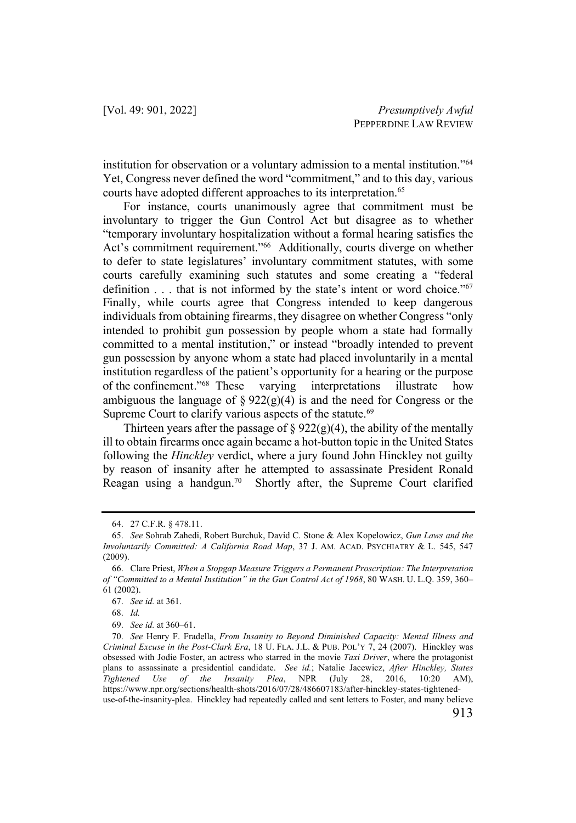institution for observation or a voluntary admission to a mental institution."64 Yet, Congress never defined the word "commitment," and to this day, various courts have adopted different approaches to its interpretation.<sup>65</sup>

For instance, courts unanimously agree that commitment must be involuntary to trigger the Gun Control Act but disagree as to whether "temporary involuntary hospitalization without a formal hearing satisfies the Act's commitment requirement."<sup>66</sup> Additionally, courts diverge on whether to defer to state legislatures' involuntary commitment statutes, with some courts carefully examining such statutes and some creating a "federal definition . . . that is not informed by the state's intent or word choice."<sup>67</sup> Finally, while courts agree that Congress intended to keep dangerous individuals from obtaining firearms, they disagree on whether Congress "only intended to prohibit gun possession by people whom a state had formally committed to a mental institution," or instead "broadly intended to prevent gun possession by anyone whom a state had placed involuntarily in a mental institution regardless of the patient's opportunity for a hearing or the purpose of the confinement."68 These varying interpretations illustrate how ambiguous the language of  $\S 922(g)(4)$  is and the need for Congress or the Supreme Court to clarify various aspects of the statute.<sup>69</sup>

Thirteen years after the passage of  $\S 922(g)(4)$ , the ability of the mentally ill to obtain firearms once again became a hot-button topic in the United States following the *Hinckley* verdict, where a jury found John Hinckley not guilty by reason of insanity after he attempted to assassinate President Ronald Reagan using a handgun.<sup>70</sup> Shortly after, the Supreme Court clarified

<sup>64.</sup> 27 C.F.R. § 478.11.

<sup>65.</sup> *See* Sohrab Zahedi, Robert Burchuk, David C. Stone & Alex Kopelowicz, *Gun Laws and the Involuntarily Committed: A California Road Map*, 37 J. AM. ACAD. PSYCHIATRY & L. 545, 547 (2009).

<sup>66.</sup> Clare Priest, *When a Stopgap Measure Triggers a Permanent Proscription: The Interpretation of "Committed to a Mental Institution" in the Gun Control Act of 1968*, 80 WASH. U. L.Q. 359, 360– 61 (2002).

<sup>67.</sup> *See id.* at 361.

<sup>68.</sup> *Id.*

<sup>69.</sup> *See id.* at 360–61.

<sup>70.</sup> *See* Henry F. Fradella, *From Insanity to Beyond Diminished Capacity: Mental Illness and Criminal Excuse in the Post-Clark Era*, 18 U. FLA. J.L. & PUB. POL'Y 7, 24 (2007). Hinckley was obsessed with Jodie Foster, an actress who starred in the movie *Taxi Driver*, where the protagonist plans to assassinate a presidential candidate. *See id.*; Natalie Jacewicz, *After Hinckley, States Tightened Use of the Insanity Plea*, NPR (July 28, 2016, 10:20 AM), https://www.npr.org/sections/health-shots/2016/07/28/486607183/after-hinckley-states-tighteneduse-of-the-insanity-plea. Hinckley had repeatedly called and sent letters to Foster, and many believe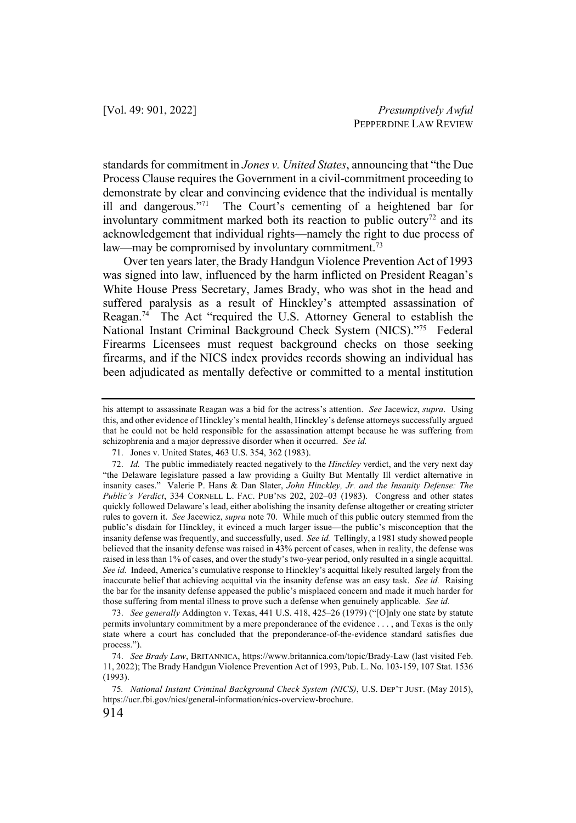standards for commitment in *Jones v. United States*, announcing that "the Due Process Clause requires the Government in a civil-commitment proceeding to demonstrate by clear and convincing evidence that the individual is mentally ill and dangerous."71 The Court's cementing of a heightened bar for involuntary commitment marked both its reaction to public outcry<sup>72</sup> and its acknowledgement that individual rights—namely the right to due process of law—may be compromised by involuntary commitment.<sup>73</sup>

Over ten years later, the Brady Handgun Violence Prevention Act of 1993 was signed into law, influenced by the harm inflicted on President Reagan's White House Press Secretary, James Brady, who was shot in the head and suffered paralysis as a result of Hinckley's attempted assassination of Reagan.74 The Act "required the U.S. Attorney General to establish the National Instant Criminal Background Check System (NICS)."<sup>75</sup> Federal Firearms Licensees must request background checks on those seeking firearms, and if the NICS index provides records showing an individual has been adjudicated as mentally defective or committed to a mental institution

his attempt to assassinate Reagan was a bid for the actress's attention. *See* Jacewicz, *supra*. Using this, and other evidence of Hinckley's mental health, Hinckley's defense attorneys successfully argued that he could not be held responsible for the assassination attempt because he was suffering from schizophrenia and a major depressive disorder when it occurred. *See id.*

<sup>71.</sup> Jones v. United States, 463 U.S. 354, 362 (1983).

<sup>72.</sup> *Id.* The public immediately reacted negatively to the *Hinckley* verdict, and the very next day "the Delaware legislature passed a law providing a Guilty But Mentally Ill verdict alternative in insanity cases." Valerie P. Hans & Dan Slater, *John Hinckley, Jr. and the Insanity Defense: The Public's Verdict*, 334 CORNELL L. FAC. PUB'NS 202, 202–03 (1983). Congress and other states quickly followed Delaware's lead, either abolishing the insanity defense altogether or creating stricter rules to govern it. *See* Jacewicz, *supra* note 70. While much of this public outcry stemmed from the public's disdain for Hinckley, it evinced a much larger issue—the public's misconception that the insanity defense was frequently, and successfully, used. *See id.* Tellingly, a 1981 study showed people believed that the insanity defense was raised in 43% percent of cases, when in reality, the defense was raised in less than 1% of cases, and over the study's two-year period, only resulted in a single acquittal. See id. Indeed, America's cumulative response to Hinckley's acquittal likely resulted largely from the inaccurate belief that achieving acquittal via the insanity defense was an easy task. *See id.* Raising the bar for the insanity defense appeased the public's misplaced concern and made it much harder for those suffering from mental illness to prove such a defense when genuinely applicable. *See id.*

<sup>73.</sup> *See generally* Addington v. Texas, 441 U.S. 418, 425–26 (1979) ("[O]nly one state by statute permits involuntary commitment by a mere preponderance of the evidence . . . , and Texas is the only state where a court has concluded that the preponderance-of-the-evidence standard satisfies due process.").

<sup>74.</sup> *See Brady Law*, BRITANNICA, https://www.britannica.com/topic/Brady-Law (last visited Feb. 11, 2022); The Brady Handgun Violence Prevention Act of 1993, Pub. L. No. 103-159, 107 Stat. 1536 (1993).

<sup>75</sup>*. National Instant Criminal Background Check System (NICS)*, U.S. DEP'T JUST. (May 2015), https://ucr.fbi.gov/nics/general-information/nics-overview-brochure.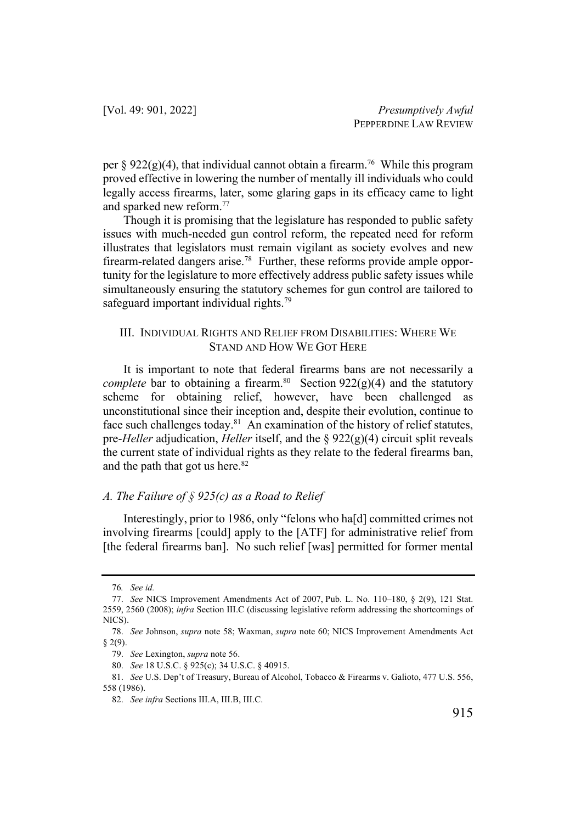per § 922(g)(4), that individual cannot obtain a firearm.<sup>76</sup> While this program proved effective in lowering the number of mentally ill individuals who could legally access firearms, later, some glaring gaps in its efficacy came to light and sparked new reform.77

Though it is promising that the legislature has responded to public safety issues with much-needed gun control reform, the repeated need for reform illustrates that legislators must remain vigilant as society evolves and new firearm-related dangers arise.<sup>78</sup> Further, these reforms provide ample opportunity for the legislature to more effectively address public safety issues while simultaneously ensuring the statutory schemes for gun control are tailored to safeguard important individual rights.<sup>79</sup>

#### III. INDIVIDUAL RIGHTS AND RELIEF FROM DISABILITIES: WHERE WE STAND AND HOW WE GOT HERE

It is important to note that federal firearms bans are not necessarily a *complete* bar to obtaining a firearm.<sup>80</sup> Section  $922(g)(4)$  and the statutory scheme for obtaining relief, however, have been challenged as unconstitutional since their inception and, despite their evolution, continue to face such challenges today.<sup>81</sup> An examination of the history of relief statutes, pre-*Heller* adjudication, *Heller* itself, and the § 922(g)(4) circuit split reveals the current state of individual rights as they relate to the federal firearms ban, and the path that got us here.<sup>82</sup>

#### *A. The Failure of § 925(c) as a Road to Relief*

Interestingly, prior to 1986, only "felons who ha[d] committed crimes not involving firearms [could] apply to the [ATF] for administrative relief from [the federal firearms ban]. No such relief [was] permitted for former mental

<sup>76</sup>*. See id.* 

<sup>77.</sup> *See* NICS Improvement Amendments Act of 2007, Pub. L. No. 110–180, § 2(9), 121 Stat. 2559, 2560 (2008); *infra* Section III.C (discussing legislative reform addressing the shortcomings of NICS).

<sup>78.</sup> *See* Johnson, *supra* note 58; Waxman, *supra* note 60; NICS Improvement Amendments Act § 2(9).

<sup>79.</sup> *See* Lexington, *supra* note 56.

<sup>80.</sup> *See* 18 U.S.C. § 925(c); 34 U.S.C. § 40915.

<sup>81.</sup> *See* U.S. Dep't of Treasury, Bureau of Alcohol, Tobacco & Firearms v. Galioto, 477 U.S. 556, 558 (1986).

<sup>82.</sup> *See infra* Sections III.A, III.B, III.C.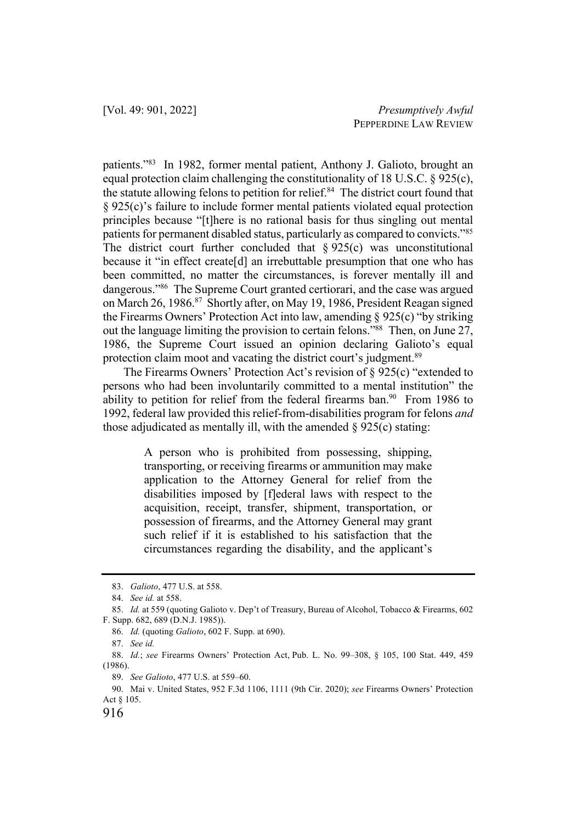patients."83 In 1982, former mental patient, Anthony J. Galioto, brought an equal protection claim challenging the constitutionality of 18 U.S.C. § 925(c), the statute allowing felons to petition for relief. $84$  The district court found that § 925(c)'s failure to include former mental patients violated equal protection principles because "[t]here is no rational basis for thus singling out mental patients for permanent disabled status, particularly as compared to convicts."85 The district court further concluded that  $\S 925(c)$  was unconstitutional because it "in effect create[d] an irrebuttable presumption that one who has been committed, no matter the circumstances, is forever mentally ill and dangerous."86 The Supreme Court granted certiorari, and the case was argued on March 26, 1986.87 Shortly after, on May 19, 1986, President Reagan signed the Firearms Owners' Protection Act into law, amending § 925(c) "by striking out the language limiting the provision to certain felons."88 Then, on June 27, 1986, the Supreme Court issued an opinion declaring Galioto's equal protection claim moot and vacating the district court's judgment.<sup>89</sup>

The Firearms Owners' Protection Act's revision of § 925(c) "extended to persons who had been involuntarily committed to a mental institution" the ability to petition for relief from the federal firearms ban.<sup>90</sup> From 1986 to 1992, federal law provided this relief-from-disabilities program for felons *and* those adjudicated as mentally ill, with the amended  $\S$  925(c) stating:

> A person who is prohibited from possessing, shipping, transporting, or receiving firearms or ammunition may make application to the Attorney General for relief from the disabilities imposed by [f]ederal laws with respect to the acquisition, receipt, transfer, shipment, transportation, or possession of firearms, and the Attorney General may grant such relief if it is established to his satisfaction that the circumstances regarding the disability, and the applicant's

<sup>83.</sup> *Galioto*, 477 U.S. at 558.

<sup>84.</sup> *See id.* at 558.

<sup>85.</sup> *Id.* at 559 (quoting Galioto v. Dep't of Treasury, Bureau of Alcohol, Tobacco & Firearms, 602 F. Supp. 682, 689 (D.N.J. 1985)).

<sup>86.</sup> *Id.* (quoting *Galioto*, 602 F. Supp. at 690).

<sup>87.</sup> *See id.*

<sup>88.</sup> *Id.*; *see* Firearms Owners' Protection Act, Pub. L. No. 99–308, § 105, 100 Stat. 449, 459 (1986).

<sup>89.</sup> *See Galioto*, 477 U.S. at 559–60.

<sup>90.</sup> Mai v. United States, 952 F.3d 1106, 1111 (9th Cir. 2020); *see* Firearms Owners' Protection Act § 105.

<sup>916</sup>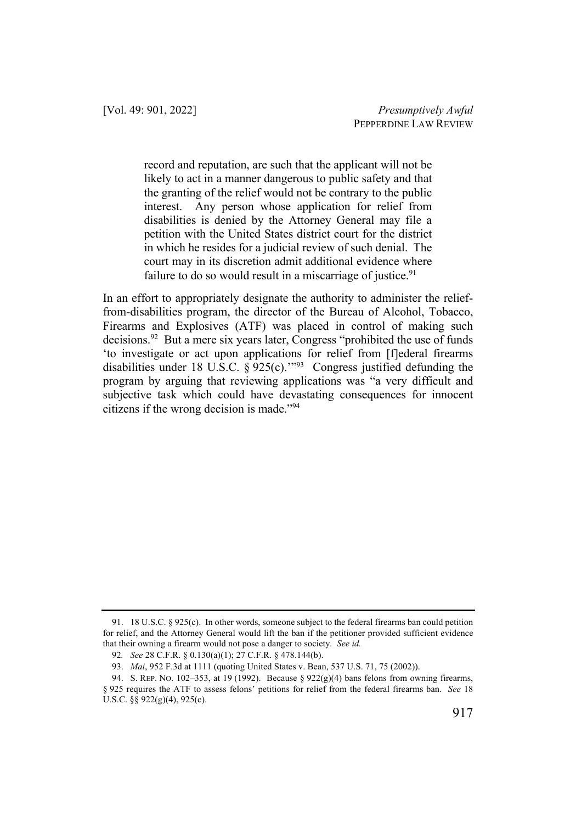record and reputation, are such that the applicant will not be likely to act in a manner dangerous to public safety and that the granting of the relief would not be contrary to the public interest. Any person whose application for relief from disabilities is denied by the Attorney General may file a petition with the United States district court for the district in which he resides for a judicial review of such denial. The court may in its discretion admit additional evidence where failure to do so would result in a miscarriage of justice.<sup>91</sup>

In an effort to appropriately designate the authority to administer the relieffrom-disabilities program, the director of the Bureau of Alcohol, Tobacco, Firearms and Explosives (ATF) was placed in control of making such decisions.<sup>92</sup> But a mere six years later, Congress "prohibited the use of funds 'to investigate or act upon applications for relief from [f]ederal firearms disabilities under 18 U.S.C.  $\S 925(c)$ .<sup>293</sup> Congress justified defunding the program by arguing that reviewing applications was "a very difficult and subjective task which could have devastating consequences for innocent citizens if the wrong decision is made."94

<sup>91.</sup> 18 U.S.C. § 925(c). In other words, someone subject to the federal firearms ban could petition for relief, and the Attorney General would lift the ban if the petitioner provided sufficient evidence that their owning a firearm would not pose a danger to society*. See id.*

<sup>92</sup>*. See* 28 C.F.R. § 0.130(a)(1); 27 C.F.R. § 478.144(b).

<sup>93.</sup> *Mai*, 952 F.3d at 1111 (quoting United States v. Bean, 537 U.S. 71, 75 (2002)).

<sup>94.</sup> S. REP. NO. 102–353, at 19 (1992). Because § 922(g)(4) bans felons from owning firearms, § 925 requires the ATF to assess felons' petitions for relief from the federal firearms ban. *See* 18 U.S.C. §§ 922(g)(4), 925(c).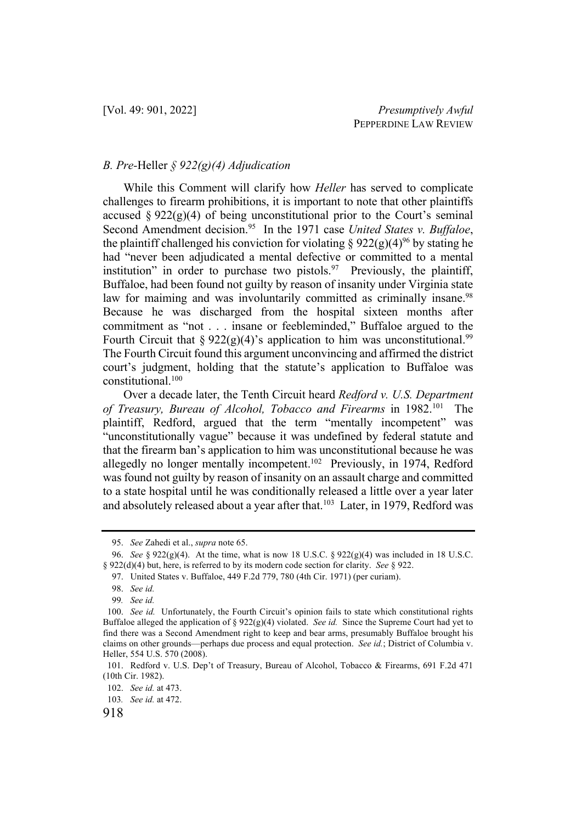#### *B. Pre-*Heller *§ 922(g)(4) Adjudication*

While this Comment will clarify how *Heller* has served to complicate challenges to firearm prohibitions, it is important to note that other plaintiffs accused  $\S 922(g)(4)$  of being unconstitutional prior to the Court's seminal Second Amendment decision.<sup>95</sup> In the 1971 case *United States v. Buffaloe*, the plaintiff challenged his conviction for violating  $\S 922(g)(4)^{96}$  by stating he had "never been adjudicated a mental defective or committed to a mental institution" in order to purchase two pistols.<sup>97</sup> Previously, the plaintiff, Buffaloe, had been found not guilty by reason of insanity under Virginia state law for maiming and was involuntarily committed as criminally insane.<sup>98</sup> Because he was discharged from the hospital sixteen months after commitment as "not . . . insane or feebleminded," Buffaloe argued to the Fourth Circuit that §  $922(g)(4)$ 's application to him was unconstitutional.<sup>99</sup> The Fourth Circuit found this argument unconvincing and affirmed the district court's judgment, holding that the statute's application to Buffaloe was constitutional.100

Over a decade later, the Tenth Circuit heard *Redford v. U.S. Department of Treasury, Bureau of Alcohol, Tobacco and Firearms* in 1982.101 The plaintiff, Redford, argued that the term "mentally incompetent" was "unconstitutionally vague" because it was undefined by federal statute and that the firearm ban's application to him was unconstitutional because he was allegedly no longer mentally incompetent.<sup>102</sup> Previously, in 1974, Redford was found not guilty by reason of insanity on an assault charge and committed to a state hospital until he was conditionally released a little over a year later and absolutely released about a year after that.<sup>103</sup> Later, in 1979, Redford was

<sup>95.</sup> *See* Zahedi et al., *supra* note 65.

<sup>96.</sup> *See* § 922(g)(4). At the time, what is now 18 U.S.C. § 922(g)(4) was included in 18 U.S.C. § 922(d)(4) but, here, is referred to by its modern code section for clarity. *See* § 922.

<sup>97.</sup> United States v. Buffaloe, 449 F.2d 779, 780 (4th Cir. 1971) (per curiam).

<sup>98.</sup> *See id.* 

<sup>99</sup>*. See id.* 

<sup>100.</sup> *See id.* Unfortunately, the Fourth Circuit's opinion fails to state which constitutional rights Buffaloe alleged the application of  $\S 922(g)(4)$  violated. *See id.* Since the Supreme Court had yet to find there was a Second Amendment right to keep and bear arms, presumably Buffaloe brought his claims on other grounds—perhaps due process and equal protection. *See id.*; District of Columbia v. Heller, 554 U.S. 570 (2008).

<sup>101.</sup> Redford v. U.S. Dep't of Treasury, Bureau of Alcohol, Tobacco & Firearms, 691 F.2d 471 (10th Cir. 1982).

<sup>102.</sup> *See id.* at 473.

<sup>103</sup>*. See id.* at 472.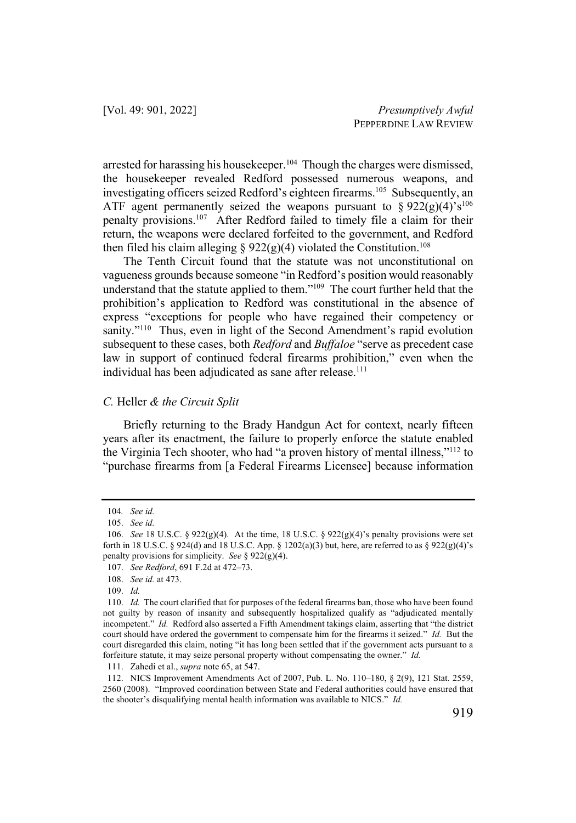arrested for harassing his housekeeper.104 Though the charges were dismissed, the housekeeper revealed Redford possessed numerous weapons, and investigating officers seized Redford's eighteen firearms.<sup>105</sup> Subsequently, an ATF agent permanently seized the weapons pursuant to  $\S 922(g)(4)^{6} s^{106}$ penalty provisions.107 After Redford failed to timely file a claim for their return, the weapons were declared forfeited to the government, and Redford then filed his claim alleging §  $922(g)(4)$  violated the Constitution.<sup>108</sup>

The Tenth Circuit found that the statute was not unconstitutional on vagueness grounds because someone "in Redford's position would reasonably understand that the statute applied to them."109 The court further held that the prohibition's application to Redford was constitutional in the absence of express "exceptions for people who have regained their competency or sanity."<sup>110</sup> Thus, even in light of the Second Amendment's rapid evolution subsequent to these cases, both *Redford* and *Buffaloe* "serve as precedent case law in support of continued federal firearms prohibition," even when the individual has been adjudicated as sane after release.<sup>111</sup>

#### *C.* Heller *& the Circuit Split*

Briefly returning to the Brady Handgun Act for context, nearly fifteen years after its enactment, the failure to properly enforce the statute enabled the Virginia Tech shooter, who had "a proven history of mental illness,"112 to "purchase firearms from [a Federal Firearms Licensee] because information

<sup>104</sup>*. See id.* 

<sup>105.</sup> *See id.*

<sup>106.</sup> *See* 18 U.S.C. § 922(g)(4). At the time, 18 U.S.C. § 922(g)(4)'s penalty provisions were set forth in 18 U.S.C. § 924(d) and 18 U.S.C. App. § 1202(a)(3) but, here, are referred to as § 922(g)(4)'s penalty provisions for simplicity. *See* § 922(g)(4).

<sup>107.</sup> *See Redford*, 691 F.2d at 472–73.

<sup>108.</sup> *See id.* at 473.

<sup>109.</sup> *Id.*

<sup>110.</sup> *Id.* The court clarified that for purposes of the federal firearms ban, those who have been found not guilty by reason of insanity and subsequently hospitalized qualify as "adjudicated mentally incompetent." *Id.* Redford also asserted a Fifth Amendment takings claim, asserting that "the district court should have ordered the government to compensate him for the firearms it seized." *Id.* But the court disregarded this claim, noting "it has long been settled that if the government acts pursuant to a forfeiture statute, it may seize personal property without compensating the owner." *Id.* 

<sup>111.</sup> Zahedi et al., *supra* note 65, at 547.

<sup>112.</sup> NICS Improvement Amendments Act of 2007, Pub. L. No. 110–180, § 2(9), 121 Stat. 2559, 2560 (2008). "Improved coordination between State and Federal authorities could have ensured that the shooter's disqualifying mental health information was available to NICS." *Id.*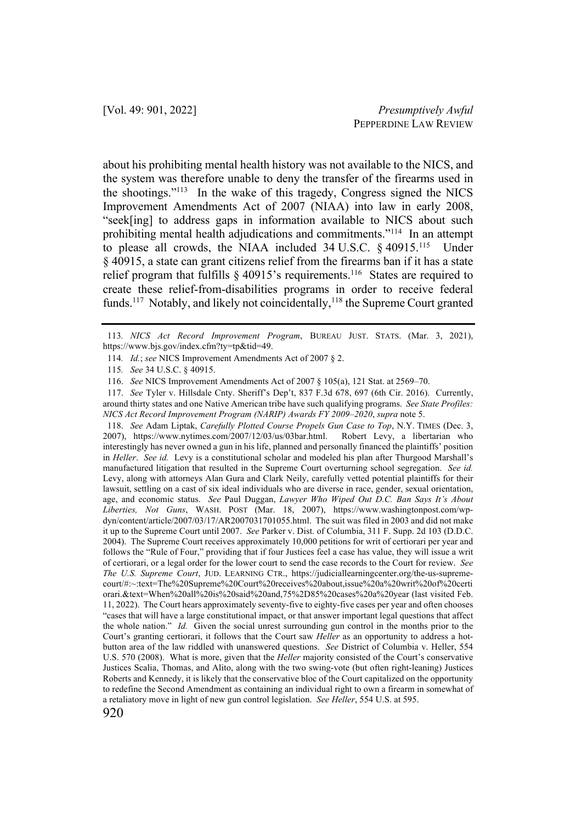about his prohibiting mental health history was not available to the NICS, and the system was therefore unable to deny the transfer of the firearms used in the shootings."113 In the wake of this tragedy, Congress signed the NICS Improvement Amendments Act of 2007 (NIAA) into law in early 2008, "seek[ing] to address gaps in information available to NICS about such prohibiting mental health adjudications and commitments."114 In an attempt to please all crowds, the NIAA included 34 U.S.C. § 40915.115 Under § 40915, a state can grant citizens relief from the firearms ban if it has a state relief program that fulfills  $\S$  40915's requirements.<sup>116</sup> States are required to create these relief-from-disabilities programs in order to receive federal funds.<sup>117</sup> Notably, and likely not coincidentally,<sup>118</sup> the Supreme Court granted

118. *See* Adam Liptak, *Carefully Plotted Course Propels Gun Case to Top*, N.Y. TIMES (Dec. 3, 2007), https://www.nytimes.com/2007/12/03/us/03bar.html. Robert Levy, a libertarian who interestingly has never owned a gun in his life, planned and personally financed the plaintiffs' position in *Heller*. *See id.* Levy is a constitutional scholar and modeled his plan after Thurgood Marshall's manufactured litigation that resulted in the Supreme Court overturning school segregation. *See id.* Levy, along with attorneys Alan Gura and Clark Neily, carefully vetted potential plaintiffs for their lawsuit, settling on a cast of six ideal individuals who are diverse in race, gender, sexual orientation, age, and economic status. *See* Paul Duggan, *Lawyer Who Wiped Out D.C. Ban Says It's About Liberties, Not Guns*, WASH. POST (Mar. 18, 2007), https://www.washingtonpost.com/wpdyn/content/article/2007/03/17/AR2007031701055.html. The suit was filed in 2003 and did not make it up to the Supreme Court until 2007. *See* Parker v. Dist. of Columbia, 311 F. Supp. 2d 103 (D.D.C. 2004). The Supreme Court receives approximately 10,000 petitions for writ of certiorari per year and follows the "Rule of Four," providing that if four Justices feel a case has value, they will issue a writ of certiorari, or a legal order for the lower court to send the case records to the Court for review. *See The U.S. Supreme Court*, JUD. LEARNING CTR., https://judiciallearningcenter.org/the-us-supremecourt/#:~:text=The%20Supreme%20Court%20receives%20about,issue%20a%20writ%20of%20certi orari.&text=When%20all%20is%20said%20and,75%2D85%20cases%20a%20year (last visited Feb. 11, 2022). The Court hears approximately seventy-five to eighty-five cases per year and often chooses "cases that will have a large constitutional impact, or that answer important legal questions that affect the whole nation." *Id.* Given the social unrest surrounding gun control in the months prior to the Court's granting certiorari, it follows that the Court saw *Heller* as an opportunity to address a hotbutton area of the law riddled with unanswered questions. *See* District of Columbia v. Heller, 554 U.S. 570 (2008). What is more, given that the *Heller* majority consisted of the Court's conservative Justices Scalia, Thomas, and Alito, along with the two swing-vote (but often right-leaning) Justices Roberts and Kennedy, it is likely that the conservative bloc of the Court capitalized on the opportunity to redefine the Second Amendment as containing an individual right to own a firearm in somewhat of a retaliatory move in light of new gun control legislation. *See Heller*, 554 U.S. at 595.

<sup>113</sup>*. NICS Act Record Improvement Program*, BUREAU JUST. STATS. (Mar. 3, 2021), https://www.bjs.gov/index.cfm?ty=tp&tid=49.

<sup>114</sup>*. Id.*; *see* NICS Improvement Amendments Act of 2007 § 2.

<sup>115</sup>*. See* 34 U.S.C. § 40915.

<sup>116.</sup> *See* NICS Improvement Amendments Act of 2007 § 105(a), 121 Stat. at 2569–70.

<sup>117.</sup> *See* Tyler v. Hillsdale Cnty. Sheriff's Dep't, 837 F.3d 678, 697 (6th Cir. 2016). Currently, around thirty states and one Native American tribe have such qualifying programs. *See State Profiles: NICS Act Record Improvement Program (NARIP) Awards FY 2009–2020*, *supra* note 5.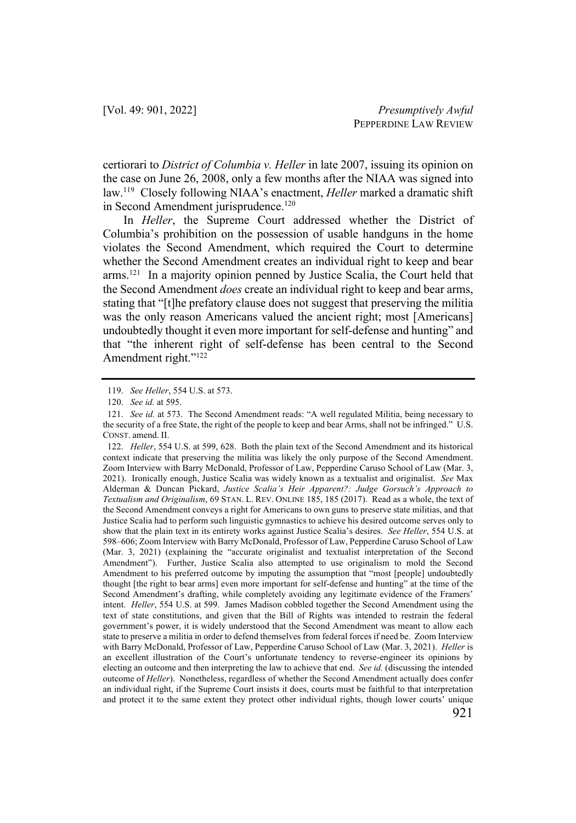certiorari to *District of Columbia v. Heller* in late 2007, issuing its opinion on the case on June 26, 2008, only a few months after the NIAA was signed into law.119 Closely following NIAA's enactment, *Heller* marked a dramatic shift in Second Amendment jurisprudence.<sup>120</sup>

In *Heller*, the Supreme Court addressed whether the District of Columbia's prohibition on the possession of usable handguns in the home violates the Second Amendment, which required the Court to determine whether the Second Amendment creates an individual right to keep and bear arms.121 In a majority opinion penned by Justice Scalia, the Court held that the Second Amendment *does* create an individual right to keep and bear arms, stating that "[t]he prefatory clause does not suggest that preserving the militia was the only reason Americans valued the ancient right; most [Americans] undoubtedly thought it even more important for self-defense and hunting" and that "the inherent right of self-defense has been central to the Second Amendment right."122

<sup>119.</sup> *See Heller*, 554 U.S. at 573.

<sup>120.</sup> *See id.* at 595.

<sup>121.</sup> *See id.* at 573. The Second Amendment reads: "A well regulated Militia, being necessary to the security of a free State, the right of the people to keep and bear Arms, shall not be infringed." U.S. CONST. amend. II.

<sup>122.</sup> *Heller*, 554 U.S. at 599, 628. Both the plain text of the Second Amendment and its historical context indicate that preserving the militia was likely the only purpose of the Second Amendment. Zoom Interview with Barry McDonald, Professor of Law, Pepperdine Caruso School of Law (Mar. 3, 2021). Ironically enough, Justice Scalia was widely known as a textualist and originalist. *See* Max Alderman & Duncan Pickard, *Justice Scalia's Heir Apparent?: Judge Gorsuch's Approach to Textualism and Originalism*, 69 STAN. L. REV. ONLINE 185, 185 (2017). Read as a whole, the text of the Second Amendment conveys a right for Americans to own guns to preserve state militias, and that Justice Scalia had to perform such linguistic gymnastics to achieve his desired outcome serves only to show that the plain text in its entirety works against Justice Scalia's desires. *See Heller*, 554 U.S. at 598–606; Zoom Interview with Barry McDonald, Professor of Law, Pepperdine Caruso School of Law (Mar. 3, 2021) (explaining the "accurate originalist and textualist interpretation of the Second Amendment"). Further, Justice Scalia also attempted to use originalism to mold the Second Amendment to his preferred outcome by imputing the assumption that "most [people] undoubtedly thought [the right to bear arms] even more important for self-defense and hunting" at the time of the Second Amendment's drafting, while completely avoiding any legitimate evidence of the Framers' intent. *Heller*, 554 U.S. at 599. James Madison cobbled together the Second Amendment using the text of state constitutions, and given that the Bill of Rights was intended to restrain the federal government's power, it is widely understood that the Second Amendment was meant to allow each state to preserve a militia in order to defend themselves from federal forces if need be. Zoom Interview with Barry McDonald, Professor of Law, Pepperdine Caruso School of Law (Mar. 3, 2021). *Heller* is an excellent illustration of the Court's unfortunate tendency to reverse-engineer its opinions by electing an outcome and then interpreting the law to achieve that end. *See id.* (discussing the intended outcome of *Heller*). Nonetheless, regardless of whether the Second Amendment actually does confer an individual right, if the Supreme Court insists it does, courts must be faithful to that interpretation and protect it to the same extent they protect other individual rights, though lower courts' unique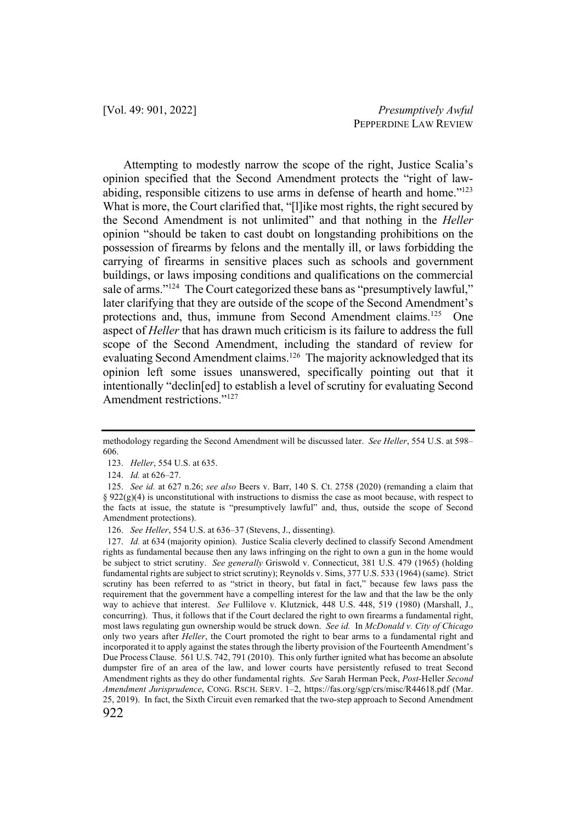Attempting to modestly narrow the scope of the right, Justice Scalia's opinion specified that the Second Amendment protects the "right of lawabiding, responsible citizens to use arms in defense of hearth and home."123 What is more, the Court clarified that, "[l]ike most rights, the right secured by the Second Amendment is not unlimited" and that nothing in the *Heller*  opinion "should be taken to cast doubt on longstanding prohibitions on the possession of firearms by felons and the mentally ill, or laws forbidding the carrying of firearms in sensitive places such as schools and government buildings, or laws imposing conditions and qualifications on the commercial sale of arms."<sup>124</sup> The Court categorized these bans as "presumptively lawful," later clarifying that they are outside of the scope of the Second Amendment's protections and, thus, immune from Second Amendment claims.125 One aspect of *Heller* that has drawn much criticism is its failure to address the full scope of the Second Amendment, including the standard of review for evaluating Second Amendment claims.<sup>126</sup> The majority acknowledged that its opinion left some issues unanswered, specifically pointing out that it intentionally "declin[ed] to establish a level of scrutiny for evaluating Second Amendment restrictions."127

methodology regarding the Second Amendment will be discussed later. *See Heller*, 554 U.S. at 598– 606.

<sup>123.</sup> *Heller*, 554 U.S. at 635.

<sup>124.</sup> *Id.* at 626–27.

<sup>125.</sup> *See id.* at 627 n.26; *see also* Beers v. Barr, 140 S. Ct. 2758 (2020) (remanding a claim that §  $922(g)(4)$  is unconstitutional with instructions to dismiss the case as moot because, with respect to the facts at issue, the statute is "presumptively lawful" and, thus, outside the scope of Second Amendment protections).

<sup>126.</sup> *See Heller*, 554 U.S. at 636–37 (Stevens, J., dissenting).

<sup>922</sup> 127. *Id.* at 634 (majority opinion). Justice Scalia cleverly declined to classify Second Amendment rights as fundamental because then any laws infringing on the right to own a gun in the home would be subject to strict scrutiny. *See generally* Griswold v. Connecticut, 381 U.S. 479 (1965) (holding fundamental rights are subject to strict scrutiny); Reynolds v. Sims, 377 U.S. 533 (1964) (same). Strict scrutiny has been referred to as "strict in theory, but fatal in fact," because few laws pass the requirement that the government have a compelling interest for the law and that the law be the only way to achieve that interest. *See* Fullilove v. Klutznick, 448 U.S. 448, 519 (1980) (Marshall, J., concurring). Thus, it follows that if the Court declared the right to own firearms a fundamental right, most laws regulating gun ownership would be struck down. *See id.* In *McDonald v. City of Chicago*  only two years after *Heller*, the Court promoted the right to bear arms to a fundamental right and incorporated it to apply against the states through the liberty provision of the Fourteenth Amendment's Due Process Clause. 561 U.S. 742, 791 (2010). This only further ignited what has become an absolute dumpster fire of an area of the law, and lower courts have persistently refused to treat Second Amendment rights as they do other fundamental rights. *See* Sarah Herman Peck, *Post-*Heller *Second Amendment Jurisprudence*, CONG. RSCH. SERV. 1–2, https://fas.org/sgp/crs/misc/R44618.pdf (Mar. 25, 2019). In fact, the Sixth Circuit even remarked that the two-step approach to Second Amendment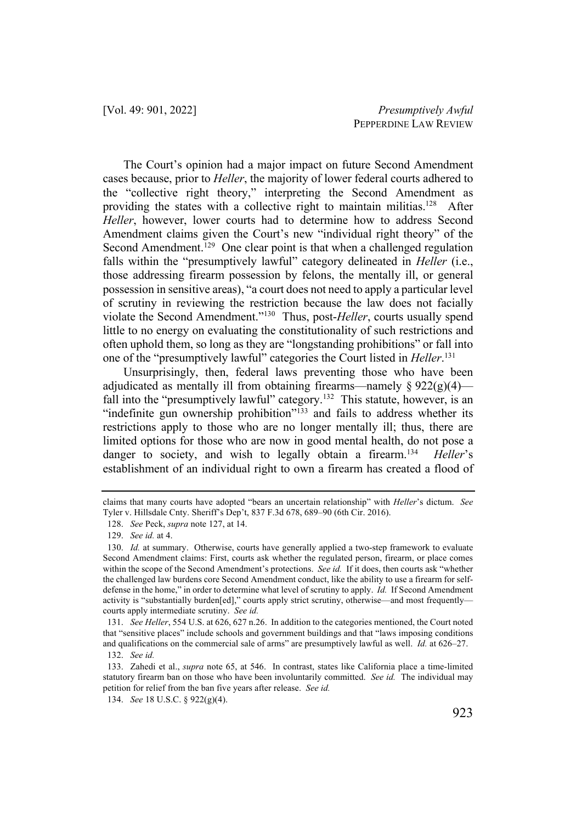The Court's opinion had a major impact on future Second Amendment cases because, prior to *Heller*, the majority of lower federal courts adhered to the "collective right theory," interpreting the Second Amendment as providing the states with a collective right to maintain militias.<sup>128</sup> After *Heller*, however, lower courts had to determine how to address Second Amendment claims given the Court's new "individual right theory" of the Second Amendment.<sup>129</sup> One clear point is that when a challenged regulation falls within the "presumptively lawful" category delineated in *Heller* (i.e., those addressing firearm possession by felons, the mentally ill, or general possession in sensitive areas), "a court does not need to apply a particular level of scrutiny in reviewing the restriction because the law does not facially violate the Second Amendment."130 Thus, post-*Heller*, courts usually spend little to no energy on evaluating the constitutionality of such restrictions and often uphold them, so long as they are "longstanding prohibitions" or fall into one of the "presumptively lawful" categories the Court listed in *Heller*. 131

Unsurprisingly, then, federal laws preventing those who have been adjudicated as mentally ill from obtaining firearms—namely  $\S 922(g)(4)$  fall into the "presumptively lawful" category.<sup>132</sup> This statute, however, is an "indefinite gun ownership prohibition"<sup>133</sup> and fails to address whether its restrictions apply to those who are no longer mentally ill; thus, there are limited options for those who are now in good mental health, do not pose a danger to society, and wish to legally obtain a firearm.134 *Heller*'s establishment of an individual right to own a firearm has created a flood of

claims that many courts have adopted "bears an uncertain relationship" with *Heller*'s dictum. *See*  Tyler v. Hillsdale Cnty. Sheriff's Dep't, 837 F.3d 678, 689–90 (6th Cir. 2016).

<sup>128.</sup> *See* Peck, *supra* note 127, at 14.

<sup>129.</sup> *See id.* at 4.

<sup>130.</sup> *Id.* at summary. Otherwise, courts have generally applied a two-step framework to evaluate Second Amendment claims: First, courts ask whether the regulated person, firearm, or place comes within the scope of the Second Amendment's protections. *See id.* If it does, then courts ask "whether the challenged law burdens core Second Amendment conduct, like the ability to use a firearm for selfdefense in the home," in order to determine what level of scrutiny to apply. *Id.* If Second Amendment activity is "substantially burden[ed]," courts apply strict scrutiny, otherwise—and most frequently courts apply intermediate scrutiny. *See id.*

<sup>131.</sup> *See Heller*, 554 U.S. at 626, 627 n.26. In addition to the categories mentioned, the Court noted that "sensitive places" include schools and government buildings and that "laws imposing conditions and qualifications on the commercial sale of arms" are presumptively lawful as well. *Id.* at 626–27. 132. *See id.* 

<sup>133.</sup> Zahedi et al., *supra* note 65, at 546. In contrast, states like California place a time-limited statutory firearm ban on those who have been involuntarily committed. *See id.* The individual may petition for relief from the ban five years after release. *See id.*

<sup>134.</sup> *See* 18 U.S.C. § 922(g)(4).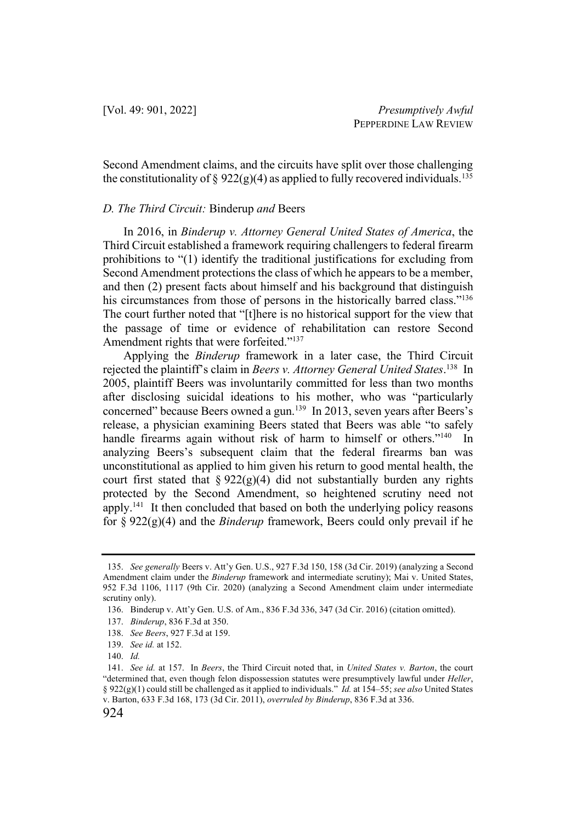Second Amendment claims, and the circuits have split over those challenging the constitutionality of § 922(g)(4) as applied to fully recovered individuals.<sup>135</sup>

#### *D. The Third Circuit:* Binderup *and* Beers

In 2016, in *Binderup v. Attorney General United States of America*, the Third Circuit established a framework requiring challengers to federal firearm prohibitions to "(1) identify the traditional justifications for excluding from Second Amendment protections the class of which he appears to be a member, and then (2) present facts about himself and his background that distinguish his circumstances from those of persons in the historically barred class."<sup>136</sup> The court further noted that "[t]here is no historical support for the view that the passage of time or evidence of rehabilitation can restore Second Amendment rights that were forfeited."<sup>137</sup>

Applying the *Binderup* framework in a later case, the Third Circuit rejected the plaintiff's claim in *Beers v. Attorney General United States*. 138 In 2005, plaintiff Beers was involuntarily committed for less than two months after disclosing suicidal ideations to his mother, who was "particularly concerned" because Beers owned a gun. 139 In 2013, seven years after Beers's release, a physician examining Beers stated that Beers was able "to safely handle firearms again without risk of harm to himself or others."<sup>140</sup> In analyzing Beers's subsequent claim that the federal firearms ban was unconstitutional as applied to him given his return to good mental health, the court first stated that  $\S 922(g)(4)$  did not substantially burden any rights protected by the Second Amendment, so heightened scrutiny need not apply.<sup>141</sup> It then concluded that based on both the underlying policy reasons for § 922(g)(4) and the *Binderup* framework, Beers could only prevail if he

<sup>135.</sup> *See generally* Beers v. Att'y Gen. U.S., 927 F.3d 150, 158 (3d Cir. 2019) (analyzing a Second Amendment claim under the *Binderup* framework and intermediate scrutiny); Mai v. United States, 952 F.3d 1106, 1117 (9th Cir. 2020) (analyzing a Second Amendment claim under intermediate scrutiny only).

<sup>136.</sup> Binderup v. Att'y Gen. U.S. of Am., 836 F.3d 336, 347 (3d Cir. 2016) (citation omitted).

<sup>137.</sup> *Binderup*, 836 F.3d at 350.

<sup>138.</sup> *See Beers*, 927 F.3d at 159.

<sup>139.</sup> *See id.* at 152.

<sup>140.</sup> *Id.*

<sup>141.</sup> *See id.* at 157. In *Beers*, the Third Circuit noted that, in *United States v. Barton*, the court "determined that, even though felon dispossession statutes were presumptively lawful under *Heller*, § 922(g)(1) could still be challenged as it applied to individuals." *Id.* at 154–55; *see also* United States v. Barton, 633 F.3d 168, 173 (3d Cir. 2011), *overruled by Binderup*, 836 F.3d at 336.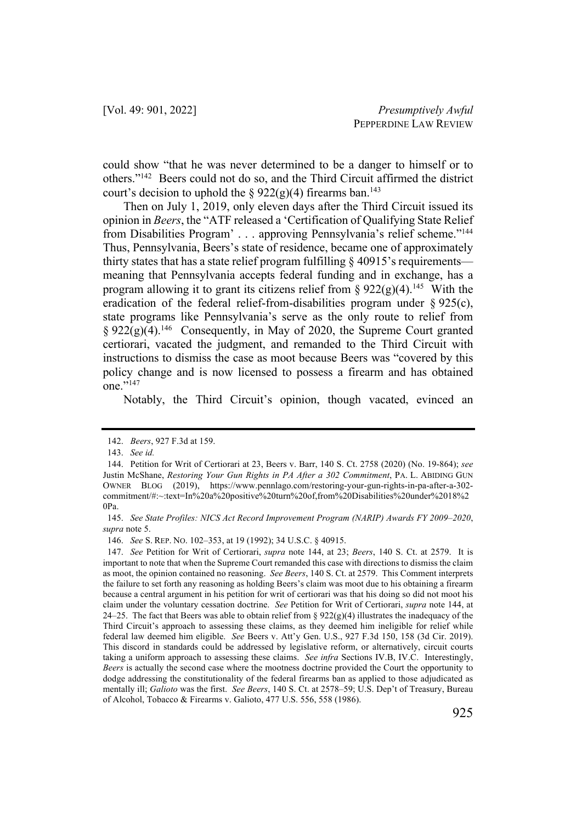could show "that he was never determined to be a danger to himself or to others."142 Beers could not do so, and the Third Circuit affirmed the district court's decision to uphold the §  $922(g)(4)$  firearms ban.<sup>143</sup>

Then on July 1, 2019, only eleven days after the Third Circuit issued its opinion in *Beers*, the "ATF released a 'Certification of Qualifying State Relief from Disabilities Program' . . . approving Pennsylvania's relief scheme."144 Thus, Pennsylvania, Beers's state of residence, became one of approximately thirty states that has a state relief program fulfilling  $\S$  40915's requirements meaning that Pennsylvania accepts federal funding and in exchange, has a program allowing it to grant its citizens relief from §  $922(g)(4)$ .<sup>145</sup> With the eradication of the federal relief-from-disabilities program under § 925(c), state programs like Pennsylvania's serve as the only route to relief from  $§ 922(g)(4).$ <sup>146</sup> Consequently, in May of 2020, the Supreme Court granted certiorari, vacated the judgment, and remanded to the Third Circuit with instructions to dismiss the case as moot because Beers was "covered by this policy change and is now licensed to possess a firearm and has obtained one."147

Notably, the Third Circuit's opinion, though vacated, evinced an

<sup>142.</sup> *Beers*, 927 F.3d at 159.

<sup>143.</sup> *See id.*

<sup>144.</sup> Petition for Writ of Certiorari at 23, Beers v. Barr, 140 S. Ct. 2758 (2020) (No. 19-864); *see* Justin McShane, *Restoring Your Gun Rights in PA After a 302 Commitment*, PA. L. ABIDING GUN OWNER BLOG (2019), https://www.pennlago.com/restoring-your-gun-rights-in-pa-after-a-302 commitment/#:~:text=In%20a%20positive%20turn%20of,from%20Disabilities%20under%2018%2 0Pa.

<sup>145.</sup> *See State Profiles: NICS Act Record Improvement Program (NARIP) Awards FY 2009–2020*, *supra* note 5.

<sup>146.</sup> *See* S. REP. NO. 102–353, at 19 (1992); 34 U.S.C. § 40915.

<sup>147.</sup> *See* Petition for Writ of Certiorari, *supra* note 144, at 23; *Beers*, 140 S. Ct. at 2579. It is important to note that when the Supreme Court remanded this case with directions to dismiss the claim as moot, the opinion contained no reasoning. *See Beers*, 140 S. Ct. at 2579. This Comment interprets the failure to set forth any reasoning as holding Beers's claim was moot due to his obtaining a firearm because a central argument in his petition for writ of certiorari was that his doing so did not moot his claim under the voluntary cessation doctrine. *See* Petition for Writ of Certiorari, *supra* note 144, at 24–25. The fact that Beers was able to obtain relief from §  $922(g)(4)$  illustrates the inadequacy of the Third Circuit's approach to assessing these claims, as they deemed him ineligible for relief while federal law deemed him eligible. *See* Beers v. Att'y Gen. U.S., 927 F.3d 150, 158 (3d Cir. 2019). This discord in standards could be addressed by legislative reform, or alternatively, circuit courts taking a uniform approach to assessing these claims. *See infra* Sections IV.B, IV.C. Interestingly, *Beers* is actually the second case where the mootness doctrine provided the Court the opportunity to dodge addressing the constitutionality of the federal firearms ban as applied to those adjudicated as mentally ill; *Galioto* was the first. *See Beers*, 140 S. Ct. at 2578–59; U.S. Dep't of Treasury, Bureau of Alcohol, Tobacco & Firearms v. Galioto, 477 U.S. 556, 558 (1986).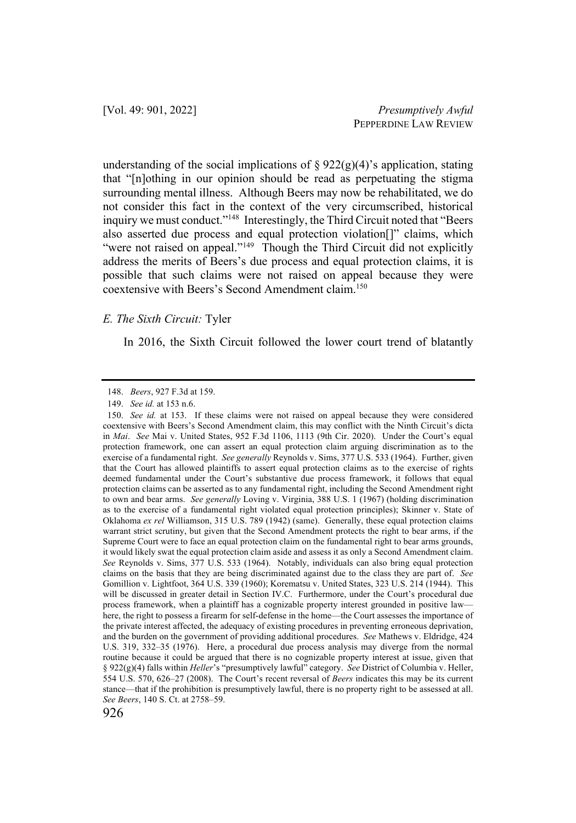understanding of the social implications of  $\S 922(g)(4)$ 's application, stating that "[n]othing in our opinion should be read as perpetuating the stigma surrounding mental illness. Although Beers may now be rehabilitated, we do not consider this fact in the context of the very circumscribed, historical inquiry we must conduct."<sup>148</sup> Interestingly, the Third Circuit noted that "Beers" also asserted due process and equal protection violation[]" claims, which "were not raised on appeal."<sup>149</sup> Though the Third Circuit did not explicitly address the merits of Beers's due process and equal protection claims, it is possible that such claims were not raised on appeal because they were coextensive with Beers's Second Amendment claim. 150

#### *E. The Sixth Circuit:* Tyler

In 2016, the Sixth Circuit followed the lower court trend of blatantly

<sup>148.</sup> *Beers*, 927 F.3d at 159.

<sup>149.</sup> *See id.* at 153 n.6.

<sup>150.</sup> *See id.* at 153. If these claims were not raised on appeal because they were considered coextensive with Beers's Second Amendment claim, this may conflict with the Ninth Circuit's dicta in *Mai*. *See* Mai v. United States, 952 F.3d 1106, 1113 (9th Cir. 2020). Under the Court's equal protection framework, one can assert an equal protection claim arguing discrimination as to the exercise of a fundamental right. *See generally* Reynolds v. Sims, 377 U.S. 533 (1964). Further, given that the Court has allowed plaintiffs to assert equal protection claims as to the exercise of rights deemed fundamental under the Court's substantive due process framework, it follows that equal protection claims can be asserted as to any fundamental right, including the Second Amendment right to own and bear arms. *See generally* Loving v. Virginia, 388 U.S. 1 (1967) (holding discrimination as to the exercise of a fundamental right violated equal protection principles); Skinner v. State of Oklahoma *ex rel* Williamson, 315 U.S. 789 (1942) (same). Generally, these equal protection claims warrant strict scrutiny, but given that the Second Amendment protects the right to bear arms, if the Supreme Court were to face an equal protection claim on the fundamental right to bear arms grounds, it would likely swat the equal protection claim aside and assess it as only a Second Amendment claim. *See* Reynolds v. Sims, 377 U.S. 533 (1964). Notably, individuals can also bring equal protection claims on the basis that they are being discriminated against due to the class they are part of. *See* Gomillion v. Lightfoot, 364 U.S. 339 (1960); Korematsu v. United States, 323 U.S. 214 (1944). This will be discussed in greater detail in Section IV.C. Furthermore, under the Court's procedural due process framework, when a plaintiff has a cognizable property interest grounded in positive law here, the right to possess a firearm for self-defense in the home—the Court assesses the importance of the private interest affected, the adequacy of existing procedures in preventing erroneous deprivation, and the burden on the government of providing additional procedures. *See* Mathews v. Eldridge, 424 U.S. 319, 332–35 (1976). Here, a procedural due process analysis may diverge from the normal routine because it could be argued that there is no cognizable property interest at issue, given that § 922(g)(4) falls within *Heller*'s "presumptively lawful" category. *See* District of Columbia v. Heller, 554 U.S. 570, 626–27 (2008). The Court's recent reversal of *Beers* indicates this may be its current stance—that if the prohibition is presumptively lawful, there is no property right to be assessed at all. *See Beers*, 140 S. Ct. at 2758–59.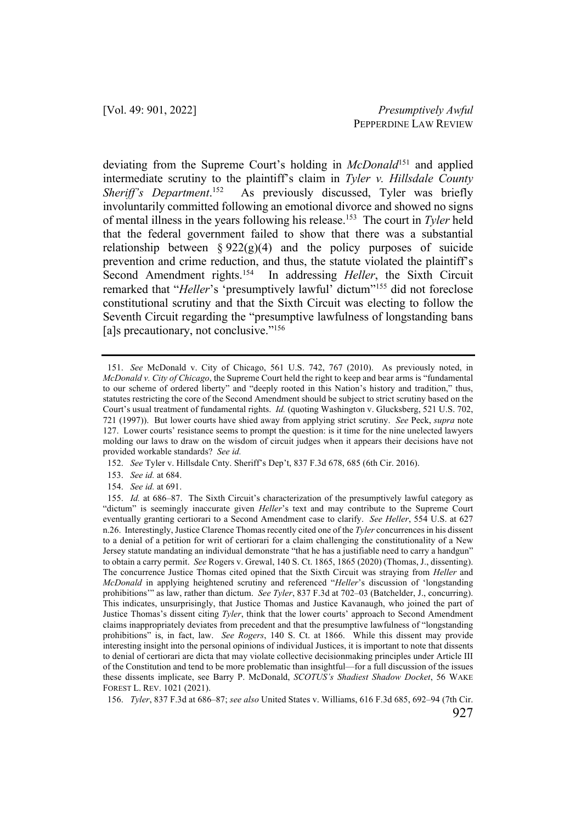deviating from the Supreme Court's holding in *McDonald*<sup>151</sup> and applied intermediate scrutiny to the plaintiff's claim in *Tyler v. Hillsdale County Sheriff's Department*. As previously discussed, Tyler was briefly involuntarily committed following an emotional divorce and showed no signs of mental illness in the years following his release.153 The court in *Tyler* held that the federal government failed to show that there was a substantial relationship between  $\S 922(g)(4)$  and the policy purposes of suicide prevention and crime reduction, and thus, the statute violated the plaintiff's Second Amendment rights.<sup>154</sup> In addressing *Heller*, the Sixth Circuit remarked that "*Heller*'s 'presumptively lawful' dictum"155 did not foreclose constitutional scrutiny and that the Sixth Circuit was electing to follow the Seventh Circuit regarding the "presumptive lawfulness of longstanding bans [a]s precautionary, not conclusive."<sup>156</sup>

152. *See* Tyler v. Hillsdale Cnty. Sheriff's Dep't, 837 F.3d 678, 685 (6th Cir. 2016).

154. *See id.* at 691.

156. *Tyler*, 837 F.3d at 686–87; *see also* United States v. Williams, 616 F.3d 685, 692–94 (7th Cir.

<sup>151.</sup> *See* McDonald v. City of Chicago, 561 U.S. 742, 767 (2010). As previously noted, in *McDonald v. City of Chicago*, the Supreme Court held the right to keep and bear arms is "fundamental to our scheme of ordered liberty" and "deeply rooted in this Nation's history and tradition," thus, statutes restricting the core of the Second Amendment should be subject to strict scrutiny based on the Court's usual treatment of fundamental rights. *Id.* (quoting Washington v. Glucksberg, 521 U.S. 702, 721 (1997)). But lower courts have shied away from applying strict scrutiny. *See* Peck, *supra* note 127. Lower courts' resistance seems to prompt the question: is it time for the nine unelected lawyers molding our laws to draw on the wisdom of circuit judges when it appears their decisions have not provided workable standards? *See id.* 

<sup>153.</sup> *See id.* at 684.

<sup>155.</sup> *Id.* at 686–87. The Sixth Circuit's characterization of the presumptively lawful category as "dictum" is seemingly inaccurate given *Heller*'s text and may contribute to the Supreme Court eventually granting certiorari to a Second Amendment case to clarify. *See Heller*, 554 U.S. at 627 n.26. Interestingly, Justice Clarence Thomas recently cited one of the *Tyler* concurrences in his dissent to a denial of a petition for writ of certiorari for a claim challenging the constitutionality of a New Jersey statute mandating an individual demonstrate "that he has a justifiable need to carry a handgun" to obtain a carry permit. *See* Rogers v. Grewal, 140 S. Ct. 1865, 1865 (2020) (Thomas, J., dissenting). The concurrence Justice Thomas cited opined that the Sixth Circuit was straying from *Heller* and *McDonald* in applying heightened scrutiny and referenced "*Heller*'s discussion of 'longstanding prohibitions'" as law, rather than dictum. *See Tyler*, 837 F.3d at 702–03 (Batchelder, J., concurring). This indicates, unsurprisingly, that Justice Thomas and Justice Kavanaugh, who joined the part of Justice Thomas's dissent citing *Tyler*, think that the lower courts' approach to Second Amendment claims inappropriately deviates from precedent and that the presumptive lawfulness of "longstanding prohibitions" is, in fact, law. *See Rogers*, 140 S. Ct. at 1866. While this dissent may provide interesting insight into the personal opinions of individual Justices, it is important to note that dissents to denial of certiorari are dicta that may violate collective decisionmaking principles under Article III of the Constitution and tend to be more problematic than insightful—for a full discussion of the issues these dissents implicate, see Barry P. McDonald, *SCOTUS's Shadiest Shadow Docket*, 56 WAKE FOREST L. REV. 1021 (2021).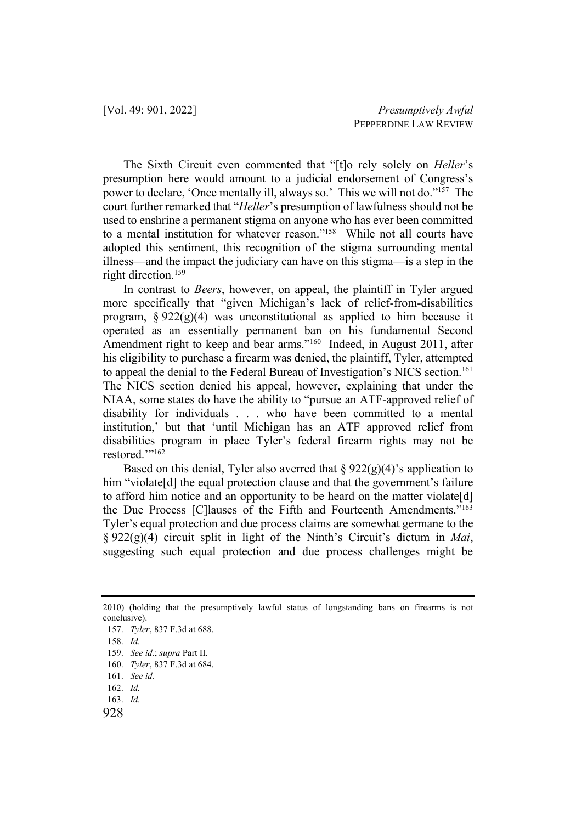The Sixth Circuit even commented that "[t]o rely solely on *Heller*'s presumption here would amount to a judicial endorsement of Congress's power to declare, 'Once mentally ill, always so.' This we will not do."157 The court further remarked that "*Heller*'s presumption of lawfulness should not be used to enshrine a permanent stigma on anyone who has ever been committed to a mental institution for whatever reason."158 While not all courts have adopted this sentiment, this recognition of the stigma surrounding mental illness—and the impact the judiciary can have on this stigma—is a step in the right direction.<sup>159</sup>

In contrast to *Beers*, however, on appeal, the plaintiff in Tyler argued more specifically that "given Michigan's lack of relief-from-disabilities program,  $\S 922(g)(4)$  was unconstitutional as applied to him because it operated as an essentially permanent ban on his fundamental Second Amendment right to keep and bear arms."<sup>160</sup> Indeed, in August 2011, after his eligibility to purchase a firearm was denied, the plaintiff, Tyler, attempted to appeal the denial to the Federal Bureau of Investigation's NICS section.<sup>161</sup> The NICS section denied his appeal, however, explaining that under the NIAA, some states do have the ability to "pursue an ATF-approved relief of disability for individuals . . . who have been committed to a mental institution,' but that 'until Michigan has an ATF approved relief from disabilities program in place Tyler's federal firearm rights may not be restored."<sup>162</sup>

Based on this denial, Tyler also averred that  $\S 922(g)(4)$ 's application to him "violate<sup>[d]</sup> the equal protection clause and that the government's failure to afford him notice and an opportunity to be heard on the matter violate[d] the Due Process [C]lauses of the Fifth and Fourteenth Amendments."<sup>163</sup> Tyler's equal protection and due process claims are somewhat germane to the § 922(g)(4) circuit split in light of the Ninth's Circuit's dictum in *Mai*, suggesting such equal protection and due process challenges might be

<sup>2010) (</sup>holding that the presumptively lawful status of longstanding bans on firearms is not conclusive).

<sup>157.</sup> *Tyler*, 837 F.3d at 688.

<sup>158.</sup> *Id.*

<sup>159.</sup> *See id.*; *supra* Part II.

<sup>160.</sup> *Tyler*, 837 F.3d at 684.

<sup>161.</sup> *See id.*

<sup>162.</sup> *Id.*

<sup>163.</sup> *Id.*

<sup>928</sup>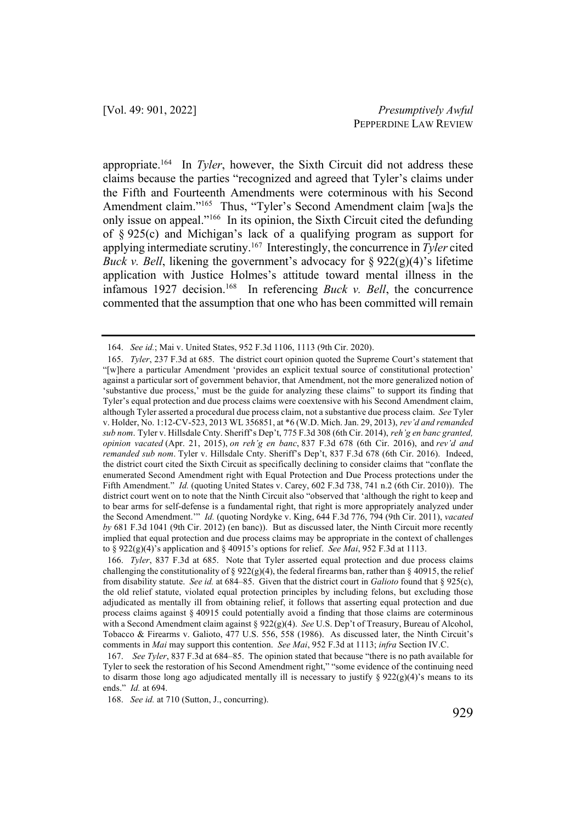appropriate.164 In *Tyler*, however, the Sixth Circuit did not address these claims because the parties "recognized and agreed that Tyler's claims under the Fifth and Fourteenth Amendments were coterminous with his Second Amendment claim."<sup>165</sup> Thus, "Tyler's Second Amendment claim [wa]s the only issue on appeal."166 In its opinion, the Sixth Circuit cited the defunding of § 925(c) and Michigan's lack of a qualifying program as support for applying intermediate scrutiny.167 Interestingly, the concurrence in *Tyler* cited *Buck v. Bell*, likening the government's advocacy for § 922(g)(4)'s lifetime application with Justice Holmes's attitude toward mental illness in the infamous 1927 decision.<sup>168</sup> In referencing *Buck v. Bell*, the concurrence commented that the assumption that one who has been committed will remain

<sup>164.</sup> *See id.*; Mai v. United States, 952 F.3d 1106, 1113 (9th Cir. 2020).

<sup>165.</sup> *Tyler*, 237 F.3d at 685. The district court opinion quoted the Supreme Court's statement that "[w]here a particular Amendment 'provides an explicit textual source of constitutional protection' against a particular sort of government behavior, that Amendment, not the more generalized notion of 'substantive due process,' must be the guide for analyzing these claims" to support its finding that Tyler's equal protection and due process claims were coextensive with his Second Amendment claim, although Tyler asserted a procedural due process claim, not a substantive due process claim. *See* Tyler v. Holder, No. 1:12-CV-523, 2013 WL 356851, at \*6 (W.D. Mich. Jan. 29, 2013), *rev'd and remanded sub nom*. Tyler v. Hillsdale Cnty. Sheriff's Dep't, 775 F.3d 308 (6th Cir. 2014), *reh'g en banc granted, opinion vacated* (Apr. 21, 2015), *on reh'g en banc*, 837 F.3d 678 (6th Cir. 2016), and *rev'd and remanded sub nom*. Tyler v. Hillsdale Cnty. Sheriff's Dep't, 837 F.3d 678 (6th Cir. 2016). Indeed, the district court cited the Sixth Circuit as specifically declining to consider claims that "conflate the enumerated Second Amendment right with Equal Protection and Due Process protections under the Fifth Amendment." *Id.* (quoting United States v. Carey, 602 F.3d 738, 741 n.2 (6th Cir. 2010)). The district court went on to note that the Ninth Circuit also "observed that 'although the right to keep and to bear arms for self-defense is a fundamental right, that right is more appropriately analyzed under the Second Amendment.'" *Id.* (quoting Nordyke v. King, 644 F.3d 776, 794 (9th Cir. 2011), *vacated by* 681 F.3d 1041 (9th Cir. 2012) (en banc)). But as discussed later, the Ninth Circuit more recently implied that equal protection and due process claims may be appropriate in the context of challenges to § 922(g)(4)'s application and § 40915's options for relief. *See Mai*, 952 F.3d at 1113.

<sup>166.</sup> *Tyler*, 837 F.3d at 685. Note that Tyler asserted equal protection and due process claims challenging the constitutionality of § 922(g)(4), the federal firearms ban, rather than § 40915, the relief from disability statute. *See id.* at 684–85. Given that the district court in *Galioto* found that § 925(c), the old relief statute, violated equal protection principles by including felons, but excluding those adjudicated as mentally ill from obtaining relief, it follows that asserting equal protection and due process claims against § 40915 could potentially avoid a finding that those claims are coterminous with a Second Amendment claim against § 922(g)(4). *See* U.S. Dep't of Treasury, Bureau of Alcohol, Tobacco & Firearms v. Galioto, 477 U.S. 556, 558 (1986). As discussed later, the Ninth Circuit's comments in *Mai* may support this contention. *See Mai*, 952 F.3d at 1113; *infra* Section IV.C.

<sup>167.</sup> *See Tyler*, 837 F.3d at 684–85. The opinion stated that because "there is no path available for Tyler to seek the restoration of his Second Amendment right," "some evidence of the continuing need to disarm those long ago adjudicated mentally ill is necessary to justify  $\S 922(g)(4)$ 's means to its ends." *Id.* at 694.

<sup>168.</sup> *See id.* at 710 (Sutton, J., concurring).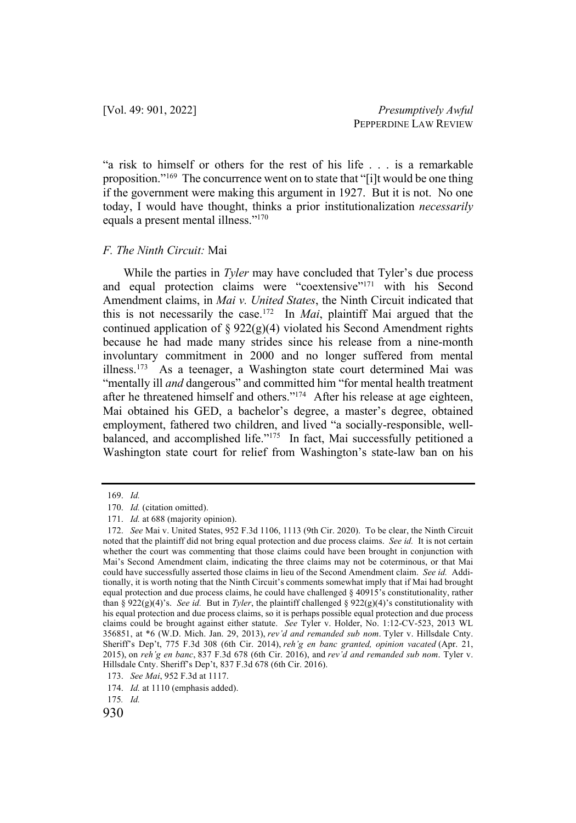"a risk to himself or others for the rest of his life . . . is a remarkable proposition."169 The concurrence went on to state that "[i]t would be one thing if the government were making this argument in 1927. But it is not. No one today, I would have thought, thinks a prior institutionalization *necessarily* equals a present mental illness."170

#### *F. The Ninth Circuit:* Mai

While the parties in *Tyler* may have concluded that Tyler's due process and equal protection claims were "coextensive"171 with his Second Amendment claims, in *Mai v. United States*, the Ninth Circuit indicated that this is not necessarily the case.172 In *Mai*, plaintiff Mai argued that the continued application of  $\S 922(g)(4)$  violated his Second Amendment rights because he had made many strides since his release from a nine-month involuntary commitment in 2000 and no longer suffered from mental illness.173 As a teenager, a Washington state court determined Mai was "mentally ill *and* dangerous" and committed him "for mental health treatment after he threatened himself and others."174 After his release at age eighteen, Mai obtained his GED, a bachelor's degree, a master's degree, obtained employment, fathered two children, and lived "a socially-responsible, wellbalanced, and accomplished life."<sup>175</sup> In fact, Mai successfully petitioned a Washington state court for relief from Washington's state-law ban on his

<sup>169.</sup> *Id.*

<sup>170.</sup> *Id.* (citation omitted).

<sup>171.</sup> *Id.* at 688 (majority opinion).

<sup>172.</sup> *See* Mai v. United States, 952 F.3d 1106, 1113 (9th Cir. 2020). To be clear, the Ninth Circuit noted that the plaintiff did not bring equal protection and due process claims. *See id.* It is not certain whether the court was commenting that those claims could have been brought in conjunction with Mai's Second Amendment claim, indicating the three claims may not be coterminous, or that Mai could have successfully asserted those claims in lieu of the Second Amendment claim. *See id.* Additionally, it is worth noting that the Ninth Circuit's comments somewhat imply that if Mai had brought equal protection and due process claims, he could have challenged § 40915's constitutionality, rather than § 922(g)(4)'s. *See id.* But in *Tyler*, the plaintiff challenged § 922(g)(4)'s constitutionality with his equal protection and due process claims, so it is perhaps possible equal protection and due process claims could be brought against either statute. *See* Tyler v. Holder, No. 1:12-CV-523, 2013 WL 356851, at \*6 (W.D. Mich. Jan. 29, 2013), *rev'd and remanded sub nom*. Tyler v. Hillsdale Cnty. Sheriff's Dep't, 775 F.3d 308 (6th Cir. 2014), *reh'g en banc granted, opinion vacated* (Apr. 21, 2015), on *reh'g en banc*, 837 F.3d 678 (6th Cir. 2016), and *rev'd and remanded sub nom*. Tyler v. Hillsdale Cnty. Sheriff's Dep't, 837 F.3d 678 (6th Cir. 2016).

<sup>173.</sup> *See Mai*, 952 F.3d at 1117.

<sup>174.</sup> *Id.* at 1110 (emphasis added).

<sup>175</sup>*. Id.* 

<sup>930</sup>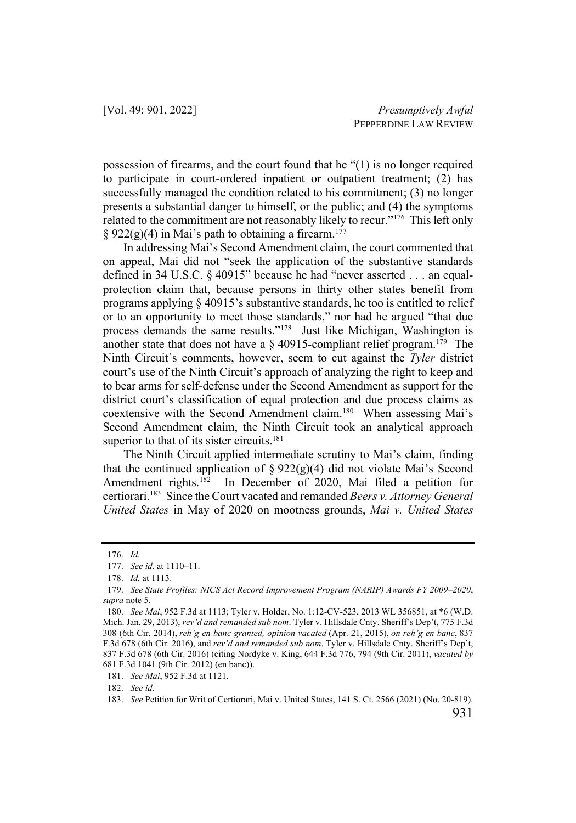possession of firearms, and the court found that he "(1) is no longer required to participate in court-ordered inpatient or outpatient treatment; (2) has successfully managed the condition related to his commitment; (3) no longer presents a substantial danger to himself, or the public; and (4) the symptoms related to the commitment are not reasonably likely to recur."<sup>176</sup> This left only § 922(g)(4) in Mai's path to obtaining a firearm.<sup>177</sup>

In addressing Mai's Second Amendment claim, the court commented that on appeal, Mai did not "seek the application of the substantive standards defined in 34 U.S.C. § 40915" because he had "never asserted . . . an equalprotection claim that, because persons in thirty other states benefit from programs applying § 40915's substantive standards, he too is entitled to relief or to an opportunity to meet those standards," nor had he argued "that due process demands the same results."178 Just like Michigan, Washington is another state that does not have a  $\S$  40915-compliant relief program.<sup>179</sup> The Ninth Circuit's comments, however, seem to cut against the *Tyler* district court's use of the Ninth Circuit's approach of analyzing the right to keep and to bear arms for self-defense under the Second Amendment as support for the district court's classification of equal protection and due process claims as coextensive with the Second Amendment claim.180 When assessing Mai's Second Amendment claim, the Ninth Circuit took an analytical approach superior to that of its sister circuits. $181$ 

The Ninth Circuit applied intermediate scrutiny to Mai's claim, finding that the continued application of  $\S 922(g)(4)$  did not violate Mai's Second Amendment rights.<sup>182</sup> In December of 2020, Mai filed a petition for certiorari.183 Since the Court vacated and remanded *Beers v. Attorney General United States* in May of 2020 on mootness grounds, *Mai v. United States*

182. *See id.*

<sup>176.</sup> *Id.*

<sup>177.</sup> *See id.* at 1110–11.

<sup>178.</sup> *Id.* at 1113.

<sup>179.</sup> *See State Profiles: NICS Act Record Improvement Program (NARIP) Awards FY 2009–2020*, *supra* note 5.

<sup>180.</sup> *See Mai*, 952 F.3d at 1113; Tyler v. Holder, No. 1:12-CV-523, 2013 WL 356851, at \*6 (W.D. Mich. Jan. 29, 2013), *rev'd and remanded sub nom*. Tyler v. Hillsdale Cnty. Sheriff's Dep't, 775 F.3d 308 (6th Cir. 2014), *reh'g en banc granted, opinion vacated* (Apr. 21, 2015), *on reh'g en banc*, 837 F.3d 678 (6th Cir. 2016), and *rev'd and remanded sub nom*. Tyler v. Hillsdale Cnty. Sheriff's Dep't, 837 F.3d 678 (6th Cir. 2016) (citing Nordyke v. King, 644 F.3d 776, 794 (9th Cir. 2011), *vacated by* 681 F.3d 1041 (9th Cir. 2012) (en banc)).

<sup>181.</sup> *See Mai*, 952 F.3d at 1121.

<sup>183.</sup> *See* Petition for Writ of Certiorari, Mai v. United States, 141 S. Ct. 2566 (2021) (No. 20-819).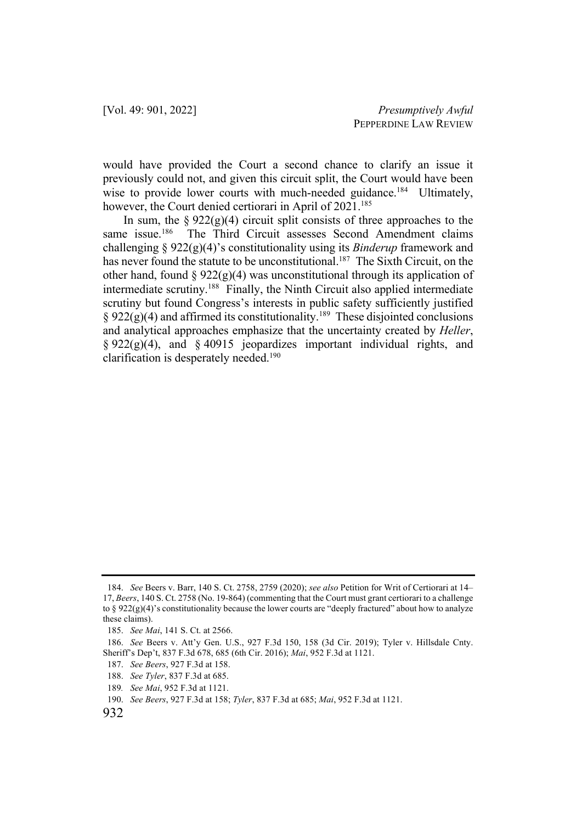would have provided the Court a second chance to clarify an issue it previously could not, and given this circuit split, the Court would have been wise to provide lower courts with much-needed guidance.<sup>184</sup> Ultimately, however, the Court denied certiorari in April of 2021.<sup>185</sup>

In sum, the  $\S 922(g)(4)$  circuit split consists of three approaches to the same issue.<sup>186</sup> The Third Circuit assesses Second Amendment claims challenging § 922(g)(4)'s constitutionality using its *Binderup* framework and has never found the statute to be unconstitutional.<sup>187</sup> The Sixth Circuit, on the other hand, found  $\S 922(g)(4)$  was unconstitutional through its application of intermediate scrutiny.188 Finally, the Ninth Circuit also applied intermediate scrutiny but found Congress's interests in public safety sufficiently justified § 922(g)(4) and affirmed its constitutionality.<sup>189</sup> These disjointed conclusions and analytical approaches emphasize that the uncertainty created by *Heller*,  $\S 922(g)(4)$ , and  $\S 40915$  jeopardizes important individual rights, and clarification is desperately needed.190

<sup>184.</sup> *See* Beers v. Barr, 140 S. Ct. 2758, 2759 (2020); *see also* Petition for Writ of Certiorari at 14– 17, *Beers*, 140 S. Ct. 2758 (No. 19-864) (commenting that the Court must grant certiorari to a challenge to §  $922(g)(4)$ 's constitutionality because the lower courts are "deeply fractured" about how to analyze these claims).

<sup>185.</sup> *See Mai*, 141 S. Ct. at 2566.

<sup>186.</sup> *See* Beers v. Att'y Gen. U.S., 927 F.3d 150, 158 (3d Cir. 2019); Tyler v. Hillsdale Cnty. Sheriff's Dep't, 837 F.3d 678, 685 (6th Cir. 2016); *Mai*, 952 F.3d at 1121.

<sup>187.</sup> *See Beers*, 927 F.3d at 158.

<sup>188.</sup> *See Tyler*, 837 F.3d at 685.

<sup>189</sup>*. See Mai*, 952 F.3d at 1121.

<sup>190.</sup> *See Beers*, 927 F.3d at 158; *Tyler*, 837 F.3d at 685; *Mai*, 952 F.3d at 1121.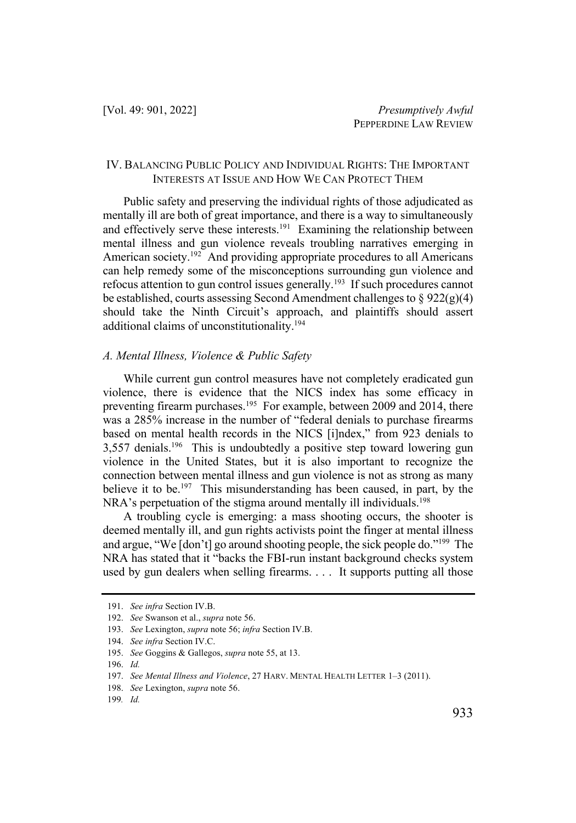#### IV. BALANCING PUBLIC POLICY AND INDIVIDUAL RIGHTS: THE IMPORTANT INTERESTS AT ISSUE AND HOW WE CAN PROTECT THEM

Public safety and preserving the individual rights of those adjudicated as mentally ill are both of great importance, and there is a way to simultaneously and effectively serve these interests.<sup>191</sup> Examining the relationship between mental illness and gun violence reveals troubling narratives emerging in American society.<sup>192</sup> And providing appropriate procedures to all Americans can help remedy some of the misconceptions surrounding gun violence and refocus attention to gun control issues generally.<sup>193</sup> If such procedures cannot be established, courts assessing Second Amendment challenges to  $\S 922(g)(4)$ should take the Ninth Circuit's approach, and plaintiffs should assert additional claims of unconstitutionality.194

#### *A. Mental Illness, Violence & Public Safety*

While current gun control measures have not completely eradicated gun violence, there is evidence that the NICS index has some efficacy in preventing firearm purchases.<sup>195</sup> For example, between 2009 and 2014, there was a 285% increase in the number of "federal denials to purchase firearms based on mental health records in the NICS [i]ndex," from 923 denials to 3,557 denials.196 This is undoubtedly a positive step toward lowering gun violence in the United States, but it is also important to recognize the connection between mental illness and gun violence is not as strong as many believe it to be.<sup>197</sup> This misunderstanding has been caused, in part, by the NRA's perpetuation of the stigma around mentally ill individuals.<sup>198</sup>

A troubling cycle is emerging: a mass shooting occurs, the shooter is deemed mentally ill, and gun rights activists point the finger at mental illness and argue, "We [don't] go around shooting people, the sick people do."199 The NRA has stated that it "backs the FBI-run instant background checks system used by gun dealers when selling firearms. . . . It supports putting all those

196. *Id.*

<sup>191.</sup> *See infra* Section IV.B.

<sup>192.</sup> *See* Swanson et al., *supra* note 56.

<sup>193.</sup> *See* Lexington, *supra* note 56; *infra* Section IV.B.

<sup>194.</sup> *See infra* Section IV.C.

<sup>195.</sup> *See* Goggins & Gallegos, *supra* note 55, at 13.

<sup>197.</sup> *See Mental Illness and Violence*, 27 HARV. MENTAL HEALTH LETTER 1–3 (2011).

<sup>198.</sup> *See* Lexington, *supra* note 56.

<sup>199</sup>*. Id.*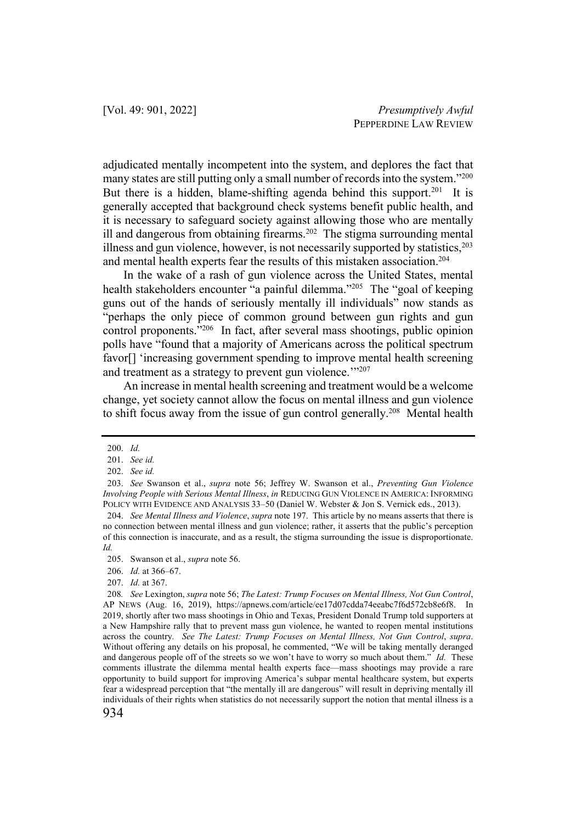adjudicated mentally incompetent into the system, and deplores the fact that many states are still putting only a small number of records into the system."200 But there is a hidden, blame-shifting agenda behind this support.<sup>201</sup> It is generally accepted that background check systems benefit public health, and it is necessary to safeguard society against allowing those who are mentally ill and dangerous from obtaining firearms.<sup>202</sup> The stigma surrounding mental illness and gun violence, however, is not necessarily supported by statistics, $2^{03}$ and mental health experts fear the results of this mistaken association.<sup>204</sup>

In the wake of a rash of gun violence across the United States, mental health stakeholders encounter "a painful dilemma."<sup>205</sup> The "goal of keeping guns out of the hands of seriously mentally ill individuals" now stands as "perhaps the only piece of common ground between gun rights and gun control proponents."206 In fact, after several mass shootings, public opinion polls have "found that a majority of Americans across the political spectrum favor<sup>[]</sup> 'increasing government spending to improve mental health screening and treatment as a strategy to prevent gun violence."<sup>207</sup>

An increase in mental health screening and treatment would be a welcome change, yet society cannot allow the focus on mental illness and gun violence to shift focus away from the issue of gun control generally.<sup>208</sup> Mental health

207. *Id.* at 367.

<sup>200.</sup> *Id.*

<sup>201.</sup> *See id.*

<sup>202.</sup> *See id.*

<sup>203.</sup> *See* Swanson et al., *supra* note 56; Jeffrey W. Swanson et al., *Preventing Gun Violence Involving People with Serious Mental Illness*, *in* REDUCING GUN VIOLENCE IN AMERICA: INFORMING POLICY WITH EVIDENCE AND ANALYSIS 33–50 (Daniel W. Webster & Jon S. Vernick eds., 2013).

<sup>204.</sup> *See Mental Illness and Violence*, *supra* note 197. This article by no means asserts that there is no connection between mental illness and gun violence; rather, it asserts that the public's perception of this connection is inaccurate, and as a result, the stigma surrounding the issue is disproportionate. *Id.* 

<sup>205.</sup> Swanson et al., *supra* note 56.

<sup>206.</sup> *Id.* at 366–67.

<sup>208</sup>*. See* Lexington, *supra* note 56; *The Latest: Trump Focuses on Mental Illness, Not Gun Control*, AP NEWS (Aug. 16, 2019), https://apnews.com/article/ee17d07cdda74eeabc7f6d572cb8e6f8. In 2019, shortly after two mass shootings in Ohio and Texas, President Donald Trump told supporters at a New Hampshire rally that to prevent mass gun violence, he wanted to reopen mental institutions across the country*. See The Latest: Trump Focuses on Mental Illness, Not Gun Control*, *supra*. Without offering any details on his proposal, he commented, "We will be taking mentally deranged and dangerous people off of the streets so we won't have to worry so much about them." *Id.* These comments illustrate the dilemma mental health experts face—mass shootings may provide a rare opportunity to build support for improving America's subpar mental healthcare system, but experts fear a widespread perception that "the mentally ill are dangerous" will result in depriving mentally ill individuals of their rights when statistics do not necessarily support the notion that mental illness is a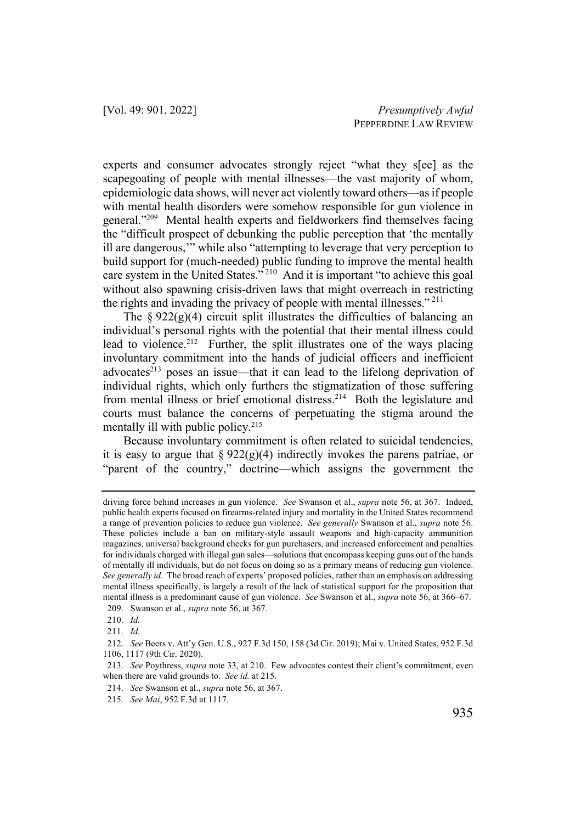experts and consumer advocates strongly reject "what they s[ee] as the scapegoating of people with mental illnesses—the vast majority of whom, epidemiologic data shows, will never act violently toward others—as if people with mental health disorders were somehow responsible for gun violence in general."209 Mental health experts and fieldworkers find themselves facing the "difficult prospect of debunking the public perception that 'the mentally ill are dangerous,'" while also "attempting to leverage that very perception to build support for (much-needed) public funding to improve the mental health care system in the United States."<sup>210</sup> And it is important "to achieve this goal without also spawning crisis-driven laws that might overreach in restricting the rights and invading the privacy of people with mental illnesses."<sup>211</sup>

The §  $922(g)(4)$  circuit split illustrates the difficulties of balancing an individual's personal rights with the potential that their mental illness could lead to violence.<sup>212</sup> Further, the split illustrates one of the ways placing involuntary commitment into the hands of judicial officers and inefficient advocates<sup>213</sup> poses an issue—that it can lead to the lifelong deprivation of individual rights, which only furthers the stigmatization of those suffering from mental illness or brief emotional distress.<sup>214</sup> Both the legislature and courts must balance the concerns of perpetuating the stigma around the mentally ill with public policy.<sup>215</sup>

Because involuntary commitment is often related to suicidal tendencies, it is easy to argue that  $\S 922(g)(4)$  indirectly invokes the parens patriae, or "parent of the country," doctrine—which assigns the government the

driving force behind increases in gun violence. *See* Swanson et al., *supra* note 56, at 367. Indeed, public health experts focused on firearms-related injury and mortality in the United States recommend a range of prevention policies to reduce gun violence. *See generally* Swanson et al., *supra* note 56. These policies include a ban on military-style assault weapons and high-capacity ammunition magazines, universal background checks for gun purchasers, and increased enforcement and penalties for individuals charged with illegal gun sales—solutions that encompass keeping guns out of the hands of mentally ill individuals, but do not focus on doing so as a primary means of reducing gun violence. *See generally id.* The broad reach of experts' proposed policies, rather than an emphasis on addressing mental illness specifically, is largely a result of the lack of statistical support for the proposition that mental illness is a predominant cause of gun violence. *See* Swanson et al., *supra* note 56, at 366–67. 209. Swanson et al., *supra* note 56, at 367.

<sup>210.</sup> *Id.*

<sup>211.</sup> *Id.*

<sup>212.</sup> *See* Beers v. Att'y Gen. U.S., 927 F.3d 150, 158 (3d Cir. 2019); Mai v. United States, 952 F.3d 1106, 1117 (9th Cir. 2020).

<sup>213.</sup> *See* Poythress, *supra* note 33, at 210. Few advocates contest their client's commitment, even when there are valid grounds to. *See id.* at 215.

<sup>214.</sup> *See* Swanson et al., *supra* note 56, at 367.

<sup>215.</sup> *See Mai*, 952 F.3d at 1117.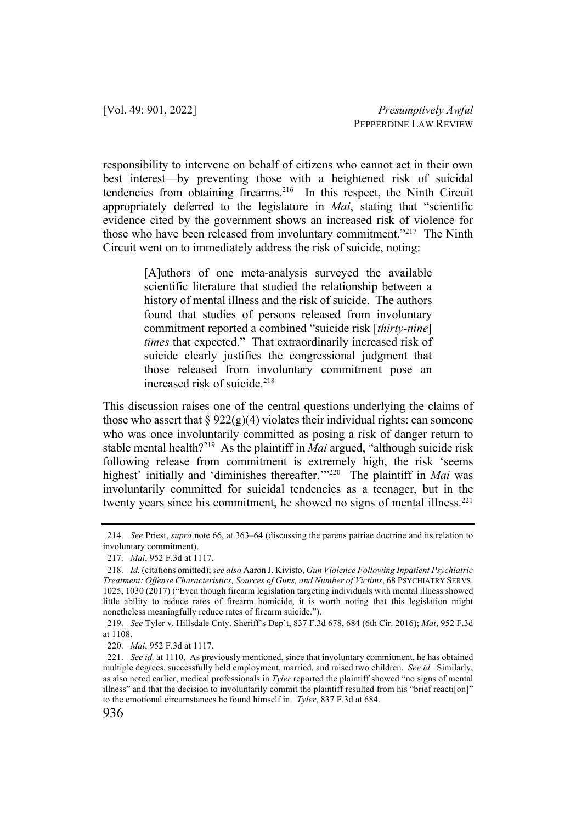responsibility to intervene on behalf of citizens who cannot act in their own best interest—by preventing those with a heightened risk of suicidal tendencies from obtaining firearms.<sup>216</sup> In this respect, the Ninth Circuit appropriately deferred to the legislature in *Mai*, stating that "scientific evidence cited by the government shows an increased risk of violence for those who have been released from involuntary commitment."217 The Ninth Circuit went on to immediately address the risk of suicide, noting:

> [A]uthors of one meta-analysis surveyed the available scientific literature that studied the relationship between a history of mental illness and the risk of suicide. The authors found that studies of persons released from involuntary commitment reported a combined "suicide risk [*thirty-nine*] *times* that expected." That extraordinarily increased risk of suicide clearly justifies the congressional judgment that those released from involuntary commitment pose an increased risk of suicide.218

This discussion raises one of the central questions underlying the claims of those who assert that  $\S 922(g)(4)$  violates their individual rights: can someone who was once involuntarily committed as posing a risk of danger return to stable mental health?219 As the plaintiff in *Mai* argued, "although suicide risk following release from commitment is extremely high, the risk 'seems highest' initially and 'diminishes thereafter.'"<sup>220</sup> The plaintiff in *Mai* was involuntarily committed for suicidal tendencies as a teenager, but in the twenty years since his commitment, he showed no signs of mental illness. $221$ 

<sup>214.</sup> *See* Priest, *supra* note 66, at 363–64 (discussing the parens patriae doctrine and its relation to involuntary commitment).

<sup>217.</sup> *Mai*, 952 F.3d at 1117.

<sup>218.</sup> *Id.* (citations omitted); *see also* Aaron J. Kivisto, *Gun Violence Following Inpatient Psychiatric Treatment: Offense Characteristics, Sources of Guns, and Number of Victims*, 68 PSYCHIATRY SERVS. 1025, 1030 (2017) ("Even though firearm legislation targeting individuals with mental illness showed little ability to reduce rates of firearm homicide, it is worth noting that this legislation might nonetheless meaningfully reduce rates of firearm suicide.").

<sup>219.</sup> *See* Tyler v. Hillsdale Cnty. Sheriff's Dep't, 837 F.3d 678, 684 (6th Cir. 2016); *Mai*, 952 F.3d at 1108.

<sup>220.</sup> *Mai*, 952 F.3d at 1117.

<sup>221.</sup> *See id.* at 1110. As previously mentioned, since that involuntary commitment, he has obtained multiple degrees, successfully held employment, married, and raised two children. *See id.* Similarly, as also noted earlier, medical professionals in *Tyler* reported the plaintiff showed "no signs of mental illness" and that the decision to involuntarily commit the plaintiff resulted from his "brief reacti[on]" to the emotional circumstances he found himself in. *Tyler*, 837 F.3d at 684.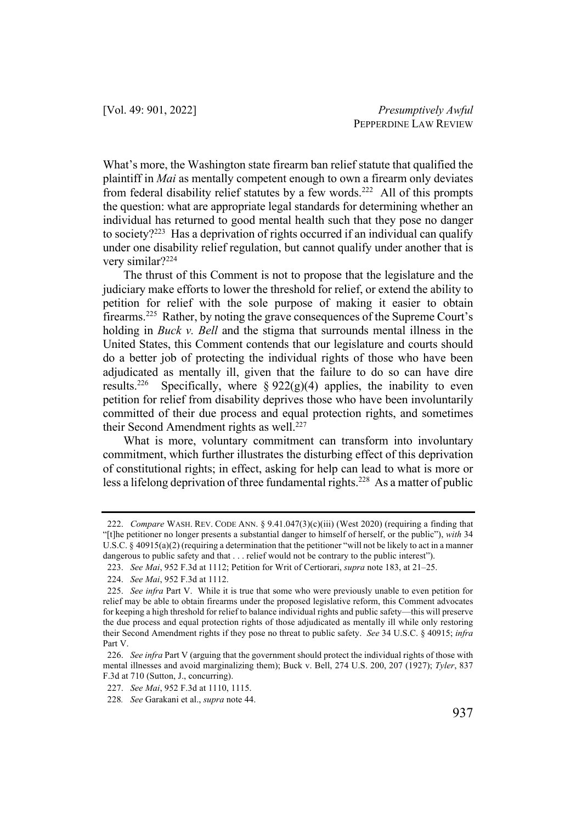What's more, the Washington state firearm ban relief statute that qualified the plaintiff in *Mai* as mentally competent enough to own a firearm only deviates from federal disability relief statutes by a few words.<sup>222</sup> All of this prompts the question: what are appropriate legal standards for determining whether an individual has returned to good mental health such that they pose no danger to society?223 Has a deprivation of rights occurred if an individual can qualify under one disability relief regulation, but cannot qualify under another that is very similar?224

The thrust of this Comment is not to propose that the legislature and the judiciary make efforts to lower the threshold for relief, or extend the ability to petition for relief with the sole purpose of making it easier to obtain firearms.225 Rather, by noting the grave consequences of the Supreme Court's holding in *Buck v. Bell* and the stigma that surrounds mental illness in the United States, this Comment contends that our legislature and courts should do a better job of protecting the individual rights of those who have been adjudicated as mentally ill, given that the failure to do so can have dire results.<sup>226</sup> Specifically, where §  $922(g)(4)$  applies, the inability to even petition for relief from disability deprives those who have been involuntarily committed of their due process and equal protection rights, and sometimes their Second Amendment rights as well.<sup>227</sup>

What is more, voluntary commitment can transform into involuntary commitment, which further illustrates the disturbing effect of this deprivation of constitutional rights; in effect, asking for help can lead to what is more or less a lifelong deprivation of three fundamental rights.<sup>228</sup> As a matter of public

<sup>222.</sup> *Compare* WASH. REV. CODE ANN. § 9.41.047(3)(c)(iii) (West 2020) (requiring a finding that "[t]he petitioner no longer presents a substantial danger to himself of herself, or the public"), *with* 34 U.S.C.  $\S$  40915(a)(2) (requiring a determination that the petitioner "will not be likely to act in a manner dangerous to public safety and that . . . relief would not be contrary to the public interest").

<sup>223.</sup> *See Mai*, 952 F.3d at 1112; Petition for Writ of Certiorari, *supra* note 183, at 21–25.

<sup>224.</sup> *See Mai*, 952 F.3d at 1112.

<sup>225.</sup> *See infra* Part V. While it is true that some who were previously unable to even petition for relief may be able to obtain firearms under the proposed legislative reform, this Comment advocates for keeping a high threshold for relief to balance individual rights and public safety—this will preserve the due process and equal protection rights of those adjudicated as mentally ill while only restoring their Second Amendment rights if they pose no threat to public safety. *See* 34 U.S.C. § 40915; *infra* Part V.

<sup>226.</sup> *See infra* Part V (arguing that the government should protect the individual rights of those with mental illnesses and avoid marginalizing them); Buck v. Bell, 274 U.S. 200, 207 (1927); *Tyler*, 837 F.3d at 710 (Sutton, J., concurring).

<sup>227.</sup> *See Mai*, 952 F.3d at 1110, 1115.

<sup>228</sup>*. See* Garakani et al., *supra* note 44.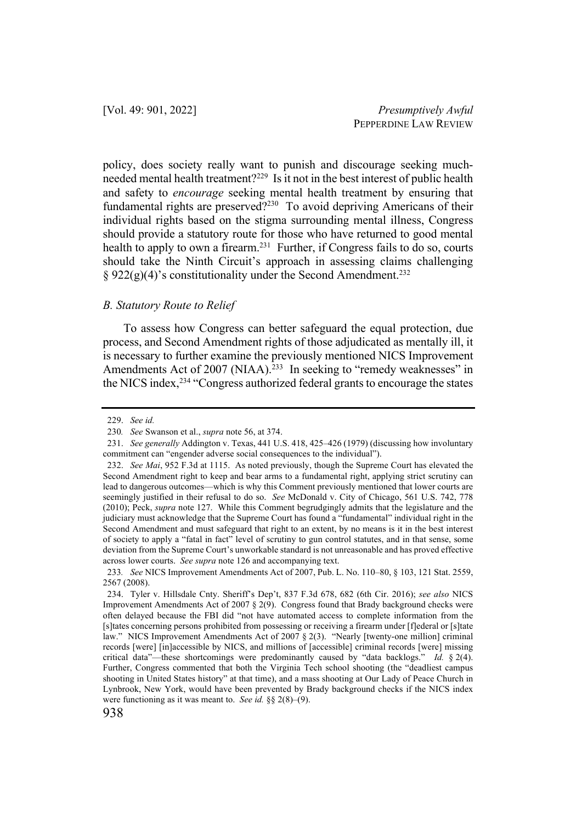policy, does society really want to punish and discourage seeking muchneeded mental health treatment?229 Is it not in the best interest of public health and safety to *encourage* seeking mental health treatment by ensuring that fundamental rights are preserved?<sup>230</sup> To avoid depriving Americans of their individual rights based on the stigma surrounding mental illness, Congress should provide a statutory route for those who have returned to good mental health to apply to own a firearm.<sup>231</sup> Further, if Congress fails to do so, courts should take the Ninth Circuit's approach in assessing claims challenging  $\S 922(g)(4)$ 's constitutionality under the Second Amendment.<sup>232</sup>

#### *B. Statutory Route to Relief*

To assess how Congress can better safeguard the equal protection, due process, and Second Amendment rights of those adjudicated as mentally ill, it is necessary to further examine the previously mentioned NICS Improvement Amendments Act of 2007 (NIAA).<sup>233</sup> In seeking to "remedy weaknesses" in the NICS index,234 "Congress authorized federal grants to encourage the states

<sup>229.</sup> *See id.*

<sup>230</sup>*. See* Swanson et al., *supra* note 56, at 374.

<sup>231.</sup> *See generally* Addington v. Texas, 441 U.S. 418, 425–426 (1979) (discussing how involuntary commitment can "engender adverse social consequences to the individual").

<sup>232.</sup> *See Mai*, 952 F.3d at 1115. As noted previously, though the Supreme Court has elevated the Second Amendment right to keep and bear arms to a fundamental right, applying strict scrutiny can lead to dangerous outcomes—which is why this Comment previously mentioned that lower courts are seemingly justified in their refusal to do so. *See* McDonald v. City of Chicago, 561 U.S. 742, 778 (2010); Peck, *supra* note 127. While this Comment begrudgingly admits that the legislature and the judiciary must acknowledge that the Supreme Court has found a "fundamental" individual right in the Second Amendment and must safeguard that right to an extent, by no means is it in the best interest of society to apply a "fatal in fact" level of scrutiny to gun control statutes, and in that sense, some deviation from the Supreme Court's unworkable standard is not unreasonable and has proved effective across lower courts. *See supra* note 126 and accompanying text.

<sup>233</sup>*. See* NICS Improvement Amendments Act of 2007, Pub. L. No. 110–80, § 103, 121 Stat. 2559, 2567 (2008).

<sup>234.</sup> Tyler v. Hillsdale Cnty. Sheriff's Dep't, 837 F.3d 678, 682 (6th Cir. 2016); *see also* NICS Improvement Amendments Act of 2007 § 2(9). Congress found that Brady background checks were often delayed because the FBI did "not have automated access to complete information from the [s]tates concerning persons prohibited from possessing or receiving a firearm under [f]ederal or [s]tate law." NICS Improvement Amendments Act of 2007 § 2(3). "Nearly [twenty-one million] criminal records [were] [in]accessible by NICS, and millions of [accessible] criminal records [were] missing critical data"—these shortcomings were predominantly caused by "data backlogs." *Id.* § 2(4). Further, Congress commented that both the Virginia Tech school shooting (the "deadliest campus shooting in United States history" at that time), and a mass shooting at Our Lady of Peace Church in Lynbrook, New York, would have been prevented by Brady background checks if the NICS index were functioning as it was meant to. *See id.* §§ 2(8)–(9).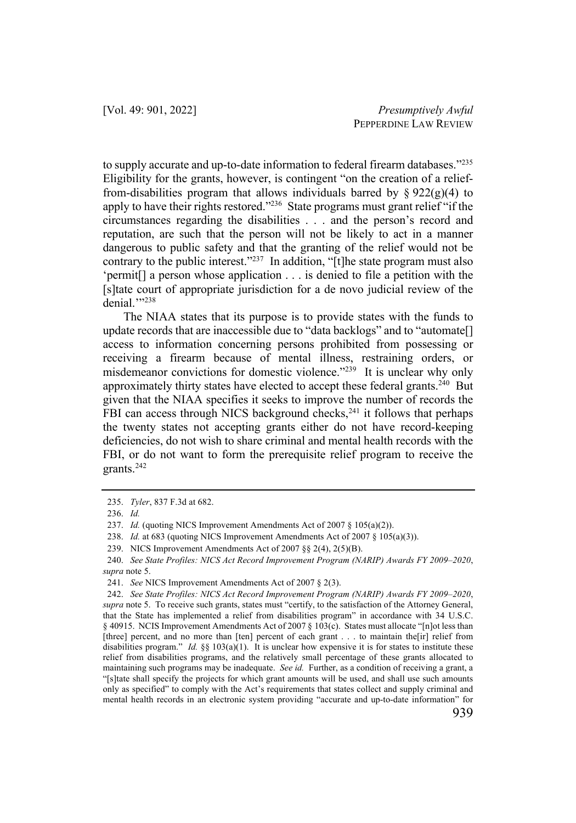to supply accurate and up-to-date information to federal firearm databases."235 Eligibility for the grants, however, is contingent "on the creation of a relieffrom-disabilities program that allows individuals barred by  $\S 922(g)(4)$  to apply to have their rights restored."<sup>236</sup> State programs must grant relief "if the circumstances regarding the disabilities . . . and the person's record and reputation, are such that the person will not be likely to act in a manner dangerous to public safety and that the granting of the relief would not be contrary to the public interest."<sup>237</sup> In addition, "[t]he state program must also 'permit[] a person whose application . . . is denied to file a petition with the [s]tate court of appropriate jurisdiction for a de novo judicial review of the denial.""238

The NIAA states that its purpose is to provide states with the funds to update records that are inaccessible due to "data backlogs" and to "automate[] access to information concerning persons prohibited from possessing or receiving a firearm because of mental illness, restraining orders, or misdemeanor convictions for domestic violence."239 It is unclear why only approximately thirty states have elected to accept these federal grants.<sup>240</sup> But given that the NIAA specifies it seeks to improve the number of records the FBI can access through NICS background checks, $^{241}$  it follows that perhaps the twenty states not accepting grants either do not have record-keeping deficiencies, do not wish to share criminal and mental health records with the FBI, or do not want to form the prerequisite relief program to receive the grants.242

<sup>235.</sup> *Tyler*, 837 F.3d at 682.

<sup>236.</sup> *Id.*

<sup>237.</sup> *Id.* (quoting NICS Improvement Amendments Act of 2007 § 105(a)(2)).

<sup>238.</sup> *Id.* at 683 (quoting NICS Improvement Amendments Act of 2007 § 105(a)(3)).

<sup>239.</sup> NICS Improvement Amendments Act of 2007 §§ 2(4), 2(5)(B).

<sup>240.</sup> *See State Profiles: NICS Act Record Improvement Program (NARIP) Awards FY 2009–2020*, *supra* note 5.

<sup>241.</sup> *See* NICS Improvement Amendments Act of 2007 § 2(3).

<sup>242.</sup> *See State Profiles: NICS Act Record Improvement Program (NARIP) Awards FY 2009–2020*, *supra* note 5. To receive such grants, states must "certify, to the satisfaction of the Attorney General, that the State has implemented a relief from disabilities program" in accordance with 34 U.S.C. § 40915. NCIS Improvement Amendments Act of 2007 § 103(c). States must allocate "[n]ot less than [three] percent, and no more than [ten] percent of each grant . . . to maintain the[ir] relief from disabilities program." *Id.* §§ 103(a)(1). It is unclear how expensive it is for states to institute these relief from disabilities programs, and the relatively small percentage of these grants allocated to maintaining such programs may be inadequate. *See id.* Further, as a condition of receiving a grant, a "[s]tate shall specify the projects for which grant amounts will be used, and shall use such amounts only as specified" to comply with the Act's requirements that states collect and supply criminal and mental health records in an electronic system providing "accurate and up-to-date information" for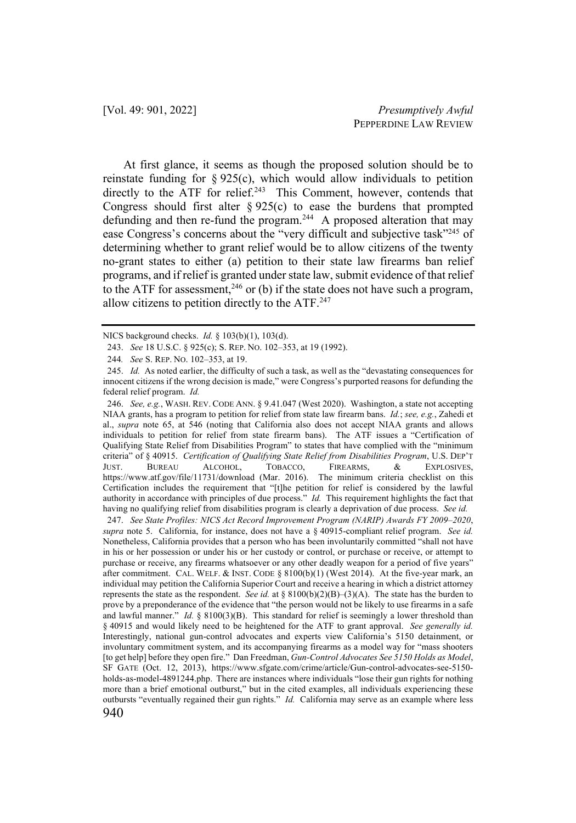At first glance, it seems as though the proposed solution should be to reinstate funding for  $\S 925(c)$ , which would allow individuals to petition directly to the ATF for relief.<sup>243</sup> This Comment, however, contends that Congress should first alter  $\S 925(c)$  to ease the burdens that prompted defunding and then re-fund the program.<sup>244</sup> A proposed alteration that may ease Congress's concerns about the "very difficult and subjective task"<sup>245</sup> of determining whether to grant relief would be to allow citizens of the twenty no-grant states to either (a) petition to their state law firearms ban relief programs, and if relief is granted under state law, submit evidence of that relief to the ATF for assessment,<sup>246</sup> or (b) if the state does not have such a program, allow citizens to petition directly to the ATF.247

246. *See, e.g.*, WASH. REV. CODE ANN. § 9.41.047 (West 2020). Washington, a state not accepting NIAA grants, has a program to petition for relief from state law firearm bans. *Id.*; *see, e.g.*, Zahedi et al., *supra* note 65, at 546 (noting that California also does not accept NIAA grants and allows individuals to petition for relief from state firearm bans). The ATF issues a "Certification of Qualifying State Relief from Disabilities Program" to states that have complied with the "minimum criteria" of § 40915. *Certification of Qualifying State Relief from Disabilities Program*, U.S. DEP'T JUST. BUREAU ALCOHOL, TOBACCO, FIREARMS, & EXPLOSIVES, https://www.atf.gov/file/11731/download (Mar. 2016). The minimum criteria checklist on this Certification includes the requirement that "[t]he petition for relief is considered by the lawful authority in accordance with principles of due process." *Id.* This requirement highlights the fact that having no qualifying relief from disabilities program is clearly a deprivation of due process. *See id.*

247. *See State Profiles: NICS Act Record Improvement Program (NARIP) Awards FY 2009–2020*, *supra* note 5. California, for instance, does not have a § 40915-compliant relief program. *See id.* Nonetheless, California provides that a person who has been involuntarily committed "shall not have in his or her possession or under his or her custody or control, or purchase or receive, or attempt to purchase or receive, any firearms whatsoever or any other deadly weapon for a period of five years" after commitment. CAL. WELF. & INST. CODE § 8100(b)(1) (West 2014). At the five-year mark, an individual may petition the California Superior Court and receive a hearing in which a district attorney represents the state as the respondent. *See id.* at § 8100(b)(2)(B)–(3)(A). The state has the burden to prove by a preponderance of the evidence that "the person would not be likely to use firearms in a safe and lawful manner."  $Id. \S$  8100(3)(B). This standard for relief is seemingly a lower threshold than § 40915 and would likely need to be heightened for the ATF to grant approval. *See generally id.* Interestingly, national gun-control advocates and experts view California's 5150 detainment, or involuntary commitment system, and its accompanying firearms as a model way for "mass shooters [to get help] before they open fire." Dan Freedman, *Gun-Control Advocates See 5150 Holds as Model*, SF GATE (Oct. 12, 2013), https://www.sfgate.com/crime/article/Gun-control-advocates-see-5150 holds-as-model-4891244.php. There are instances where individuals "lose their gun rights for nothing more than a brief emotional outburst," but in the cited examples, all individuals experiencing these outbursts "eventually regained their gun rights." *Id.* California may serve as an example where less

NICS background checks. *Id.* § 103(b)(1), 103(d).

<sup>243.</sup> *See* 18 U.S.C. § 925(c); S. REP. NO. 102–353, at 19 (1992).

<sup>244</sup>*. See* S. REP. NO. 102–353, at 19.

<sup>245.</sup> *Id.* As noted earlier, the difficulty of such a task, as well as the "devastating consequences for innocent citizens if the wrong decision is made," were Congress's purported reasons for defunding the federal relief program. *Id.*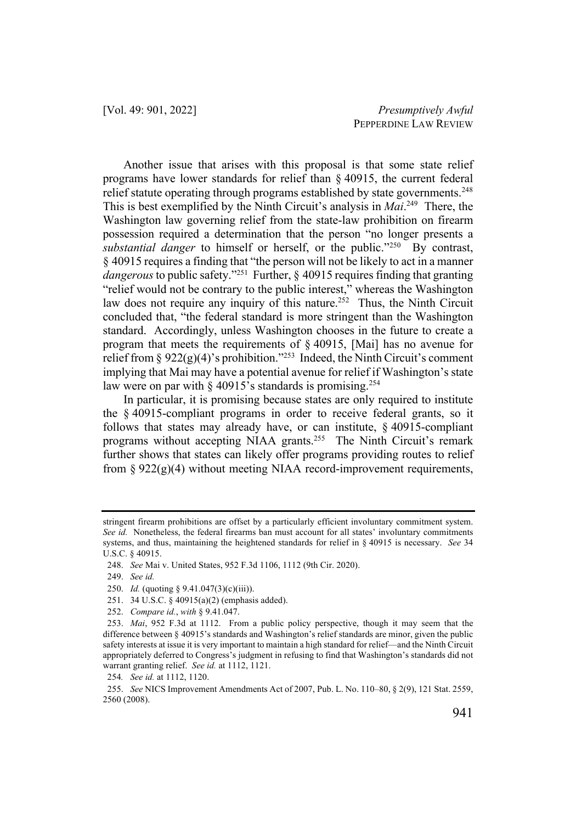Another issue that arises with this proposal is that some state relief programs have lower standards for relief than § 40915, the current federal relief statute operating through programs established by state governments.<sup>248</sup> This is best exemplified by the Ninth Circuit's analysis in *Mai*. 249 There, the Washington law governing relief from the state-law prohibition on firearm possession required a determination that the person "no longer presents a *substantial danger* to himself or herself, or the public."<sup>250</sup> By contrast, § 40915 requires a finding that "the person will not be likely to act in a manner *dangerous*to public safety."251 Further, § 40915 requires finding that granting "relief would not be contrary to the public interest," whereas the Washington law does not require any inquiry of this nature.<sup>252</sup> Thus, the Ninth Circuit concluded that, "the federal standard is more stringent than the Washington standard. Accordingly, unless Washington chooses in the future to create a program that meets the requirements of § 40915, [Mai] has no avenue for relief from §  $922(g)(4)$ 's prohibition."<sup>253</sup> Indeed, the Ninth Circuit's comment implying that Mai may have a potential avenue for relief if Washington's state law were on par with § 40915's standards is promising.<sup>254</sup>

In particular, it is promising because states are only required to institute the § 40915-compliant programs in order to receive federal grants, so it follows that states may already have, or can institute, § 40915-compliant programs without accepting NIAA grants.<sup>255</sup> The Ninth Circuit's remark further shows that states can likely offer programs providing routes to relief from  $\S 922(g)(4)$  without meeting NIAA record-improvement requirements,

stringent firearm prohibitions are offset by a particularly efficient involuntary commitment system. *See id.* Nonetheless, the federal firearms ban must account for all states' involuntary commitments systems, and thus, maintaining the heightened standards for relief in § 40915 is necessary. *See* 34 U.S.C. § 40915.

<sup>248.</sup> *See* Mai v. United States, 952 F.3d 1106, 1112 (9th Cir. 2020).

<sup>249.</sup> *See id.*

<sup>250.</sup> *Id.* (quoting § 9.41.047(3)(c)(iii)).

<sup>251.</sup> 34 U.S.C. § 40915(a)(2) (emphasis added).

<sup>252.</sup> *Compare id.*, *with* § 9.41.047.

<sup>253.</sup> *Mai*, 952 F.3d at 1112. From a public policy perspective, though it may seem that the difference between § 40915's standards and Washington's relief standards are minor, given the public safety interests at issue it is very important to maintain a high standard for relief—and the Ninth Circuit appropriately deferred to Congress's judgment in refusing to find that Washington's standards did not warrant granting relief. *See id.* at 1112, 1121.

<sup>254</sup>*. See id.* at 1112, 1120.

<sup>255.</sup> *See* NICS Improvement Amendments Act of 2007, Pub. L. No. 110–80, § 2(9), 121 Stat. 2559, 2560 (2008).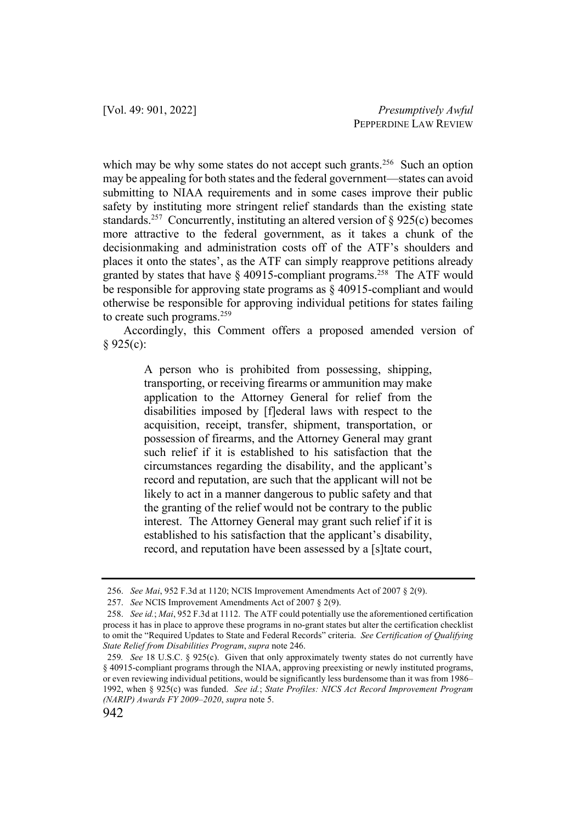which may be why some states do not accept such grants.<sup>256</sup> Such an option may be appealing for both states and the federal government—states can avoid submitting to NIAA requirements and in some cases improve their public safety by instituting more stringent relief standards than the existing state standards.<sup>257</sup> Concurrently, instituting an altered version of  $\S$  925(c) becomes more attractive to the federal government, as it takes a chunk of the decisionmaking and administration costs off of the ATF's shoulders and places it onto the states', as the ATF can simply reapprove petitions already granted by states that have  $\S$  40915-compliant programs.<sup>258</sup> The ATF would be responsible for approving state programs as § 40915-compliant and would otherwise be responsible for approving individual petitions for states failing to create such programs.259

Accordingly, this Comment offers a proposed amended version of § 925(c):

> A person who is prohibited from possessing, shipping, transporting, or receiving firearms or ammunition may make application to the Attorney General for relief from the disabilities imposed by [f]ederal laws with respect to the acquisition, receipt, transfer, shipment, transportation, or possession of firearms, and the Attorney General may grant such relief if it is established to his satisfaction that the circumstances regarding the disability, and the applicant's record and reputation, are such that the applicant will not be likely to act in a manner dangerous to public safety and that the granting of the relief would not be contrary to the public interest. The Attorney General may grant such relief if it is established to his satisfaction that the applicant's disability, record, and reputation have been assessed by a [s]tate court,

<sup>256.</sup> *See Mai*, 952 F.3d at 1120; NCIS Improvement Amendments Act of 2007 § 2(9).

<sup>257.</sup> *See* NCIS Improvement Amendments Act of 2007 § 2(9).

<sup>258.</sup> *See id.*; *Mai*, 952 F.3d at 1112. The ATF could potentially use the aforementioned certification process it has in place to approve these programs in no-grant states but alter the certification checklist to omit the "Required Updates to State and Federal Records" criteria. *See Certification of Qualifying State Relief from Disabilities Program*, *supra* note 246.

<sup>259</sup>*. See* 18 U.S.C. § 925(c). Given that only approximately twenty states do not currently have § 40915-compliant programs through the NIAA, approving preexisting or newly instituted programs, or even reviewing individual petitions, would be significantly less burdensome than it was from 1986– 1992, when § 925(c) was funded. *See id.*; *State Profiles: NICS Act Record Improvement Program (NARIP) Awards FY 2009–2020*, *supra* note 5.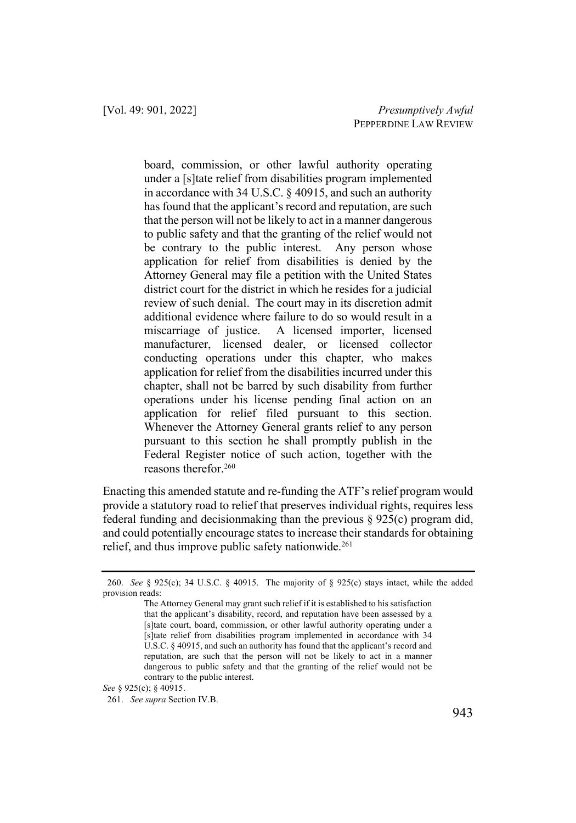board, commission, or other lawful authority operating under a [s]tate relief from disabilities program implemented in accordance with 34 U.S.C. § 40915, and such an authority has found that the applicant's record and reputation, are such that the person will not be likely to act in a manner dangerous to public safety and that the granting of the relief would not be contrary to the public interest. Any person whose application for relief from disabilities is denied by the Attorney General may file a petition with the United States district court for the district in which he resides for a judicial review of such denial. The court may in its discretion admit additional evidence where failure to do so would result in a miscarriage of justice. A licensed importer, licensed manufacturer, licensed dealer, or licensed collector conducting operations under this chapter, who makes application for relief from the disabilities incurred under this chapter, shall not be barred by such disability from further operations under his license pending final action on an application for relief filed pursuant to this section. Whenever the Attorney General grants relief to any person pursuant to this section he shall promptly publish in the Federal Register notice of such action, together with the reasons therefor.260

Enacting this amended statute and re-funding the ATF's relief program would provide a statutory road to relief that preserves individual rights, requires less federal funding and decisionmaking than the previous § 925(c) program did, and could potentially encourage states to increase their standards for obtaining relief, and thus improve public safety nationwide.<sup>261</sup>

*See* § 925(c); § 40915.

<sup>260.</sup> *See* § 925(c); 34 U.S.C. § 40915. The majority of § 925(c) stays intact, while the added provision reads:

The Attorney General may grant such relief if it is established to his satisfaction that the applicant's disability, record, and reputation have been assessed by a [s]tate court, board, commission, or other lawful authority operating under a [s]tate relief from disabilities program implemented in accordance with 34 U.S.C. § 40915, and such an authority has found that the applicant's record and reputation, are such that the person will not be likely to act in a manner dangerous to public safety and that the granting of the relief would not be contrary to the public interest.

<sup>261.</sup> *See supra* Section IV.B.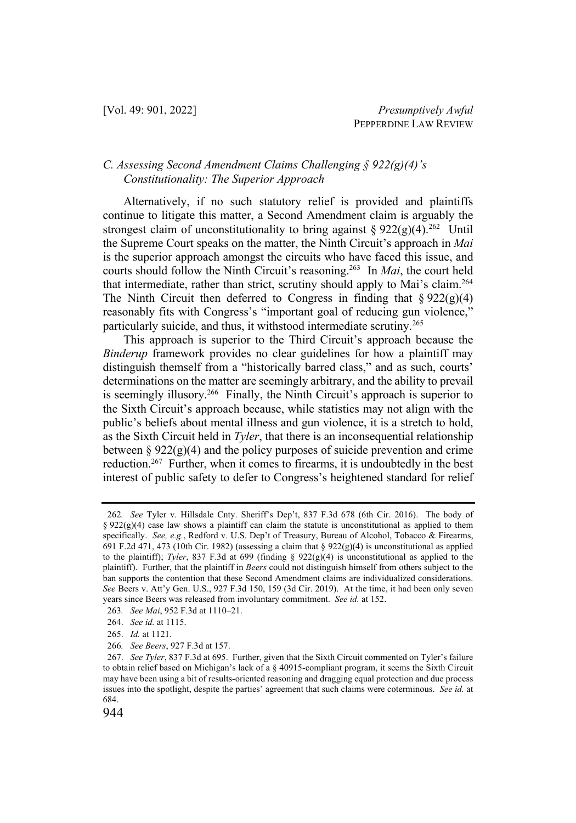#### *C. Assessing Second Amendment Claims Challenging § 922(g)(4)'s Constitutionality: The Superior Approach*

Alternatively, if no such statutory relief is provided and plaintiffs continue to litigate this matter, a Second Amendment claim is arguably the strongest claim of unconstitutionality to bring against  $\S 922(g)(4).^{262}$  Until the Supreme Court speaks on the matter, the Ninth Circuit's approach in *Mai*  is the superior approach amongst the circuits who have faced this issue, and courts should follow the Ninth Circuit's reasoning.263 In *Mai*, the court held that intermediate, rather than strict, scrutiny should apply to Mai's claim.<sup>264</sup> The Ninth Circuit then deferred to Congress in finding that  $\S 922(g)(4)$ reasonably fits with Congress's "important goal of reducing gun violence," particularly suicide, and thus, it withstood intermediate scrutiny.<sup>265</sup>

This approach is superior to the Third Circuit's approach because the *Binderup* framework provides no clear guidelines for how a plaintiff may distinguish themself from a "historically barred class," and as such, courts' determinations on the matter are seemingly arbitrary, and the ability to prevail is seemingly illusory.<sup>266</sup> Finally, the Ninth Circuit's approach is superior to the Sixth Circuit's approach because, while statistics may not align with the public's beliefs about mental illness and gun violence, it is a stretch to hold, as the Sixth Circuit held in *Tyler*, that there is an inconsequential relationship between § 922 $(g)(4)$  and the policy purposes of suicide prevention and crime reduction.<sup>267</sup> Further, when it comes to firearms, it is undoubtedly in the best interest of public safety to defer to Congress's heightened standard for relief

<sup>262</sup>*. See* Tyler v. Hillsdale Cnty. Sheriff's Dep't, 837 F.3d 678 (6th Cir. 2016). The body of §  $922(g)(4)$  case law shows a plaintiff can claim the statute is unconstitutional as applied to them specifically. *See, e.g.*, Redford v. U.S. Dep't of Treasury, Bureau of Alcohol, Tobacco & Firearms, 691 F.2d 471, 473 (10th Cir. 1982) (assessing a claim that §  $922(g)(4)$  is unconstitutional as applied to the plaintiff); *Tyler*, 837 F.3d at 699 (finding  $\S$  922(g)(4) is unconstitutional as applied to the plaintiff). Further, that the plaintiff in *Beers* could not distinguish himself from others subject to the ban supports the contention that these Second Amendment claims are individualized considerations. *See* Beers v. Att'y Gen. U.S., 927 F.3d 150, 159 (3d Cir. 2019). At the time, it had been only seven years since Beers was released from involuntary commitment. *See id.* at 152.

<sup>263</sup>*. See Mai*, 952 F.3d at 1110–21.

<sup>264.</sup> *See id.* at 1115.

<sup>265.</sup> *Id.* at 1121.

<sup>266</sup>*. See Beers*, 927 F.3d at 157.

<sup>267.</sup> *See Tyler*, 837 F.3d at 695. Further, given that the Sixth Circuit commented on Tyler's failure to obtain relief based on Michigan's lack of a § 40915-compliant program, it seems the Sixth Circuit may have been using a bit of results-oriented reasoning and dragging equal protection and due process issues into the spotlight, despite the parties' agreement that such claims were coterminous. *See id.* at 684.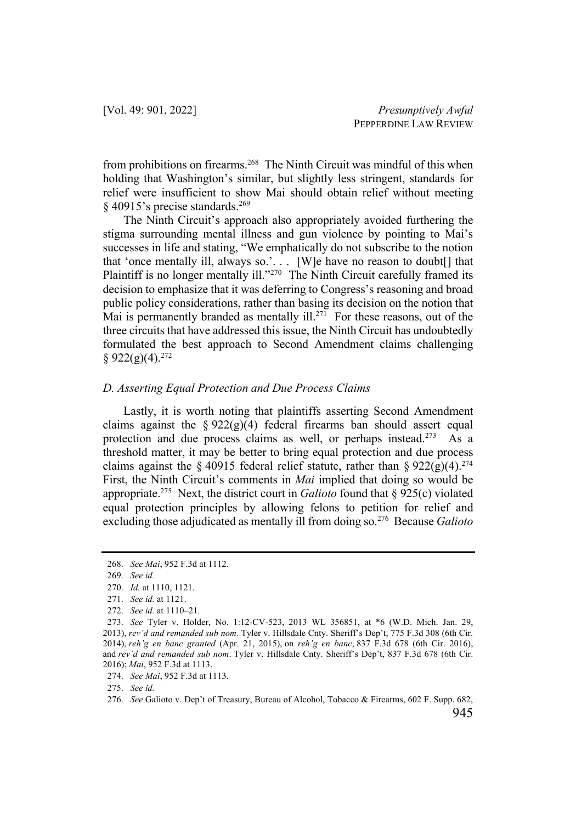from prohibitions on firearms.<sup>268</sup> The Ninth Circuit was mindful of this when holding that Washington's similar, but slightly less stringent, standards for relief were insufficient to show Mai should obtain relief without meeting  $\frac{269}{269}$  \,  $\frac{40915}{25}$  precise standards.<sup>269</sup>

The Ninth Circuit's approach also appropriately avoided furthering the stigma surrounding mental illness and gun violence by pointing to Mai's successes in life and stating, "We emphatically do not subscribe to the notion that 'once mentally ill, always so.'... [W]e have no reason to doubt[] that Plaintiff is no longer mentally ill."<sup>270</sup> The Ninth Circuit carefully framed its decision to emphasize that it was deferring to Congress's reasoning and broad public policy considerations, rather than basing its decision on the notion that Mai is permanently branded as mentally ill.<sup>271</sup> For these reasons, out of the three circuits that have addressed this issue, the Ninth Circuit has undoubtedly formulated the best approach to Second Amendment claims challenging  $§ 922(g)(4).^{272}$ 

#### *D. Asserting Equal Protection and Due Process Claims*

Lastly, it is worth noting that plaintiffs asserting Second Amendment claims against the  $\S 922(g)(4)$  federal firearms ban should assert equal protection and due process claims as well, or perhaps instead.<sup>273</sup> As a threshold matter, it may be better to bring equal protection and due process claims against the § 40915 federal relief statute, rather than § 922(g)(4).<sup>274</sup> First, the Ninth Circuit's comments in *Mai* implied that doing so would be appropriate.275 Next, the district court in *Galioto* found that § 925(c) violated equal protection principles by allowing felons to petition for relief and excluding those adjudicated as mentally ill from doing so.276 Because *Galioto*

275. *See id.*

<sup>268.</sup> *See Mai*, 952 F.3d at 1112.

<sup>269.</sup> *See id.*

<sup>270.</sup> *Id.* at 1110, 1121.

<sup>271.</sup> *See id.* at 1121.

<sup>272.</sup> *See id.* at 1110–21.

<sup>273.</sup> *See* Tyler v. Holder, No. 1:12-CV-523, 2013 WL 356851, at \*6 (W.D. Mich. Jan. 29, 2013), *rev'd and remanded sub nom*. Tyler v. Hillsdale Cnty. Sheriff's Dep't, 775 F.3d 308 (6th Cir. 2014), *reh'g en banc granted* (Apr. 21, 2015), on *reh'g en banc*, 837 F.3d 678 (6th Cir. 2016), and *rev'd and remanded sub nom*. Tyler v. Hillsdale Cnty. Sheriff's Dep't, 837 F.3d 678 (6th Cir. 2016); *Mai*, 952 F.3d at 1113.

<sup>274.</sup> *See Mai*, 952 F.3d at 1113.

<sup>276.</sup> *See* Galioto v. Dep't of Treasury, Bureau of Alcohol, Tobacco & Firearms, 602 F. Supp. 682,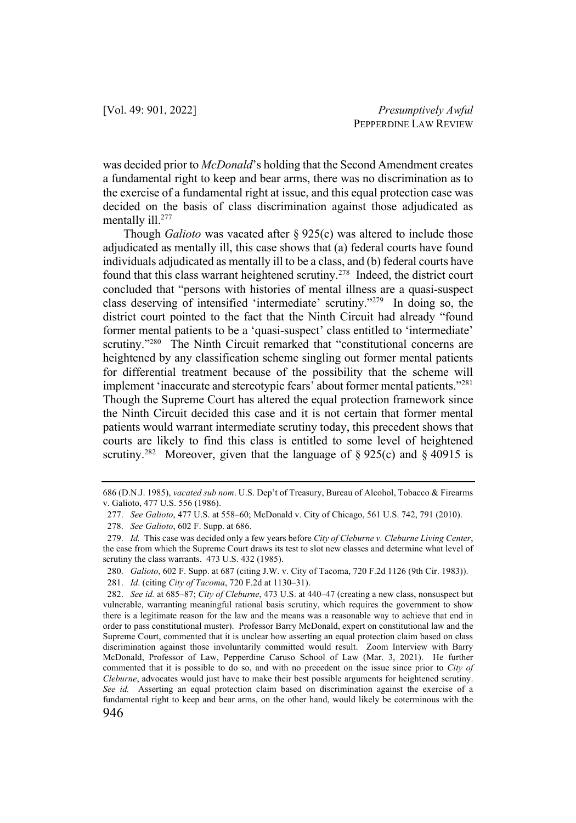was decided prior to *McDonald*'s holding that the Second Amendment creates a fundamental right to keep and bear arms, there was no discrimination as to the exercise of a fundamental right at issue, and this equal protection case was decided on the basis of class discrimination against those adjudicated as mentally ill.<sup>277</sup>

Though *Galioto* was vacated after § 925(c) was altered to include those adjudicated as mentally ill, this case shows that (a) federal courts have found individuals adjudicated as mentally ill to be a class, and (b) federal courts have found that this class warrant heightened scrutiny.<sup>278</sup> Indeed, the district court concluded that "persons with histories of mental illness are a quasi-suspect class deserving of intensified 'intermediate' scrutiny."279 In doing so, the district court pointed to the fact that the Ninth Circuit had already "found former mental patients to be a 'quasi-suspect' class entitled to 'intermediate' scrutiny."<sup>280</sup> The Ninth Circuit remarked that "constitutional concerns are heightened by any classification scheme singling out former mental patients for differential treatment because of the possibility that the scheme will implement 'inaccurate and stereotypic fears' about former mental patients."281 Though the Supreme Court has altered the equal protection framework since the Ninth Circuit decided this case and it is not certain that former mental patients would warrant intermediate scrutiny today, this precedent shows that courts are likely to find this class is entitled to some level of heightened scrutiny.<sup>282</sup> Moreover, given that the language of § 925(c) and § 40915 is

<sup>686 (</sup>D.N.J. 1985), *vacated sub nom*. U.S. Dep't of Treasury, Bureau of Alcohol, Tobacco & Firearms v. Galioto, 477 U.S. 556 (1986).

<sup>277.</sup> *See Galioto*, 477 U.S. at 558–60; McDonald v. City of Chicago, 561 U.S. 742, 791 (2010).

<sup>278.</sup> *See Galioto*, 602 F. Supp. at 686.

<sup>279.</sup> *Id.* This case was decided only a few years before *City of Cleburne v. Cleburne Living Center*, the case from which the Supreme Court draws its test to slot new classes and determine what level of scrutiny the class warrants. 473 U.S. 432 (1985).

<sup>280.</sup> *Galioto*, 602 F. Supp. at 687 (citing J.W. v. City of Tacoma, 720 F.2d 1126 (9th Cir. 1983)).

<sup>281.</sup> *Id*. (citing *City of Tacoma*, 720 F.2d at 1130–31).

<sup>282.</sup> *See id.* at 685–87; *City of Cleburne*, 473 U.S. at 440–47 (creating a new class, nonsuspect but vulnerable, warranting meaningful rational basis scrutiny, which requires the government to show there is a legitimate reason for the law and the means was a reasonable way to achieve that end in order to pass constitutional muster). Professor Barry McDonald, expert on constitutional law and the Supreme Court, commented that it is unclear how asserting an equal protection claim based on class discrimination against those involuntarily committed would result. Zoom Interview with Barry McDonald, Professor of Law, Pepperdine Caruso School of Law (Mar. 3, 2021). He further commented that it is possible to do so, and with no precedent on the issue since prior to *City of Cleburne*, advocates would just have to make their best possible arguments for heightened scrutiny. *See id.* Asserting an equal protection claim based on discrimination against the exercise of a fundamental right to keep and bear arms, on the other hand, would likely be coterminous with the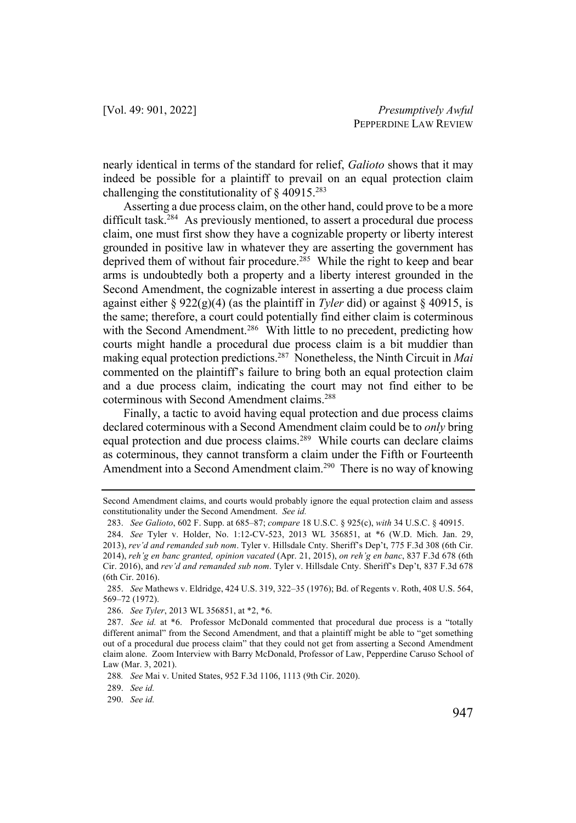nearly identical in terms of the standard for relief, *Galioto* shows that it may indeed be possible for a plaintiff to prevail on an equal protection claim challenging the constitutionality of  $\S$  40915.<sup>283</sup>

Asserting a due process claim, on the other hand, could prove to be a more difficult task.<sup>284</sup> As previously mentioned, to assert a procedural due process claim, one must first show they have a cognizable property or liberty interest grounded in positive law in whatever they are asserting the government has deprived them of without fair procedure.<sup>285</sup> While the right to keep and bear arms is undoubtedly both a property and a liberty interest grounded in the Second Amendment, the cognizable interest in asserting a due process claim against either § 922(g)(4) (as the plaintiff in *Tyler* did) or against § 40915, is the same; therefore, a court could potentially find either claim is coterminous with the Second Amendment.<sup>286</sup> With little to no precedent, predicting how courts might handle a procedural due process claim is a bit muddier than making equal protection predictions.287 Nonetheless, the Ninth Circuit in *Mai* commented on the plaintiff's failure to bring both an equal protection claim and a due process claim, indicating the court may not find either to be coterminous with Second Amendment claims.288

Finally, a tactic to avoid having equal protection and due process claims declared coterminous with a Second Amendment claim could be to *only* bring equal protection and due process claims.<sup>289</sup> While courts can declare claims as coterminous, they cannot transform a claim under the Fifth or Fourteenth Amendment into a Second Amendment claim.<sup>290</sup> There is no way of knowing

Second Amendment claims, and courts would probably ignore the equal protection claim and assess constitutionality under the Second Amendment. *See id.*

<sup>283.</sup> *See Galioto*, 602 F. Supp. at 685–87; *compare* 18 U.S.C. § 925(c), *with* 34 U.S.C. § 40915.

<sup>284.</sup> *See* Tyler v. Holder, No. 1:12-CV-523, 2013 WL 356851, at \*6 (W.D. Mich. Jan. 29, 2013), *rev'd and remanded sub nom*. Tyler v. Hillsdale Cnty. Sheriff's Dep't, 775 F.3d 308 (6th Cir. 2014), *reh'g en banc granted, opinion vacated* (Apr. 21, 2015), *on reh'g en banc*, 837 F.3d 678 (6th Cir. 2016), and *rev'd and remanded sub nom*. Tyler v. Hillsdale Cnty. Sheriff's Dep't, 837 F.3d 678 (6th Cir. 2016).

<sup>285.</sup> *See* Mathews v. Eldridge, 424 U.S. 319, 322–35 (1976); Bd. of Regents v. Roth, 408 U.S. 564, 569–72 (1972).

<sup>286.</sup> *See Tyler*, 2013 WL 356851, at \*2, \*6.

<sup>287.</sup> *See id.* at \*6. Professor McDonald commented that procedural due process is a "totally different animal" from the Second Amendment, and that a plaintiff might be able to "get something out of a procedural due process claim" that they could not get from asserting a Second Amendment claim alone. Zoom Interview with Barry McDonald, Professor of Law, Pepperdine Caruso School of Law (Mar. 3, 2021).

<sup>288</sup>*. See* Mai v. United States, 952 F.3d 1106, 1113 (9th Cir. 2020).

<sup>289.</sup> *See id.*

<sup>290.</sup> *See id.*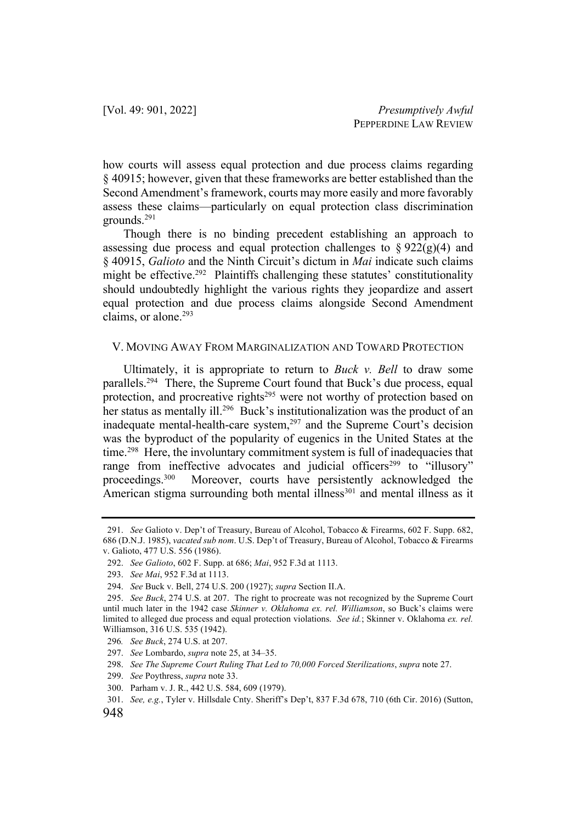how courts will assess equal protection and due process claims regarding § 40915; however, given that these frameworks are better established than the Second Amendment's framework, courts may more easily and more favorably assess these claims—particularly on equal protection class discrimination grounds.291

Though there is no binding precedent establishing an approach to assessing due process and equal protection challenges to  $\S 922(g)(4)$  and § 40915, *Galioto* and the Ninth Circuit's dictum in *Mai* indicate such claims might be effective.<sup>292</sup> Plaintiffs challenging these statutes' constitutionality should undoubtedly highlight the various rights they jeopardize and assert equal protection and due process claims alongside Second Amendment claims, or alone.293

#### V. MOVING AWAY FROM MARGINALIZATION AND TOWARD PROTECTION

Ultimately, it is appropriate to return to *Buck v. Bell* to draw some parallels.<sup>294</sup> There, the Supreme Court found that Buck's due process, equal protection, and procreative rights<sup>295</sup> were not worthy of protection based on her status as mentally ill.<sup>296</sup> Buck's institutionalization was the product of an inadequate mental-health-care system,<sup>297</sup> and the Supreme Court's decision was the byproduct of the popularity of eugenics in the United States at the time.<sup>298</sup> Here, the involuntary commitment system is full of inadequacies that range from ineffective advocates and judicial officers<sup>299</sup> to "illusory" proceedings.300 Moreover, courts have persistently acknowledged the American stigma surrounding both mental illness<sup>301</sup> and mental illness as it

<sup>291.</sup> *See* Galioto v. Dep't of Treasury, Bureau of Alcohol, Tobacco & Firearms, 602 F. Supp. 682, 686 (D.N.J. 1985), *vacated sub nom*. U.S. Dep't of Treasury, Bureau of Alcohol, Tobacco & Firearms v. Galioto, 477 U.S. 556 (1986).

<sup>292.</sup> *See Galioto*, 602 F. Supp. at 686; *Mai*, 952 F.3d at 1113.

<sup>293.</sup> *See Mai*, 952 F.3d at 1113.

<sup>294.</sup> *See* Buck v. Bell, 274 U.S. 200 (1927); *supra* Section II.A.

<sup>295.</sup> *See Buck*, 274 U.S. at 207. The right to procreate was not recognized by the Supreme Court until much later in the 1942 case *Skinner v. Oklahoma ex. rel. Williamson*, so Buck's claims were limited to alleged due process and equal protection violations. *See id.*; Skinner v. Oklahoma *ex. rel.*  Williamson, 316 U.S. 535 (1942).

<sup>296</sup>*. See Buck*, 274 U.S. at 207.

<sup>297.</sup> *See* Lombardo, *supra* note 25, at 34–35.

<sup>298.</sup> *See The Supreme Court Ruling That Led to 70,000 Forced Sterilizations*, *supra* note 27.

<sup>299.</sup> *See* Poythress, *supra* note 33.

<sup>300.</sup> Parham v. J. R., 442 U.S. 584, 609 (1979).

<sup>301.</sup> *See, e.g.*, Tyler v. Hillsdale Cnty. Sheriff's Dep't, 837 F.3d 678, 710 (6th Cir. 2016) (Sutton,

<sup>948</sup>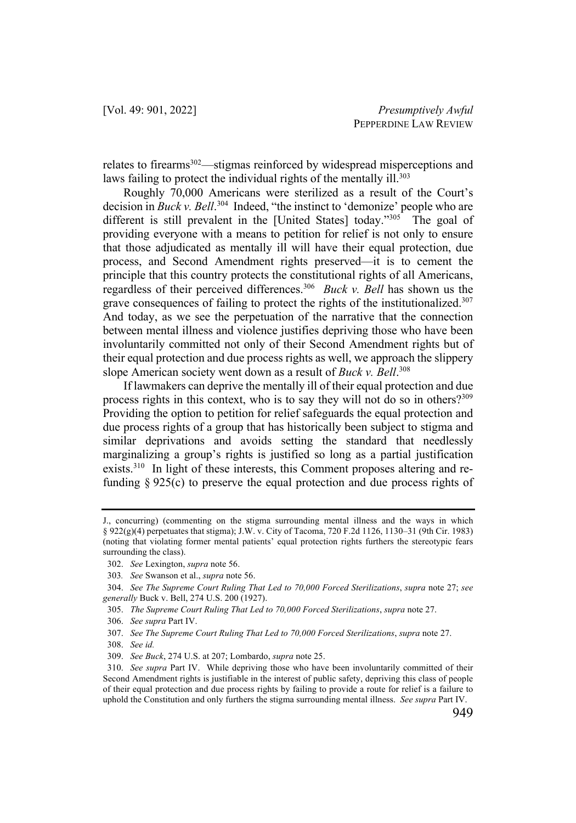relates to firearms<sup>302</sup>—stigmas reinforced by widespread misperceptions and laws failing to protect the individual rights of the mentally ill.<sup>303</sup>

Roughly 70,000 Americans were sterilized as a result of the Court's decision in *Buck v. Bell*. 304 Indeed, "the instinct to 'demonize' people who are different is still prevalent in the [United States] today."305 The goal of providing everyone with a means to petition for relief is not only to ensure that those adjudicated as mentally ill will have their equal protection, due process, and Second Amendment rights preserved—it is to cement the principle that this country protects the constitutional rights of all Americans, regardless of their perceived differences.306 *Buck v. Bell* has shown us the grave consequences of failing to protect the rights of the institutionalized.<sup>307</sup> And today, as we see the perpetuation of the narrative that the connection between mental illness and violence justifies depriving those who have been involuntarily committed not only of their Second Amendment rights but of their equal protection and due process rights as well, we approach the slippery slope American society went down as a result of *Buck v. Bell*. 308

If lawmakers can deprive the mentally ill of their equal protection and due process rights in this context, who is to say they will not do so in others?309 Providing the option to petition for relief safeguards the equal protection and due process rights of a group that has historically been subject to stigma and similar deprivations and avoids setting the standard that needlessly marginalizing a group's rights is justified so long as a partial justification exists.<sup>310</sup> In light of these interests, this Comment proposes altering and refunding  $\S 925(c)$  to preserve the equal protection and due process rights of

J., concurring) (commenting on the stigma surrounding mental illness and the ways in which § 922(g)(4) perpetuates that stigma); J.W. v. City of Tacoma, 720 F.2d 1126, 1130–31 (9th Cir. 1983) (noting that violating former mental patients' equal protection rights furthers the stereotypic fears surrounding the class).

<sup>302.</sup> *See* Lexington, *supra* note 56.

<sup>303</sup>*. See* Swanson et al., *supra* note 56.

<sup>304.</sup> *See The Supreme Court Ruling That Led to 70,000 Forced Sterilizations*, *supra* note 27; *see generally* Buck v. Bell, 274 U.S. 200 (1927).

<sup>305.</sup> *The Supreme Court Ruling That Led to 70,000 Forced Sterilizations*, *supra* note 27.

<sup>306.</sup> *See supra* Part IV.

<sup>307.</sup> *See The Supreme Court Ruling That Led to 70,000 Forced Sterilizations*, *supra* note 27.

<sup>308.</sup> *See id.*

<sup>309.</sup> *See Buck*, 274 U.S. at 207; Lombardo, *supra* note 25.

<sup>310.</sup> *See supra* Part IV. While depriving those who have been involuntarily committed of their Second Amendment rights is justifiable in the interest of public safety, depriving this class of people of their equal protection and due process rights by failing to provide a route for relief is a failure to uphold the Constitution and only furthers the stigma surrounding mental illness. *See supra* Part IV.